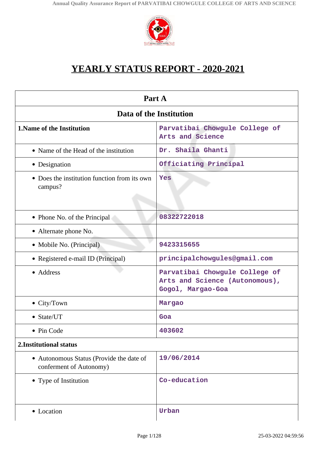

# **YEARLY STATUS REPORT - 2020-2021**

| Part A                                                              |                                                                                       |  |
|---------------------------------------------------------------------|---------------------------------------------------------------------------------------|--|
| Data of the Institution                                             |                                                                                       |  |
| <b>1. Name of the Institution</b>                                   | Parvatibai Chowgule College of<br>Arts and Science                                    |  |
| • Name of the Head of the institution                               | Dr. Shaila Ghanti                                                                     |  |
| • Designation                                                       | Officiating Principal                                                                 |  |
| • Does the institution function from its own<br>campus?             | Yes                                                                                   |  |
| • Phone No. of the Principal                                        | 08322722018                                                                           |  |
| • Alternate phone No.                                               |                                                                                       |  |
| • Mobile No. (Principal)                                            | 9423315655                                                                            |  |
| • Registered e-mail ID (Principal)                                  | principalchowgules@gmail.com                                                          |  |
| • Address                                                           | Parvatibai Chowgule College of<br>Arts and Science (Autonomous),<br>Gogol, Margao-Goa |  |
| $\bullet$ City/Town                                                 | Margao                                                                                |  |
| • State/UT                                                          | Goa                                                                                   |  |
| Pin Code                                                            | 403602                                                                                |  |
| 2. Institutional status                                             |                                                                                       |  |
| • Autonomous Status (Provide the date of<br>conferment of Autonomy) | 19/06/2014                                                                            |  |
| • Type of Institution                                               | Co-education                                                                          |  |
| • Location                                                          | Urban                                                                                 |  |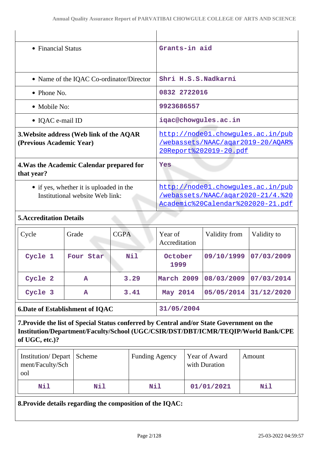| • Financial Status                                                                                                                                                                               |                                                                            |             | Grants-in aid            |  |                                |                                                                                                             |
|--------------------------------------------------------------------------------------------------------------------------------------------------------------------------------------------------|----------------------------------------------------------------------------|-------------|--------------------------|--|--------------------------------|-------------------------------------------------------------------------------------------------------------|
|                                                                                                                                                                                                  | • Name of the IQAC Co-ordinator/Director                                   |             |                          |  | Shri H.S.S.Nadkarni            |                                                                                                             |
| $\bullet$ Phone No.                                                                                                                                                                              |                                                                            |             | 0832 2722016             |  |                                |                                                                                                             |
| • Mobile No:                                                                                                                                                                                     |                                                                            |             | 9923686557               |  |                                |                                                                                                             |
| • IQAC e-mail ID                                                                                                                                                                                 |                                                                            |             | iqac@chowgules.ac.in     |  |                                |                                                                                                             |
| 3. Website address (Web link of the AQAR<br>(Previous Academic Year)                                                                                                                             |                                                                            |             |                          |  | <u>20Report%202019-20.pdf</u>  | http://node01.chowgules.ac.in/pub<br>/webassets/NAAC/agar2019-20/AOAR%                                      |
| 4. Was the Academic Calendar prepared for<br>that year?                                                                                                                                          |                                                                            |             | Yes                      |  |                                |                                                                                                             |
|                                                                                                                                                                                                  | • if yes, whether it is uploaded in the<br>Institutional website Web link: |             |                          |  |                                | http://node01.chowqules.ac.in/pub<br>/webassets/NAAC/agar2020-21/4.%20<br>Academic%20Calendar%202020-21.pdf |
| <b>5. Accreditation Details</b>                                                                                                                                                                  |                                                                            |             |                          |  |                                |                                                                                                             |
| Cycle                                                                                                                                                                                            | Grade                                                                      | <b>CGPA</b> | Year of<br>Accreditation |  | Validity from                  | Validity to                                                                                                 |
| Cycle 1                                                                                                                                                                                          | Four Star                                                                  | Nil         | October<br>1999          |  | 09/10/1999                     | 07/03/2009                                                                                                  |
| Cycle 2                                                                                                                                                                                          | $\mathbf{A}$                                                               | 3.29        | March 2009               |  | 08/03/2009                     | 07/03/2014                                                                                                  |
| Cycle 3                                                                                                                                                                                          | Α                                                                          | 3.41        | May 2014                 |  | 05/05/2014                     | 31/12/2020                                                                                                  |
| <b>6.Date of Establishment of IQAC</b>                                                                                                                                                           |                                                                            |             | 31/05/2004               |  |                                |                                                                                                             |
| 7. Provide the list of Special Status conferred by Central and/or State Government on the<br>Institution/Department/Faculty/School (UGC/CSIR/DST/DBT/ICMR/TEQIP/World Bank/CPE<br>of UGC, etc.)? |                                                                            |             |                          |  |                                |                                                                                                             |
| <b>Institution/Depart</b><br>ment/Faculty/Sch<br>ool                                                                                                                                             | Scheme                                                                     |             | <b>Funding Agency</b>    |  | Year of Award<br>with Duration | Amount                                                                                                      |
| Nil                                                                                                                                                                                              | Nil<br>Nil                                                                 |             |                          |  | 01/01/2021                     | Nil                                                                                                         |
| 8. Provide details regarding the composition of the IQAC:                                                                                                                                        |                                                                            |             |                          |  |                                |                                                                                                             |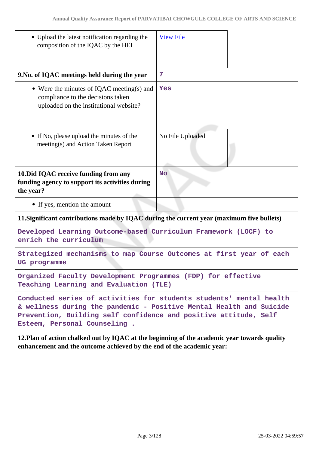| • Upload the latest notification regarding the<br>composition of the IQAC by the HEI                                                                                                                                                           | <b>View File</b> |  |
|------------------------------------------------------------------------------------------------------------------------------------------------------------------------------------------------------------------------------------------------|------------------|--|
| 9. No. of IQAC meetings held during the year                                                                                                                                                                                                   | 7                |  |
| • Were the minutes of IQAC meeting(s) and<br>compliance to the decisions taken<br>uploaded on the institutional website?                                                                                                                       | Yes              |  |
| • If No, please upload the minutes of the<br>meeting(s) and Action Taken Report                                                                                                                                                                | No File Uploaded |  |
| 10. Did IQAC receive funding from any<br>funding agency to support its activities during<br>the year?                                                                                                                                          | <b>No</b>        |  |
| • If yes, mention the amount                                                                                                                                                                                                                   |                  |  |
| 11. Significant contributions made by IQAC during the current year (maximum five bullets)                                                                                                                                                      |                  |  |
| Developed Learning Outcome-based Curriculum Framework (LOCF) to<br>enrich the curriculum                                                                                                                                                       |                  |  |
| Strategized mechanisms to map Course Outcomes at first year of each<br>UG programme                                                                                                                                                            |                  |  |
| Organized Faculty Development Programmes (FDP) for effective<br>Teaching Learning and Evaluation (TLE)                                                                                                                                         |                  |  |
| Conducted series of activities for students students' mental health<br>& wellness during the pandemic - Positive Mental Health and Suicide<br>Prevention, Building self confidence and positive attitude, Self<br>Esteem, Personal Counseling. |                  |  |
| 12. Plan of action chalked out by IQAC at the beginning of the academic year towards quality<br>enhancement and the outcome achieved by the end of the academic year:                                                                          |                  |  |
|                                                                                                                                                                                                                                                |                  |  |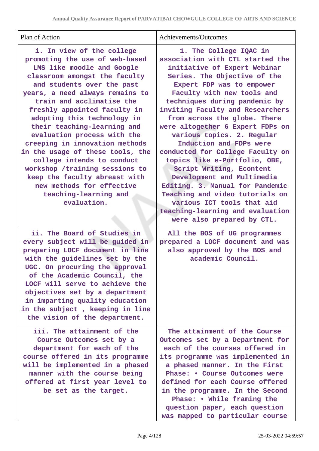| Plan of Action                                                                                                                                                                                                                                                                                                                                                                                                                                                                                                                                                                                    | Achievements/Outcomes                                                                                                                                                                                                                                                                                                                                                                                                                                                                                                                                                                                                                                                                         |
|---------------------------------------------------------------------------------------------------------------------------------------------------------------------------------------------------------------------------------------------------------------------------------------------------------------------------------------------------------------------------------------------------------------------------------------------------------------------------------------------------------------------------------------------------------------------------------------------------|-----------------------------------------------------------------------------------------------------------------------------------------------------------------------------------------------------------------------------------------------------------------------------------------------------------------------------------------------------------------------------------------------------------------------------------------------------------------------------------------------------------------------------------------------------------------------------------------------------------------------------------------------------------------------------------------------|
| i. In view of the college<br>promoting the use of web-based<br>LMS like moodle and Google<br>classroom amongst the faculty<br>and students over the past<br>years, a need always remains to<br>train and acclimatise the<br>freshly appointed faculty in<br>adopting this technology in<br>their teaching-learning and<br>evaluation process with the<br>creeping in innovation methods<br>in the usage of these tools, the<br>college intends to conduct<br>workshop /training sessions to<br>keep the faculty abreast with<br>new methods for effective<br>teaching-learning and<br>evaluation. | 1. The College IQAC in<br>association with CTL started the<br>initiative of Expert Webinar<br>Series. The Objective of the<br>Expert FDP was to empower<br>Faculty with new tools and<br>techniques during pandemic by<br>inviting Faculty and Researchers<br>from across the globe. There<br>were altogether 6 Expert FDPs on<br>various topics. 2. Regular<br>Induction and FDPs were<br>conducted for College Faculty on<br>topics like e-Portfolio, OBE,<br>Script Writing, E content<br>Development and Multimedia<br>Editing. 3. Manual for Pandemic<br>Teaching and video tutorials on<br>various ICT tools that aid<br>teaching-learning and evaluation<br>were also prepared by CTL. |
| ii. The Board of Studies in<br>every subject will be guided in<br>preparing LOCF document in line<br>with the guidelines set by the<br>UGC. On procuring the approval<br>of the Academic Council, the<br>LOCF will serve to achieve the<br>objectives set by a department<br>in imparting quality education<br>in the subject, keeping in line<br>the vision of the department.                                                                                                                                                                                                                   | All the BOS of UG programmes<br>prepared a LOCF document and was<br>also approved by the BOS and<br>academic Council.                                                                                                                                                                                                                                                                                                                                                                                                                                                                                                                                                                         |
| iii. The attainment of the<br>Course Outcomes set by a<br>department for each of the<br>course offered in its programme<br>will be implemented in a phased<br>manner with the course being<br>offered at first year level to<br>be set as the target.                                                                                                                                                                                                                                                                                                                                             | The attainment of the Course<br>Outcomes set by a Department for<br>each of the courses offered in<br>its programme was implemented in<br>a phased manner. In the First<br>Phase: • Course Outcomes were<br>defined for each Course offered<br>in the programme. In the Second<br>Phase: • While framing the<br>question paper, each question<br>was mapped to particular course                                                                                                                                                                                                                                                                                                              |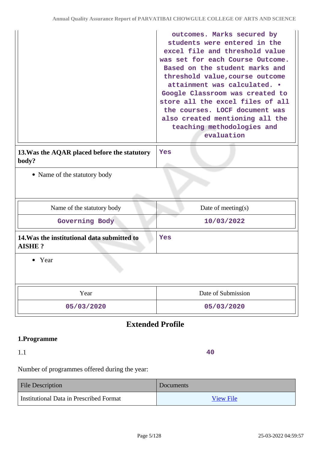|                                                              | outcomes. Marks secured by<br>students were entered in the<br>excel file and threshold value<br>was set for each Course Outcome.<br>Based on the student marks and<br>threshold value, course outcome<br>attainment was calculated. .<br>Google Classroom was created to<br>store all the excel files of all<br>the courses. LOCF document was<br>also created mentioning all the<br>teaching methodologies and<br>evaluation |  |
|--------------------------------------------------------------|-------------------------------------------------------------------------------------------------------------------------------------------------------------------------------------------------------------------------------------------------------------------------------------------------------------------------------------------------------------------------------------------------------------------------------|--|
| 13. Was the AQAR placed before the statutory<br>body?        | Yes                                                                                                                                                                                                                                                                                                                                                                                                                           |  |
| • Name of the statutory body                                 |                                                                                                                                                                                                                                                                                                                                                                                                                               |  |
| Name of the statutory body                                   | Date of meeting(s)                                                                                                                                                                                                                                                                                                                                                                                                            |  |
| Governing Body                                               | 10/03/2022                                                                                                                                                                                                                                                                                                                                                                                                                    |  |
| 14. Was the institutional data submitted to<br><b>AISHE?</b> | Yes                                                                                                                                                                                                                                                                                                                                                                                                                           |  |
| Year<br>٠                                                    |                                                                                                                                                                                                                                                                                                                                                                                                                               |  |
| Year                                                         | Date of Submission                                                                                                                                                                                                                                                                                                                                                                                                            |  |
| 05/03/2020                                                   | 05/03/2020                                                                                                                                                                                                                                                                                                                                                                                                                    |  |
| <b>Extended Profile</b>                                      |                                                                                                                                                                                                                                                                                                                                                                                                                               |  |
| $1$ Dragramma                                                |                                                                                                                                                                                                                                                                                                                                                                                                                               |  |

#### **1.Programme**

# 1.1

**40**

Number of programmes offered during the year:

| <b>File Description</b>                 | <b>Documents</b> |
|-----------------------------------------|------------------|
| Institutional Data in Prescribed Format | <b>View File</b> |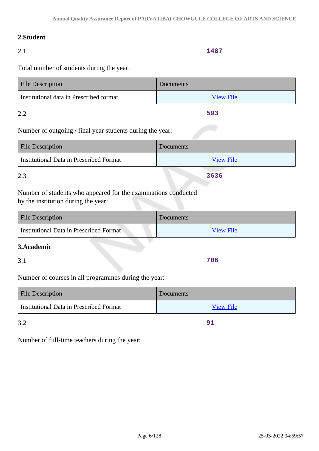# **2.Student**

# 2.1

#### **1487**

Total number of students during the year:

| <b>File Description</b>                 | <b>Documents</b> |
|-----------------------------------------|------------------|
| Institutional data in Prescribed format | <b>View File</b> |
| າ າ                                     | 593              |

Number of outgoing / final year students during the year:

| <b>File Description</b>                 | Documents        |
|-----------------------------------------|------------------|
| Institutional Data in Prescribed Format | <b>View File</b> |
| 2.3                                     | 3636             |

Number of students who appeared for the examinations conducted by the institution during the year:

| <b>File Description</b>                 | Documents |
|-----------------------------------------|-----------|
| Institutional Data in Prescribed Format | View File |

### **3.Academic**

3.1

Number of courses in all programmes during the year:

| <b>File Description</b>                 | <b>Documents</b> |
|-----------------------------------------|------------------|
| Institutional Data in Prescribed Format | <b>View File</b> |

3.2

**91**

**706**

Number of full-time teachers during the year: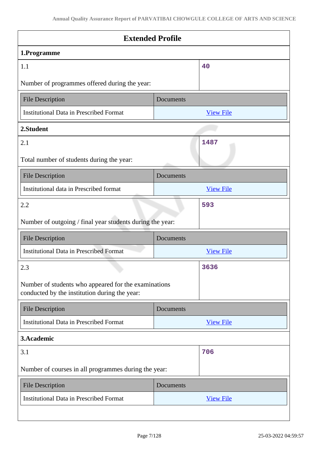| <b>Extended Profile</b>                                                                               |           |                  |
|-------------------------------------------------------------------------------------------------------|-----------|------------------|
| 1.Programme                                                                                           |           |                  |
| 1.1                                                                                                   |           | 40               |
| Number of programmes offered during the year:                                                         |           |                  |
| <b>File Description</b>                                                                               | Documents |                  |
| <b>Institutional Data in Prescribed Format</b>                                                        |           | <b>View File</b> |
| 2.Student                                                                                             |           |                  |
| 2.1                                                                                                   |           | 1487             |
| Total number of students during the year:                                                             |           |                  |
| <b>File Description</b>                                                                               | Documents |                  |
| Institutional data in Prescribed format                                                               |           | <b>View File</b> |
| 2.2                                                                                                   |           | 593              |
| Number of outgoing / final year students during the year:                                             |           |                  |
| <b>File Description</b>                                                                               | Documents |                  |
| <b>Institutional Data in Prescribed Format</b>                                                        |           | <b>View File</b> |
| 2.3                                                                                                   |           | 3636             |
| Number of students who appeared for the examinations<br>conducted by the institution during the year: |           |                  |
| <b>File Description</b>                                                                               | Documents |                  |
| <b>Institutional Data in Prescribed Format</b>                                                        |           | <b>View File</b> |
| 3.Academic                                                                                            |           |                  |
| 3.1                                                                                                   |           | 706              |
| Number of courses in all programmes during the year:                                                  |           |                  |
| <b>File Description</b>                                                                               | Documents |                  |
| <b>Institutional Data in Prescribed Format</b>                                                        |           | <b>View File</b> |
|                                                                                                       |           |                  |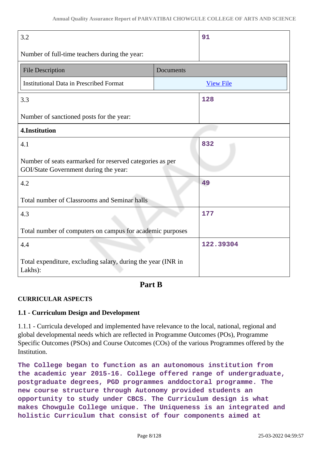| 3.2                                                                                               | 91               |
|---------------------------------------------------------------------------------------------------|------------------|
| Number of full-time teachers during the year:                                                     |                  |
| <b>File Description</b>                                                                           | Documents        |
| <b>Institutional Data in Prescribed Format</b>                                                    | <b>View File</b> |
| 3.3                                                                                               | 128              |
| Number of sanctioned posts for the year:                                                          |                  |
| 4.Institution                                                                                     |                  |
| 4.1                                                                                               | 832              |
| Number of seats earmarked for reserved categories as per<br>GOI/State Government during the year: |                  |
| 4.2                                                                                               | 49               |
| Total number of Classrooms and Seminar halls                                                      |                  |
| 4.3                                                                                               | 177              |
| Total number of computers on campus for academic purposes                                         |                  |
| 4.4                                                                                               | 122.39304        |
| Total expenditure, excluding salary, during the year (INR in<br>Lakhs):                           |                  |

# **Part B**

### **CURRICULAR ASPECTS**

### **1.1 - Curriculum Design and Development**

1.1.1 - Curricula developed and implemented have relevance to the local, national, regional and global developmental needs which are reflected in Programme Outcomes (POs), Programme Specific Outcomes (PSOs) and Course Outcomes (COs) of the various Programmes offered by the Institution.

**The College began to function as an autonomous institution from the academic year 2015-16. College offered range of undergraduate, postgraduate degrees, PGD programmes anddoctoral programme. The new course structure through Autonomy provided students an opportunity to study under CBCS. The Curriculum design is what makes Chowgule College unique. The Uniqueness is an integrated and holistic Curriculum that consist of four components aimed at**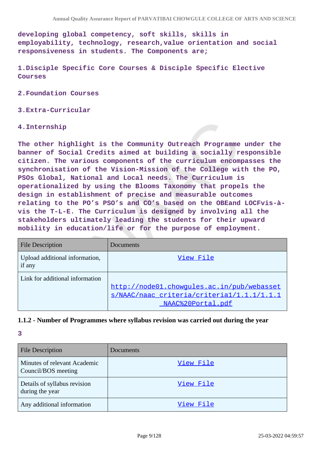**developing global competency, soft skills, skills in employability, technology, research,value orientation and social responsiveness in students. The Components are;**

**1.Disciple Specific Core Courses & Disciple Specific Elective Courses**

**2.Foundation Courses**

**3.Extra-Curricular**

#### **4.Internship**

**The other highlight is the Community Outreach Programme under the banner of Social Credits aimed at building a socially responsible citizen. The various components of the curriculum encompasses the synchronisation of the Vision-Mission of the College with the PO, PSOs Global, National and Local needs. The Curriculum is operationalized by using the Blooms Taxonomy that propels the design in establishment of precise and measurable outcomes relating to the PO's PSO's and CO's based on the OBEand LOCFvis-àvis the T-L-E. The Curriculum is designed by involving all the stakeholders ultimately leading the students for their upward mobility in education/life or for the purpose of employment.**

| <b>File Description</b>                  | Documents                                                                                                     |
|------------------------------------------|---------------------------------------------------------------------------------------------------------------|
| Upload additional information,<br>if any | View File                                                                                                     |
| Link for additional information          | http://node01.chowgules.ac.in/pub/webasset<br>s/NAAC/naac criteria/criterial/1.1.1/1.1.1<br>NAAC%20Portal.pdf |

#### **1.1.2 - Number of Programmes where syllabus revision was carried out during the year**

| <b>File Description</b>                             | Documents |
|-----------------------------------------------------|-----------|
| Minutes of relevant Academic<br>Council/BOS meeting | View File |
| Details of syllabus revision<br>during the year     | View File |
| Any additional information                          | View File |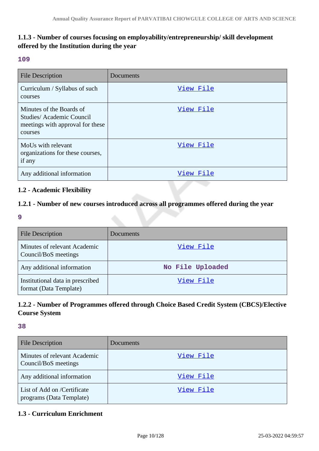# **1.1.3 - Number of courses focusing on employability/entrepreneurship/ skill development offered by the Institution during the year**

#### **109**

| <b>File Description</b>                                                                             | Documents |
|-----------------------------------------------------------------------------------------------------|-----------|
| Curriculum / Syllabus of such<br>courses                                                            | View File |
| Minutes of the Boards of<br>Studies/Academic Council<br>meetings with approval for these<br>courses | View File |
| MoUs with relevant<br>organizations for these courses,<br>if any                                    | View File |
| Any additional information                                                                          | View File |

### **1.2 - Academic Flexibility**

### **1.2.1 - Number of new courses introduced across all programmes offered during the year**

**9**

| <b>File Description</b>                                    | Documents        |
|------------------------------------------------------------|------------------|
| Minutes of relevant Academic<br>Council/BoS meetings       | View File        |
| Any additional information                                 | No File Uploaded |
| Institutional data in prescribed<br>format (Data Template) | View File        |

# **1.2.2 - Number of Programmes offered through Choice Based Credit System (CBCS)/Elective Course System**

**38**

| <b>File Description</b>                                 | Documents |
|---------------------------------------------------------|-----------|
| Minutes of relevant Academic<br>Council/BoS meetings    | View File |
| Any additional information                              | View File |
| List of Add on /Certificate<br>programs (Data Template) | View File |

### **1.3 - Curriculum Enrichment**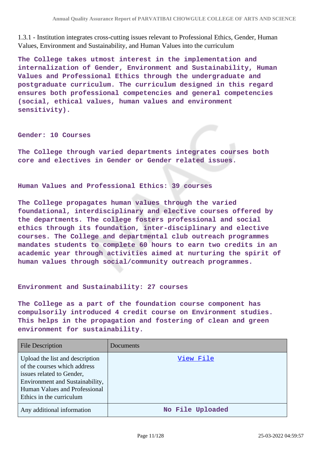1.3.1 - Institution integrates cross-cutting issues relevant to Professional Ethics, Gender, Human Values, Environment and Sustainability, and Human Values into the curriculum

**The College takes utmost interest in the implementation and internalization of Gender, Environment and Sustainability, Human Values and Professional Ethics through the undergraduate and postgraduate curriculum. The curriculum designed in this regard ensures both professional competencies and general competencies (social, ethical values, human values and environment sensitivity).**

#### **Gender: 10 Courses**

**The College through varied departments integrates courses both core and electives in Gender or Gender related issues.**

#### **Human Values and Professional Ethics: 39 courses**

**The College propagates human values through the varied foundational, interdisciplinary and elective courses offered by the departments. The college fosters professional and social ethics through its foundation, inter-disciplinary and elective courses. The College and departmental club outreach programmes mandates students to complete 60 hours to earn two credits in an academic year through activities aimed at nurturing the spirit of human values through social/community outreach programmes.**

#### **Environment and Sustainability: 27 courses**

**The College as a part of the foundation course component has compulsorily introduced 4 credit course on Environment studies. This helps in the propagation and fostering of clean and green environment for sustainability.**

| <b>File Description</b>                                                                                                                                                                      | Documents        |
|----------------------------------------------------------------------------------------------------------------------------------------------------------------------------------------------|------------------|
| Upload the list and description<br>of the courses which address<br>issues related to Gender,<br>Environment and Sustainability,<br>Human Values and Professional<br>Ethics in the curriculum | View File        |
| Any additional information                                                                                                                                                                   | No File Uploaded |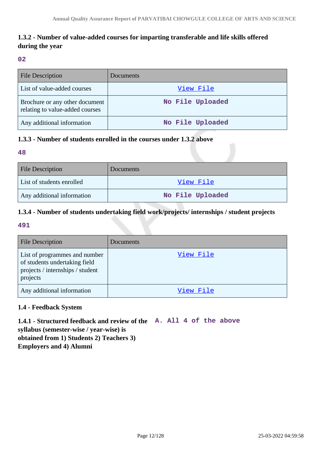# **1.3.2 - Number of value-added courses for imparting transferable and life skills offered during the year**

#### **02**

| <b>File Description</b>                                           | Documents        |
|-------------------------------------------------------------------|------------------|
| List of value-added courses                                       | View File        |
| Brochure or any other document<br>relating to value-added courses | No File Uploaded |
| Any additional information                                        | No File Uploaded |

### **1.3.3 - Number of students enrolled in the courses under 1.3.2 above**

### **48**

| <b>File Description</b>    | Documents        |
|----------------------------|------------------|
| List of students enrolled  | View File        |
| Any additional information | No File Uploaded |

# **1.3.4 - Number of students undertaking field work/projects/ internships / student projects**

### **491**

| <b>File Description</b>                                                                                        | Documents |
|----------------------------------------------------------------------------------------------------------------|-----------|
| List of programmes and number<br>of students undertaking field<br>projects / internships / student<br>projects | View File |
| Any additional information                                                                                     | View File |

### **1.4 - Feedback System**

**1.4.1 - Structured feedback and review of the A. All 4 of the above syllabus (semester-wise / year-wise) is obtained from 1) Students 2) Teachers 3) Employers and 4) Alumni**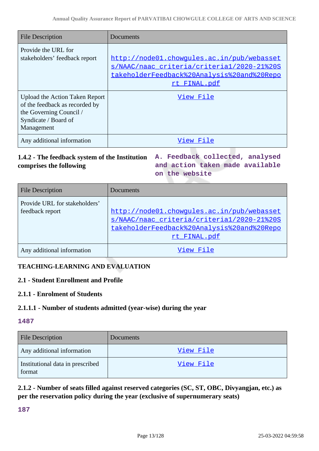| <b>File Description</b>                                                                                                           | Documents                                                                                                                                              |
|-----------------------------------------------------------------------------------------------------------------------------------|--------------------------------------------------------------------------------------------------------------------------------------------------------|
| Provide the URL for<br>stakeholders' feedback report                                                                              | http://node01.chowqules.ac.in/pub/webasset<br>s/NAAC/naac criteria/criteria1/2020-21%20S<br>takeholderFeedback%20Analysis%20and%20Repo<br>rt FINAL.pdf |
| Upload the Action Taken Report<br>of the feedback as recorded by<br>the Governing Council /<br>Syndicate / Board of<br>Management | View File                                                                                                                                              |
| Any additional information                                                                                                        | View File                                                                                                                                              |

# **1.4.2 - The feedback system of the Institution A. Feedback collected, analysed comprises the following**

**and action taken made available on the website**

| <b>File Description</b>                          | Documents                                                                                                                                              |
|--------------------------------------------------|--------------------------------------------------------------------------------------------------------------------------------------------------------|
| Provide URL for stakeholders'<br>feedback report | http://node01.chowgules.ac.in/pub/webasset<br>s/NAAC/naac criteria/criterial/2020-21%20S<br>takeholderFeedback%20Analysis%20and%20Repo<br>rt FINAL.pdf |
| Any additional information                       | View File                                                                                                                                              |

# **TEACHING-LEARNING AND EVALUATION**

### **2.1 - Student Enrollment and Profile**

### **2.1.1 - Enrolment of Students**

### **2.1.1.1 - Number of students admitted (year-wise) during the year**

#### **1487**

| <b>File Description</b>                    | <b>Documents</b> |
|--------------------------------------------|------------------|
| Any additional information                 | View File        |
| Institutional data in prescribed<br>format | View File        |

**2.1.2 - Number of seats filled against reserved categories (SC, ST, OBC, Divyangjan, etc.) as per the reservation policy during the year (exclusive of supernumerary seats)**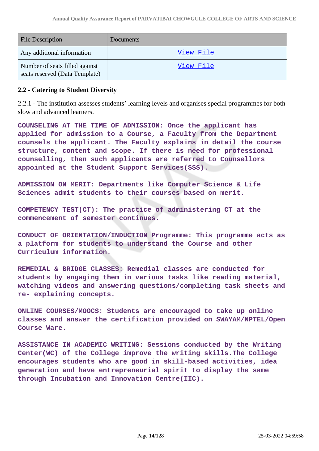| <b>File Description</b>                                          | Documents        |
|------------------------------------------------------------------|------------------|
| Any additional information                                       | View File        |
| Number of seats filled against<br>seats reserved (Data Template) | <u>View File</u> |

### **2.2 - Catering to Student Diversity**

2.2.1 - The institution assesses students' learning levels and organises special programmes for both slow and advanced learners.

**COUNSELING AT THE TIME OF ADMISSION: Once the applicant has applied for admission to a Course, a Faculty from the Department counsels the applicant. The Faculty explains in detail the course structure, content and scope. If there is need for professional counselling, then such applicants are referred to Counsellors appointed at the Student Support Services(SSS).**

**ADMISSION ON MERIT: Departments like Computer Science & Life Sciences admit students to their courses based on merit.**

**COMPETENCY TEST(CT): The practice of administering CT at the commencement of semester continues.**

**CONDUCT OF ORIENTATION/INDUCTION Programme: This programme acts as a platform for students to understand the Course and other Curriculum information.**

**REMEDIAL & BRIDGE CLASSES: Remedial classes are conducted for students by engaging them in various tasks like reading material, watching videos and answering questions/completing task sheets and re- explaining concepts.**

**ONLINE COURSES/MOOCS: Students are encouraged to take up online classes and answer the certification provided on SWAYAM/NPTEL/Open Course Ware.**

**ASSISTANCE IN ACADEMIC WRITING: Sessions conducted by the Writing Center(WC) of the College improve the writing skills.The College encourages students who are good in skill-based activities, idea generation and have entrepreneurial spirit to display the same through Incubation and Innovation Centre(IIC).**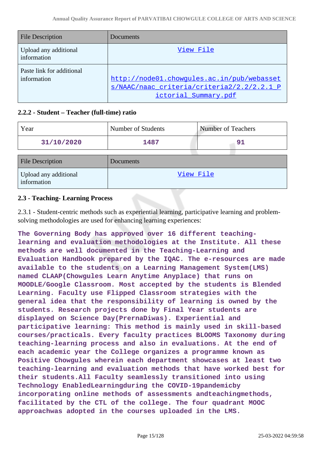| <b>File Description</b>                  | Documents                                                                                                        |
|------------------------------------------|------------------------------------------------------------------------------------------------------------------|
| Upload any additional<br>information     | View File                                                                                                        |
| Paste link for additional<br>information | http://node01.chowqules.ac.in/pub/webasset<br>s/NAAC/naac criteria/criteria2/2.2/2.2.1 P<br>ictorial Summary.pdf |

### **2.2.2 - Student – Teacher (full-time) ratio**

| Year                                 | Number of Students | <b>Number of Teachers</b> |
|--------------------------------------|--------------------|---------------------------|
| 31/10/2020                           | 1487               | 91                        |
| <b>File Description</b>              | Documents          |                           |
| Upload any additional<br>information | View File          |                           |

### **2.3 - Teaching- Learning Process**

2.3.1 - Student-centric methods such as experiential learning, participative learning and problemsolving methodologies are used for enhancing learning experiences:

**The Governing Body has approved over 16 different teachinglearning and evaluation methodologies at the Institute. All these methods are well documented in the Teaching-Learning and Evaluation Handbook prepared by the IQAC. The e-resources are made available to the students on a Learning Management System(LMS) named CLAAP(Chowgules Learn Anytime Anyplace) that runs on MOODLE/Google Classroom. Most accepted by the students is Blended Learning. Faculty use Flipped Classroom strategies with the general idea that the responsibility of learning is owned by the students. Research projects done by Final Year students are displayed on Science Day(PrernaDiwas). Experiential and participative learning: This method is mainly used in skill-based courses/practicals. Every faculty practices BLOOMS Taxonomy during teaching-learning process and also in evaluations. At the end of each academic year the College organizes a programme known as Positive Chowgules wherein each department showcases at least two teaching-learning and evaluation methods that have worked best for their students.All Faculty seamlessly transitioned into using Technology EnabledLearningduring the COVID-19pandemicby incorporating online methods of assessments andteachingmethods, facilitated by the CTL of the college. The four quadrant MOOC approachwas adopted in the courses uploaded in the LMS.**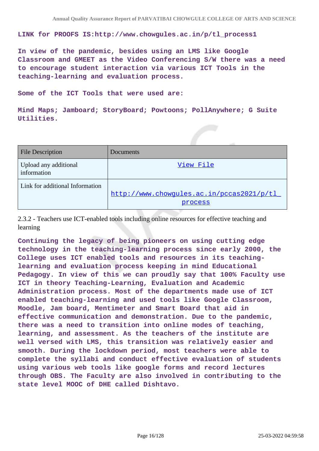**LINK for PROOFS IS:http://www.chowgules.ac.in/p/tl\_process1**

**In view of the pandemic, besides using an LMS like Google Classroom and GMEET as the Video Conferencing S/W there was a need to encourage student interaction via various ICT Tools in the teaching-learning and evaluation process.**

**Some of the ICT Tools that were used are:**

**Mind Maps; Jamboard; StoryBoard; Powtoons; PollAnywhere; G Suite Utilities.**

| <b>File Description</b>              | Documents                                            |
|--------------------------------------|------------------------------------------------------|
| Upload any additional<br>information | View File                                            |
| Link for additional Information      | http://www.chowqules.ac.in/pccas2021/p/tl<br>process |

2.3.2 - Teachers use ICT-enabled tools including online resources for effective teaching and learning

**Continuing the legacy of being pioneers on using cutting edge technology in the teaching-learning process since early 2000, the College uses ICT enabled tools and resources in its teachinglearning and evaluation process keeping in mind Educational Pedagogy. In view of this we can proudly say that 100% Faculty use ICT in theory Teaching-Learning, Evaluation and Academic Administration process. Most of the departments made use of ICT enabled teaching-learning and used tools like Google Classroom, Moodle, Jam board, Mentimeter and Smart Board that aid in effective communication and demonstration. Due to the pandemic, there was a need to transition into online modes of teaching, learning, and assessment. As the teachers of the institute are well versed with LMS, this transition was relatively easier and smooth. During the lockdown period, most teachers were able to complete the syllabi and conduct effective evaluation of students using various web tools like google forms and record lectures through OBS. The Faculty are also involved in contributing to the state level MOOC of DHE called Dishtavo.**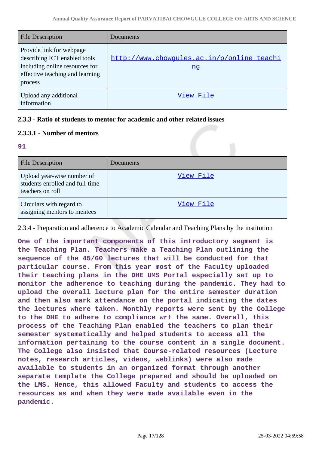| <b>File Description</b>                                                                                                                  | Documents                                               |
|------------------------------------------------------------------------------------------------------------------------------------------|---------------------------------------------------------|
| Provide link for webpage<br>describing ICT enabled tools<br>including online resources for<br>effective teaching and learning<br>process | http://www.chowgules.ac.in/p/online_teachi<br><u>nq</u> |
| Upload any additional<br>information                                                                                                     | View File                                               |

### **2.3.3 - Ratio of students to mentor for academic and other related issues**

### **2.3.3.1 - Number of mentors**

#### **91**

| <b>File Description</b>                                                           | Documents |
|-----------------------------------------------------------------------------------|-----------|
| Upload year-wise number of<br>students enrolled and full-time<br>teachers on roll | View File |
| Circulars with regard to<br>assigning mentors to mentees                          | View File |

2.3.4 - Preparation and adherence to Academic Calendar and Teaching Plans by the institution

**One of the important components of this introductory segment is the Teaching Plan. Teachers make a Teaching Plan outlining the sequence of the 45/60 lectures that will be conducted for that particular course. From this year most of the Faculty uploaded their teaching plans in the DHE UMS Portal especially set up to monitor the adherence to teaching during the pandemic. They had to upload the overall lecture plan for the entire semester duration and then also mark attendance on the portal indicating the dates the lectures where taken. Monthly reports were sent by the College to the DHE to adhere to compliance wrt the same. Overall, this process of the Teaching Plan enabled the teachers to plan their semester systematically and helped students to access all the information pertaining to the course content in a single document. The College also insisted that Course-related resources (Lecture notes, research articles, videos, weblinks) were also made available to students in an organized format through another separate template the College prepared and should be uploaded on the LMS. Hence, this allowed Faculty and students to access the resources as and when they were made available even in the pandemic.**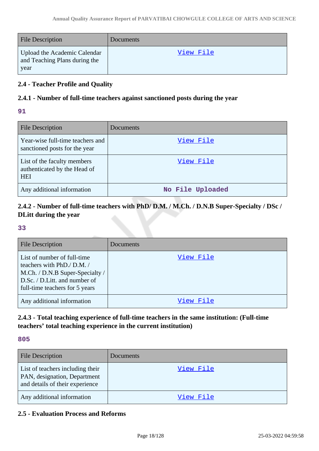| <b>File Description</b>                                               | Documents |
|-----------------------------------------------------------------------|-----------|
| Upload the Academic Calendar<br>and Teaching Plans during the<br>year | View File |

### **2.4 - Teacher Profile and Quality**

### **2.4.1 - Number of full-time teachers against sanctioned posts during the year**

### **91**

| <b>File Description</b>                                                   | Documents        |
|---------------------------------------------------------------------------|------------------|
| Year-wise full-time teachers and<br>sanctioned posts for the year         | View File        |
| List of the faculty members<br>authenticated by the Head of<br><b>HEI</b> | View File        |
| Any additional information                                                | No File Uploaded |

# **2.4.2 - Number of full-time teachers with PhD/ D.M. / M.Ch. / D.N.B Super-Specialty / DSc / DLitt during the year**

#### **33**

| <b>File Description</b>                                                                                                                                         | Documents |
|-----------------------------------------------------------------------------------------------------------------------------------------------------------------|-----------|
| List of number of full-time<br>teachers with PhD./ D.M. /<br>M.Ch. / D.N.B Super-Specialty /<br>D.Sc. / D.Litt. and number of<br>full-time teachers for 5 years | View File |
| Any additional information                                                                                                                                      | View File |

# **2.4.3 - Total teaching experience of full-time teachers in the same institution: (Full-time teachers' total teaching experience in the current institution)**

#### **805**

| <b>File Description</b>                                                                             | Documents        |
|-----------------------------------------------------------------------------------------------------|------------------|
| List of teachers including their<br>PAN, designation, Department<br>and details of their experience | <u>View File</u> |
| Any additional information                                                                          | View File        |

# **2.5 - Evaluation Process and Reforms**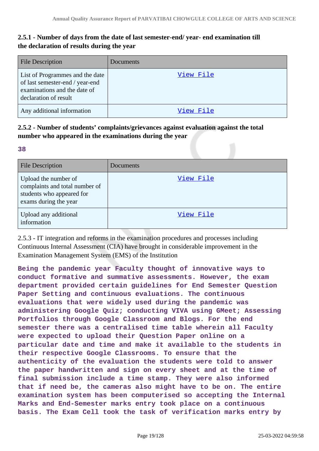# **2.5.1 - Number of days from the date of last semester-end/ year- end examination till the declaration of results during the year**

| <b>File Description</b>                                                                                                     | Documents |
|-----------------------------------------------------------------------------------------------------------------------------|-----------|
| List of Programmes and the date<br>of last semester-end / year-end<br>examinations and the date of<br>declaration of result | View File |
| Any additional information                                                                                                  | View File |

# **2.5.2 - Number of students' complaints/grievances against evaluation against the total number who appeared in the examinations during the year**

### **38**

| <b>File Description</b>                                                                                      | Documents |
|--------------------------------------------------------------------------------------------------------------|-----------|
| Upload the number of<br>complaints and total number of<br>students who appeared for<br>exams during the year | View File |
| Upload any additional<br>information                                                                         | View File |

2.5.3 - IT integration and reforms in the examination procedures and processes including Continuous Internal Assessment (CIA) have brought in considerable improvement in the Examination Management System (EMS) of the Institution

**Being the pandemic year Faculty thought of innovative ways to conduct formative and summative assessments. However, the exam department provided certain guidelines for End Semester Question Paper Setting and continuous evaluations. The continuous evaluations that were widely used during the pandemic was administering Google Quiz; conducting VIVA using GMeet; Assessing Portfolios through Google Classroom and Blogs. For the end semester there was a centralised time table wherein all Faculty were expected to upload their Question Paper online on a particular date and time and make it available to the students in their respective Google Classrooms. To ensure that the authenticity of the evaluation the students were told to answer the paper handwritten and sign on every sheet and at the time of final submission include a time stamp. They were also informed that if need be, the cameras also might have to be on. The entire examination system has been computerised so accepting the Internal Marks and End-Semester marks entry took place on a continuous basis. The Exam Cell took the task of verification marks entry by**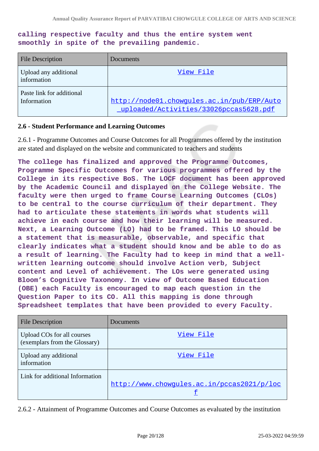### **calling respective faculty and thus the entire system went smoothly in spite of the prevailing pandemic.**

| <b>File Description</b>                  | Documents                                                                            |
|------------------------------------------|--------------------------------------------------------------------------------------|
| Upload any additional<br>information     | View File                                                                            |
| Paste link for additional<br>Information | http://node01.chowqules.ac.in/pub/ERP/Auto<br>uploaded/Activities/33026pccas5628.pdf |

#### **2.6 - Student Performance and Learning Outcomes**

2.6.1 - Programme Outcomes and Course Outcomes for all Programmes offered by the institution are stated and displayed on the website and communicated to teachers and students

**The college has finalized and approved the Programme Outcomes, Programme Specific Outcomes for various programmes offered by the College in its respective BoS. The LOCF document has been approved by the Academic Council and displayed on the College Website. The faculty were then urged to frame Course Learning Outcomes (CLOs) to be central to the course curriculum of their department. They had to articulate these statements in words what students will achieve in each course and how their learning will be measured. Next, a Learning Outcome (LO) had to be framed. This LO should be a statement that is measurable, observable, and specific that clearly indicates what a student should know and be able to do as a result of learning. The Faculty had to keep in mind that a wellwritten learning outcome should involve Action verb, Subject content and Level of achievement. The LOs were generated using Bloom's Cognitive Taxonomy. In view of Outcome Based Education (OBE) each Faculty is encouraged to map each question in the Question Paper to its CO. All this mapping is done through Spreadsheet templates that have been provided to every Faculty.**

| <b>File Description</b>                                     | Documents                                  |
|-------------------------------------------------------------|--------------------------------------------|
| Upload COs for all courses<br>(exemplars from the Glossary) | View File                                  |
| Upload any additional<br>information                        | View File                                  |
| Link for additional Information                             | http://www.chowqules.ac.in/pccas2021/p/loc |

2.6.2 - Attainment of Programme Outcomes and Course Outcomes as evaluated by the institution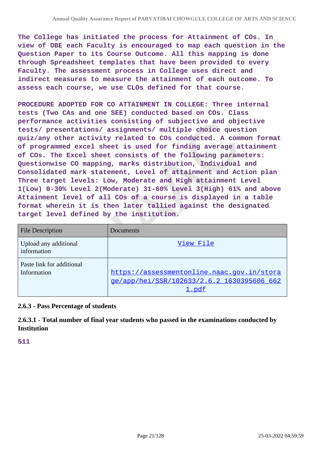**The College has initiated the process for Attainment of COs. In view of OBE each Faculty is encouraged to map each question in the Question Paper to its Course Outcome. All this mapping is done through Spreadsheet templates that have been provided to every Faculty. The assessment process in College uses direct and indirect measures to measure the attainment of each outcome. To assess each course, we use CLOs defined for that course.**

**PROCEDURE ADOPTED FOR CO ATTAINMENT IN COLLEGE: Three internal tests (Two CAs and one SEE) conducted based on COs. Class performance activities consisting of subjective and objective tests/ presentations/ assignments/ multiple choice question quiz/any other activity related to COs conducted. A common format of programmed excel sheet is used for finding average attainment of COs. The Excel sheet consists of the following parameters: Questionwise CO mapping, marks distribution, Individual and Consolidated mark statement, Level of attainment and Action plan Three target levels: Low, Moderate and High attainment Level 1(Low) 0-30% Level 2(Moderate) 31-60% Level 3(High) 61% and above Attainment level of all COs of a course is displayed in a table format wherein it is then later tallied against the designated target level defined by the institution.**

| <b>File Description</b>                  | Documents                                                                                         |
|------------------------------------------|---------------------------------------------------------------------------------------------------|
| Upload any additional<br>information     | View File                                                                                         |
| Paste link for additional<br>Information | https://assessmentonline.naac.gov.in/stora<br>ge/app/hei/SSR/102633/2.6.2 1630395606 662<br>1.pdf |

### **2.6.3 - Pass Percentage of students**

**2.6.3.1 - Total number of final year students who passed in the examinations conducted by Institution**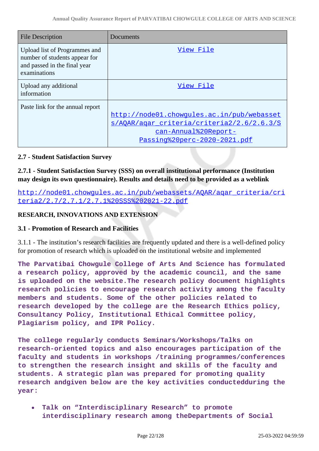| <b>File Description</b>                                                                                        | Documents                                                                                                                                        |
|----------------------------------------------------------------------------------------------------------------|--------------------------------------------------------------------------------------------------------------------------------------------------|
| Upload list of Programmes and<br>number of students appear for<br>and passed in the final year<br>examinations | View File                                                                                                                                        |
| Upload any additional<br>information                                                                           | View File                                                                                                                                        |
| Paste link for the annual report                                                                               | http://node01.chowgules.ac.in/pub/webasset<br>s/AOAR/agar criteria/criteria2/2.6/2.6.3/S<br>can-Annual%20Report-<br>Passing%20perc-2020-2021.pdf |

### **2.7 - Student Satisfaction Survey**

# **2.7.1 - Student Satisfaction Survey (SSS) on overall institutional performance (Institution may design its own questionnaire). Results and details need to be provided as a weblink**

[http://node01.chowgules.ac.in/pub/webassets/AQAR/aqar\\_criteria/cri](http://node01.chowgules.ac.in/pub/webassets/AQAR/aqar_criteria/criteria2/2.7/2.7.1/2.7.1%20SSS%202021-22.pdf) [teria2/2.7/2.7.1/2.7.1%20SSS%202021-22.pdf](http://node01.chowgules.ac.in/pub/webassets/AQAR/aqar_criteria/criteria2/2.7/2.7.1/2.7.1%20SSS%202021-22.pdf)

### **RESEARCH, INNOVATIONS AND EXTENSION**

### **3.1 - Promotion of Research and Facilities**

3.1.1 - The institution's research facilities are frequently updated and there is a well-defined policy for promotion of research which is uploaded on the institutional website and implemented

**The Parvatibai Chowgule College of Arts And Science has formulated a research policy, approved by the academic council, and the same is uploaded on the website.The research policy document highlights research policies to encourage research activity among the faculty members and students. Some of the other policies related to research developed by the college are the Research Ethics policy, Consultancy Policy, Institutional Ethical Committee policy, Plagiarism policy, and IPR Policy.**

**The college regularly conducts Seminars/Workshops/Talks on research-oriented topics and also encourages participation of the faculty and students in workshops /training programmes/conferences to strengthen the research insight and skills of the faculty and students. A strategic plan was prepared for promoting quality research andgiven below are the key activities conductedduring the year:**

**Talk on "Interdisciplinary Research" to promote**  $\bullet$ **interdisciplinary research among theDepartments of Social**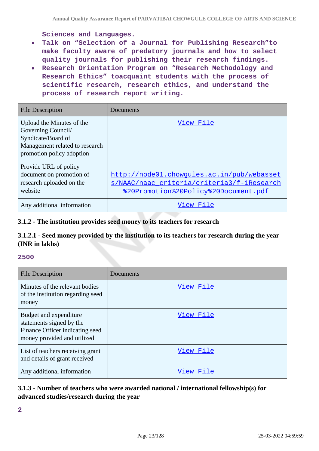**Sciences and Languages.**

- **Talk on "Selection of a Journal for Publishing Research"to**  $\bullet$ **make faculty aware of predatory journals and how to select quality journals for publishing their research findings.**
- **Research Orientation Program on "Research Methodology and Research Ethics" toacquaint students with the process of scientific research, research ethics, and understand the process of research report writing.**

| <b>File Description</b>                                                                                                              | Documents                                                                                                                        |
|--------------------------------------------------------------------------------------------------------------------------------------|----------------------------------------------------------------------------------------------------------------------------------|
| Upload the Minutes of the<br>Governing Council/<br>Syndicate/Board of<br>Management related to research<br>promotion policy adoption | View File                                                                                                                        |
| Provide URL of policy<br>document on promotion of<br>research uploaded on the<br>website                                             | http://node01.chowqules.ac.in/pub/webasset<br>s/NAAC/naac criteria/criteria3/f-1Research<br>%20Promotion%20Policy%20Document.pdf |
| Any additional information                                                                                                           | View File                                                                                                                        |

### **3.1.2 - The institution provides seed money to its teachers for research**

### **3.1.2.1 - Seed money provided by the institution to its teachers for research during the year (INR in lakhs)**

#### **2500**

| <b>File Description</b>                                                                                              | Documents |
|----------------------------------------------------------------------------------------------------------------------|-----------|
| Minutes of the relevant bodies<br>of the institution regarding seed<br>money                                         | View File |
| Budget and expenditure<br>statements signed by the<br>Finance Officer indicating seed<br>money provided and utilized | View File |
| List of teachers receiving grant<br>and details of grant received                                                    | View File |
| Any additional information                                                                                           | View File |

### **3.1.3 - Number of teachers who were awarded national / international fellowship(s) for advanced studies/research during the year**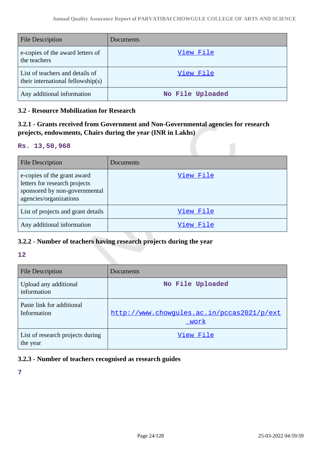| <b>File Description</b>                                              | Documents        |
|----------------------------------------------------------------------|------------------|
| e-copies of the award letters of<br>the teachers                     | View File        |
| List of teachers and details of<br>their international fellowship(s) | View File        |
| Any additional information                                           | No File Uploaded |

### **3.2 - Resource Mobilization for Research**

# **3.2.1 - Grants received from Government and Non-Governmental agencies for research projects, endowments, Chairs during the year (INR in Lakhs)**

#### **Rs. 13,50,968**

| <b>File Description</b>                                                                                                 | Documents |
|-------------------------------------------------------------------------------------------------------------------------|-----------|
| e-copies of the grant award<br>letters for research projects<br>sponsored by non-governmental<br>agencies/organizations | View File |
| List of projects and grant details                                                                                      | View File |
| Any additional information                                                                                              | View File |

# **3.2.2 - Number of teachers having research projects during the year**

#### **12**

| <b>File Description</b>                      | Documents                                          |
|----------------------------------------------|----------------------------------------------------|
| Upload any additional<br>information         | No File Uploaded                                   |
| Paste link for additional<br>Information     | http://www.chowqules.ac.in/pccas2021/p/ext<br>work |
| List of research projects during<br>the year | View File                                          |

# **3.2.3 - Number of teachers recognised as research guides**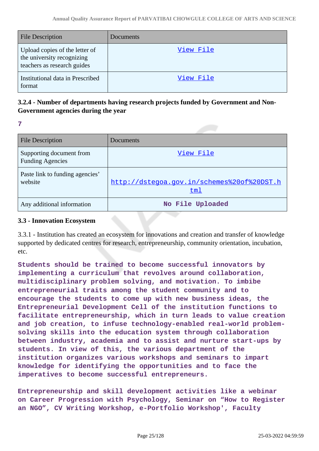| <b>File Description</b>                                                                     | Documents        |
|---------------------------------------------------------------------------------------------|------------------|
| Upload copies of the letter of<br>the university recognizing<br>teachers as research guides | <u>View File</u> |
| Institutional data in Prescribed<br>format                                                  | View File        |

### **3.2.4 - Number of departments having research projects funded by Government and Non-Government agencies during the year**

**7**

| <b>File Description</b>                             | Documents                                         |
|-----------------------------------------------------|---------------------------------------------------|
| Supporting document from<br><b>Funding Agencies</b> | View File                                         |
| Paste link to funding agencies'<br>website          | http://dstegoa.gov.in/schemes%20of%20DST.h<br>tm1 |
| Any additional information                          | No File Uploaded                                  |

### **3.3 - Innovation Ecosystem**

3.3.1 - Institution has created an ecosystem for innovations and creation and transfer of knowledge supported by dedicated centres for research, entrepreneurship, community orientation, incubation, etc.

**Students should be trained to become successful innovators by implementing a curriculum that revolves around collaboration, multidisciplinary problem solving, and motivation. To imbibe entrepreneurial traits among the student community and to encourage the students to come up with new business ideas, the Entrepreneurial Development Cell of the institution functions to facilitate entrepreneurship, which in turn leads to value creation and job creation, to infuse technology-enabled real-world problemsolving skills into the education system through collaboration between industry, academia and to assist and nurture start-ups by students. In view of this, the various department of the institution organizes various workshops and seminars to impart knowledge for identifying the opportunities and to face the imperatives to become successful entrepreneurs.**

**Entrepreneurship and skill development activities like a webinar on Career Progression with Psychology, Seminar on "How to Register an NGO", CV Writing Workshop, e-Portfolio Workshop', Faculty**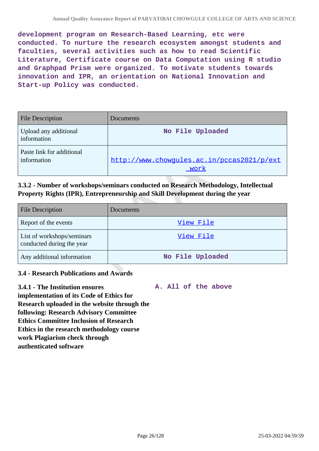**development program on Research-Based Learning, etc were conducted. To nurture the research ecosystem amongst students and faculties, several activities such as how to read Scientific Literature, Certificate course on Data Computation using R studio and Graphpad Prism were organized. To motivate students towards innovation and IPR, an orientation on National Innovation and Start-up Policy was conducted.**

| <b>File Description</b>                  | Documents                                          |
|------------------------------------------|----------------------------------------------------|
| Upload any additional<br>information     | No File Uploaded                                   |
| Paste link for additional<br>information | http://www.chowqules.ac.in/pccas2021/p/ext<br>work |

### **3.3.2 - Number of workshops/seminars conducted on Research Methodology, Intellectual Property Rights (IPR), Entrepreneurship and Skill Development during the year**

| <b>File Description</b>                                 | Documents        |
|---------------------------------------------------------|------------------|
| Report of the events                                    | View File        |
| List of workshops/seminars<br>conducted during the year | View File        |
| Any additional information                              | No File Uploaded |

### **3.4 - Research Publications and Awards**

**3.4.1 - The Institution ensures implementation of its Code of Ethics for Research uploaded in the website through the following: Research Advisory Committee Ethics Committee Inclusion of Research Ethics in the research methodology course work Plagiarism check through authenticated software A. All of the above**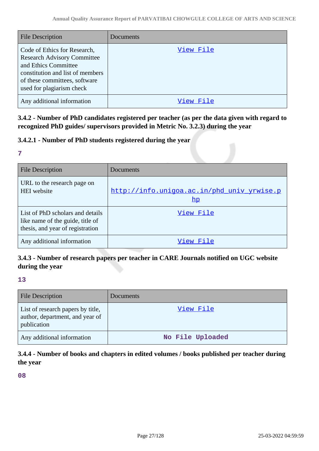| <b>File Description</b>                                                                                                                                                                      | Documents |
|----------------------------------------------------------------------------------------------------------------------------------------------------------------------------------------------|-----------|
| Code of Ethics for Research,<br><b>Research Advisory Committee</b><br>and Ethics Committee<br>constitution and list of members<br>of these committees, software<br>used for plagiarism check | View File |
| Any additional information                                                                                                                                                                   | View File |

**3.4.2 - Number of PhD candidates registered per teacher (as per the data given with regard to recognized PhD guides/ supervisors provided in Metric No. 3.2.3) during the year**

### **3.4.2.1 - Number of PhD students registered during the year**

#### **7**

| <b>File Description</b>                                                                                  | Documents                                                   |
|----------------------------------------------------------------------------------------------------------|-------------------------------------------------------------|
| URL to the research page on<br><b>HEI</b> website                                                        | http://info.uniqoa.ac.in/phd univ yrwise.p<br>$\mathbf{hp}$ |
| List of PhD scholars and details<br>like name of the guide, title of<br>thesis, and year of registration | View File                                                   |
| Any additional information                                                                               | View File                                                   |

# **3.4.3 - Number of research papers per teacher in CARE Journals notified on UGC website during the year**

### **13**

| <b>File Description</b>                                                             | Documents        |
|-------------------------------------------------------------------------------------|------------------|
| List of research papers by title,<br>author, department, and year of<br>publication | View File        |
| Any additional information                                                          | No File Uploaded |

# **3.4.4 - Number of books and chapters in edited volumes / books published per teacher during the year**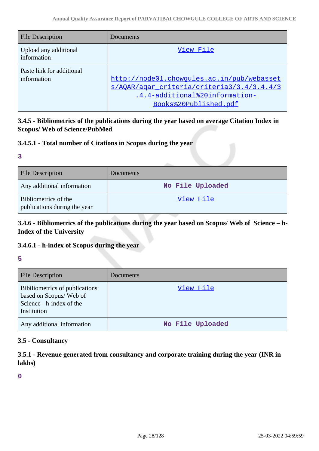| <b>File Description</b>                  | Documents                                                                                                                                           |
|------------------------------------------|-----------------------------------------------------------------------------------------------------------------------------------------------------|
| Upload any additional<br>information     | View File                                                                                                                                           |
| Paste link for additional<br>information | http://node01.chowgules.ac.in/pub/webasset<br>s/AOAR/agar criteria/criteria3/3.4/3.4.4/3<br>.4.4-additional%20information-<br>Books%20Published.pdf |

# **3.4.5 - Bibliometrics of the publications during the year based on average Citation Index in Scopus/ Web of Science/PubMed**

### **3.4.5.1 - Total number of Citations in Scopus during the year**

#### **3**

| <b>File Description</b>                              | Documents        |
|------------------------------------------------------|------------------|
| Any additional information                           | No File Uploaded |
| Bibliometrics of the<br>publications during the year | <u>View File</u> |

# **3.4.6 - Bibliometrics of the publications during the year based on Scopus/ Web of Science – h-Index of the University**

# **3.4.6.1 - h-index of Scopus during the year**

### **5**

| <b>File Description</b>                                                                             | Documents        |
|-----------------------------------------------------------------------------------------------------|------------------|
| Bibiliometrics of publications<br>based on Scopus/Web of<br>Science - h-index of the<br>Institution | View File        |
| Any additional information                                                                          | No File Uploaded |

### **3.5 - Consultancy**

**3.5.1 - Revenue generated from consultancy and corporate training during the year (INR in lakhs)**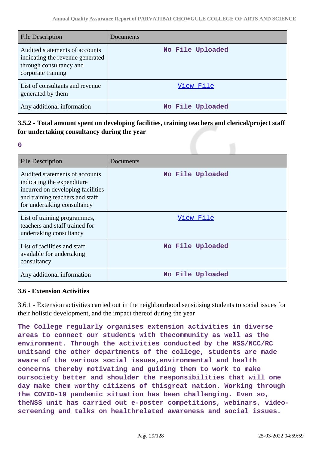| File Description                                                                                                    | Documents        |
|---------------------------------------------------------------------------------------------------------------------|------------------|
| Audited statements of accounts<br>indicating the revenue generated<br>through consultancy and<br>corporate training | No File Uploaded |
| List of consultants and revenue<br>generated by them                                                                | View File        |
| Any additional information                                                                                          | No File Uploaded |

# **3.5.2 - Total amount spent on developing facilities, training teachers and clerical/project staff for undertaking consultancy during the year**

**0**

| <b>File Description</b>                                                                                                                                              | Documents        |
|----------------------------------------------------------------------------------------------------------------------------------------------------------------------|------------------|
| Audited statements of accounts<br>indicating the expenditure.<br>incurred on developing facilities<br>and training teachers and staff<br>for undertaking consultancy | No File Uploaded |
| List of training programmes,<br>teachers and staff trained for<br>undertaking consultancy                                                                            | View File        |
| List of facilities and staff<br>available for undertaking<br>consultancy                                                                                             | No File Uploaded |
| Any additional information                                                                                                                                           | No File Uploaded |

### **3.6 - Extension Activities**

3.6.1 - Extension activities carried out in the neighbourhood sensitising students to social issues for their holistic development, and the impact thereof during the year

**The College regularly organises extension activities in diverse areas to connect our students with thecommunity as well as the environment. Through the activities conducted by the NSS/NCC/RC unitsand the other departments of the college, students are made aware of the various social issues,environmental and health concerns thereby motivating and guiding them to work to make oursociety better and shoulder the responsibilities that will one day make them worthy citizens of thisgreat nation. Working through the COVID-19 pandemic situation has been challenging. Even so, theNSS unit has carried out e-poster competitions, webinars, videoscreening and talks on healthrelated awareness and social issues.**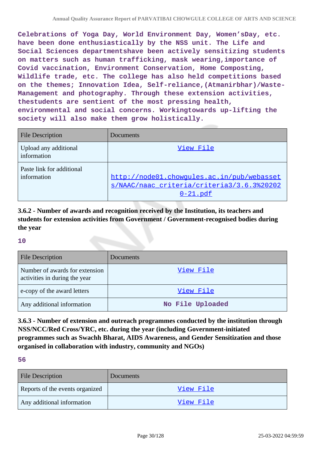**Celebrations of Yoga Day, World Environment Day, Women'sDay, etc. have been done enthusiastically by the NSS unit. The Life and Social Sciences departmentshave been actively sensitizing students on matters such as human trafficking, mask wearing,importance of Covid vaccination, Environment Conservation, Home Composting, Wildlife trade, etc. The college has also held competitions based on the themes; Innovation Idea, Self-reliance,(Atmanirbhar)/Waste-Management and photography. Through these extension activities, thestudents are sentient of the most pressing health, environmental and social concerns. Workingtowards up-lifting the society will also make them grow holistically.**

| <b>File Description</b>                  | Documents                                                                                               |
|------------------------------------------|---------------------------------------------------------------------------------------------------------|
| Upload any additional<br>information     | View File                                                                                               |
| Paste link for additional<br>information | http://node01.chowqules.ac.in/pub/webasset<br>s/NAAC/naac criteria/criteria3/3.6.3%20202<br>$0-21$ .pdf |

**3.6.2 - Number of awards and recognition received by the Institution, its teachers and students for extension activities from Government / Government-recognised bodies during the year**

#### **10**

| <b>File Description</b>                                         | Documents        |
|-----------------------------------------------------------------|------------------|
| Number of awards for extension<br>activities in during the year | View File        |
| e-copy of the award letters                                     | View File        |
| Any additional information                                      | No File Uploaded |

**3.6.3 - Number of extension and outreach programmes conducted by the institution through NSS/NCC/Red Cross/YRC, etc. during the year (including Government-initiated programmes such as Swachh Bharat, AIDS Awareness, and Gender Sensitization and those organised in collaboration with industry, community and NGOs)**

| <b>File Description</b>         | <b>Documents</b> |
|---------------------------------|------------------|
| Reports of the events organized | View File        |
| Any additional information      | View File        |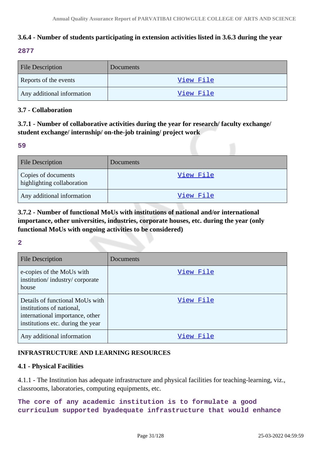# **3.6.4 - Number of students participating in extension activities listed in 3.6.3 during the year**

### **2877**

| <b>File Description</b>    | Documents |
|----------------------------|-----------|
| Reports of the events      | View File |
| Any additional information | View File |

### **3.7 - Collaboration**

# **3.7.1 - Number of collaborative activities during the year for research/ faculty exchange/ student exchange/ internship/ on-the-job training/ project work**

### **59**

| <b>File Description</b>                           | Documents |
|---------------------------------------------------|-----------|
| Copies of documents<br>highlighting collaboration | View File |
| Any additional information                        | View File |

# **3.7.2 - Number of functional MoUs with institutions of national and/or international importance, other universities, industries, corporate houses, etc. during the year (only functional MoUs with ongoing activities to be considered)**

### **2**

| <b>File Description</b>                                                                                                              | Documents |
|--------------------------------------------------------------------------------------------------------------------------------------|-----------|
| e-copies of the MoUs with<br>institution/industry/corporate<br>house                                                                 | View File |
| Details of functional MoUs with<br>institutions of national,<br>international importance, other<br>institutions etc. during the year | View File |
| Any additional information                                                                                                           | View File |

### **INFRASTRUCTURE AND LEARNING RESOURCES**

### **4.1 - Physical Facilities**

4.1.1 - The Institution has adequate infrastructure and physical facilities for teaching-learning, viz., classrooms, laboratories, computing equipments, etc.

**The core of any academic institution is to formulate a good curriculum supported byadequate infrastructure that would enhance**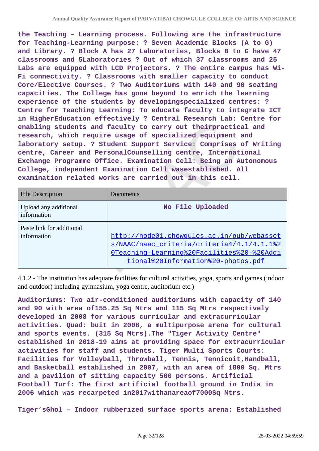**the Teaching – Learning process. Following are the infrastructure for Teaching-Learning purpose: ? Seven Academic Blocks (A to G) and Library. ? Block A has 27 Laboratories, Blocks B to G have 47 classrooms and 5Laboratories ? Out of which 37 classrooms and 25 Labs are equipped with LCD Projectors. ? The entire campus has Wi-Fi connectivity. ? Classrooms with smaller capacity to conduct Core/Elective Courses. ? Two Auditoriums with 140 and 90 seating capacities. The College has gone beyond to enrich the learning experience of the students by developingspecialized centres: ? Centre for Teaching Learning: To educate faculty to integrate ICT in HigherEducation effectively ? Central Research Lab: Centre for enabling students and faculty to carry out theirpractical and research, which require usage of specialized equipment and laboratory setup. ? Student Support Service: Comprises of Writing centre, Career and PersonalCounselling centre, International Exchange Programme Office. Examination Cell: Being an Autonomous College, independent Examination Cell wasestablished. All examination related works are carried out in this cell.**

| <b>File Description</b>                  | Documents                                                                                                                                                                    |
|------------------------------------------|------------------------------------------------------------------------------------------------------------------------------------------------------------------------------|
| Upload any additional<br>information     | No File Uploaded                                                                                                                                                             |
| Paste link for additional<br>information | http://node01.chowqules.ac.in/pub/webasset<br>s/NAAC/naac criteria/criteria4/4.1/4.1.1%2<br>OTeaching-Learning%20Facilities%20-%20Addi<br>tional%20Information%20-photos.pdf |

4.1.2 - The institution has adequate facilities for cultural activities, yoga, sports and games (indoor and outdoor) including gymnasium, yoga centre, auditorium etc.)

**Auditoriums: Two air-conditioned auditoriums with capacity of 140 and 90 with area of155.25 Sq Mtrs and 115 Sq Mtrs respectively developed in 2008 for various curricular and extracurricular activities. Quad: buit in 2008, a multipurpose arena for cultural and sports events. (315 Sq Mtrs).The "Tiger Activity Centre" established in 2018-19 aims at providing space for extracurricular activities for staff and students. Tiger Multi Sports Courts: Facilities for Volleyball, Throwball, Tennis, Tennicoit,Handball, and Basketball established in 2007, with an area of 1800 Sq. Mtrs and a pavilion of sitting capacity 500 persons. Artificial Football Turf: The first artificial football ground in India in 2006 which was recarpeted in2017withanareaof7000Sq Mtrs.**

**Tiger'sGhol – Indoor rubberized surface sports arena: Established**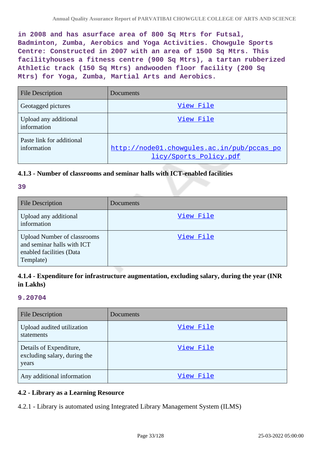**in 2008 and has asurface area of 800 Sq Mtrs for Futsal, Badminton, Zumba, Aerobics and Yoga Activities. Chowgule Sports Centre: Constructed in 2007 with an area of 1500 Sq Mtrs. This facilityhouses a fitness centre (900 Sq Mtrs), a tartan rubberized Athletic track (150 Sq Mtrs) andwooden floor facility (200 Sq Mtrs) for Yoga, Zumba, Martial Arts and Aerobics.**

| <b>File Description</b>                  | Documents                                                            |
|------------------------------------------|----------------------------------------------------------------------|
| Geotagged pictures                       | View File                                                            |
| Upload any additional<br>information     | View File                                                            |
| Paste link for additional<br>information | http://node01.chowqules.ac.in/pub/pccas_po<br>licy/Sports Policy.pdf |

### **4.1.3 - Number of classrooms and seminar halls with ICT-enabled facilities**

#### **39**

| <b>File Description</b>                                                                                   | Documents |
|-----------------------------------------------------------------------------------------------------------|-----------|
| Upload any additional<br>information                                                                      | View File |
| <b>Upload Number of classrooms</b><br>and seminar halls with ICT<br>enabled facilities (Data<br>Template) | View File |

# **4.1.4 - Expenditure for infrastructure augmentation, excluding salary, during the year (INR in Lakhs)**

#### **9.20704**

| <b>File Description</b>                                          | Documents |
|------------------------------------------------------------------|-----------|
| Upload audited utilization<br><b>statements</b>                  | View File |
| Details of Expenditure,<br>excluding salary, during the<br>years | View File |
| Any additional information                                       | View File |

#### **4.2 - Library as a Learning Resource**

4.2.1 - Library is automated using Integrated Library Management System (ILMS)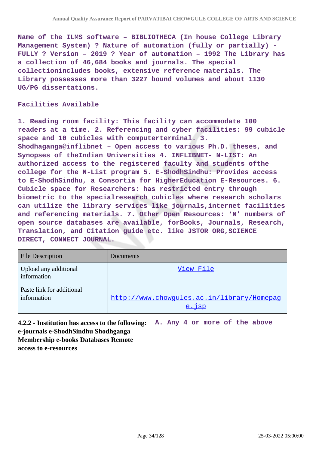**Name of the ILMS software – BIBLIOTHECA (In house College Library Management System) ? Nature of automation (fully or partially) - FULLY ? Version – 2019 ? Year of automation – 1992 The Library has a collection of 46,684 books and journals. The special collectionincludes books, extensive reference materials. The Library possesses more than 3227 bound volumes and about 1130 UG/PG dissertations.**

#### **Facilities Available**

**1. Reading room facility: This facility can accommodate 100 readers at a time. 2. Referencing and cyber facilities: 99 cubicle space and 10 cubicles with computerterminal. 3. Shodhaganga@inflibnet – Open access to various Ph.D. theses, and Synopses of theIndian Universities 4. INFLIBNET- N-LIST: An authorized access to the registered faculty and students ofthe college for the N-List program 5. E-ShodhSindhu: Provides access to E-ShodhSindhu, a Consortia for HigherEducation E-Resources. 6. Cubicle space for Researchers: has restricted entry through biometric to the specialresearch cubicles where research scholars can utilize the library services like journals,internet facilities and referencing materials. 7. Other Open Resources: 'N' numbers of open source databases are available, forBooks, Journals, Research, Translation, and Citation guide etc. like JSTOR ORG,SCIENCE DIRECT, CONNECT JOURNAL.**

| <b>File Description</b>                  | Documents                                                 |
|------------------------------------------|-----------------------------------------------------------|
| Upload any additional<br>information     | View File                                                 |
| Paste link for additional<br>information | http://www.chowgules.ac.in/library/Homepag<br>$e.$ $i$ sp |

**4.2.2 - Institution has access to the following: A. Any 4 or more of the above e-journals e-ShodhSindhu Shodhganga Membership e-books Databases Remote access to e-resources**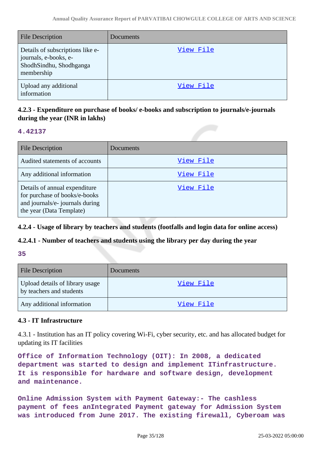| <b>File Description</b>                                                                            | Documents |
|----------------------------------------------------------------------------------------------------|-----------|
| Details of subscriptions like e-<br>journals, e-books, e-<br>ShodhSindhu, Shodhganga<br>membership | View File |
| Upload any additional<br>information                                                               | View File |

# **4.2.3 - Expenditure on purchase of books/ e-books and subscription to journals/e-journals during the year (INR in lakhs)**

### **4.42137**

| <b>File Description</b>                                                                                                       | Documents        |
|-------------------------------------------------------------------------------------------------------------------------------|------------------|
| Audited statements of accounts                                                                                                | View File        |
| Any additional information                                                                                                    | View File        |
| Details of annual expenditure<br>for purchase of books/e-books<br>and journals/e- journals during<br>the year (Data Template) | <u>View File</u> |

**4.2.4 - Usage of library by teachers and students (footfalls and login data for online access)**

### **4.2.4.1 - Number of teachers and students using the library per day during the year**

#### **35**

| <b>File Description</b>                                     | Documents |
|-------------------------------------------------------------|-----------|
| Upload details of library usage<br>by teachers and students | View File |
| Any additional information                                  | View File |

### **4.3 - IT Infrastructure**

4.3.1 - Institution has an IT policy covering Wi-Fi, cyber security, etc. and has allocated budget for updating its IT facilities

**Office of Information Technology (OIT): In 2008, a dedicated department was started to design and implement ITinfrastructure. It is responsible for hardware and software design, development and maintenance.**

**Online Admission System with Payment Gateway:- The cashless payment of fees anIntegrated Payment gateway for Admission System was introduced from June 2017. The existing firewall, Cyberoam was**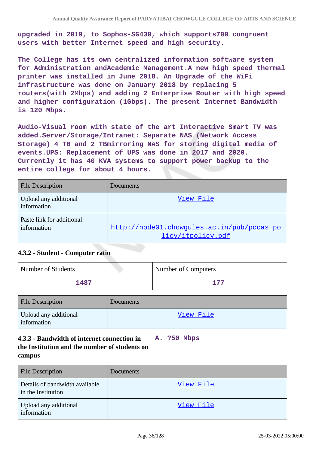**upgraded in 2019, to Sophos-SG430, which supports700 congruent users with better Internet speed and high security.**

**The College has its own centralized information software system for Administration andAcademic Management.A new high speed thermal printer was installed in June 2018. An Upgrade of the WiFi infrastructure was done on January 2018 by replacing 5 routers(with 2Mbps) and adding 2 Enterprise Router with high speed and higher configuration (1Gbps). The present Internet Bandwidth is 120 Mbps.**

**Audio-Visual room with state of the art Interactive Smart TV was added.Server/Storage/Intranet: Separate NAS (Network Access Storage) 4 TB and 2 TBmirroring NAS for storing digital media of events.UPS: Replacement of UPS was done in 2017 and 2020. Currently it has 40 KVA systems to support power backup to the entire college for about 4 hours.**

| <b>File Description</b>                  | Documents                                                       |
|------------------------------------------|-----------------------------------------------------------------|
| Upload any additional<br>information     | View File                                                       |
| Paste link for additional<br>information | http://node01.chowqules.ac.in/pub/pccas_po<br>licy/itpolicy.pdf |

### **4.3.2 - Student - Computer ratio**

| Number of Students | <b>Number of Computers</b> |
|--------------------|----------------------------|
| 1487               | 177                        |

| <b>File Description</b>              | Documents |
|--------------------------------------|-----------|
| Upload any additional<br>information | View File |

#### **4.3.3 - Bandwidth of internet connection in the Institution and the number of students on campus A. ?50 Mbps**

| <b>File Description</b>                              | Documents |
|------------------------------------------------------|-----------|
| Details of bandwidth available<br>in the Institution | View File |
| Upload any additional<br>information                 | View File |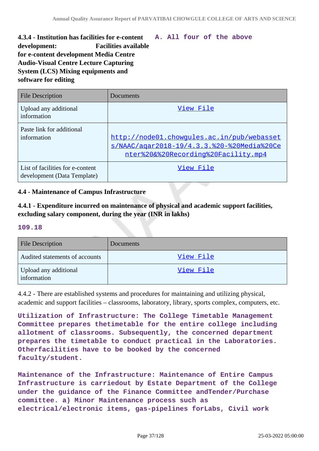## **4.3.4 - Institution has facilities for e-content development: Facilities available for e-content development Media Centre Audio-Visual Centre Lecture Capturing System (LCS) Mixing equipments and software for editing A. All four of the above**

| <b>File Description</b>                                         | Documents                                                                                                                       |
|-----------------------------------------------------------------|---------------------------------------------------------------------------------------------------------------------------------|
| Upload any additional<br>information                            | View File                                                                                                                       |
| Paste link for additional<br>information                        | http://node01.chowgules.ac.in/pub/webasset<br>s/NAAC/agar2018-19/4.3.3.%20-%20Media%20Ce<br>nter%20&%20Recording%20Facility.mp4 |
| List of facilities for e-content<br>development (Data Template) | View File                                                                                                                       |

## **4.4 - Maintenance of Campus Infrastructure**

# **4.4.1 - Expenditure incurred on maintenance of physical and academic support facilities, excluding salary component, during the year (INR in lakhs)**

### **109.18**

| <b>File Description</b>              | Documents        |
|--------------------------------------|------------------|
| Audited statements of accounts       | View File        |
| Upload any additional<br>information | <u>View File</u> |

4.4.2 - There are established systems and procedures for maintaining and utilizing physical, academic and support facilities – classrooms, laboratory, library, sports complex, computers, etc.

**Utilization of Infrastructure: The College Timetable Management Committee prepares thetimetable for the entire college including allotment of classrooms. Subsequently, the concerned department prepares the timetable to conduct practical in the Laboratories. Otherfacilities have to be booked by the concerned faculty/student.**

**Maintenance of the Infrastructure: Maintenance of Entire Campus Infrastructure is carriedout by Estate Department of the College under the guidance of the Finance Committee andTender/Purchase committee. a) Minor Maintenance process such as electrical/electronic items, gas-pipelines forLabs, Civil work**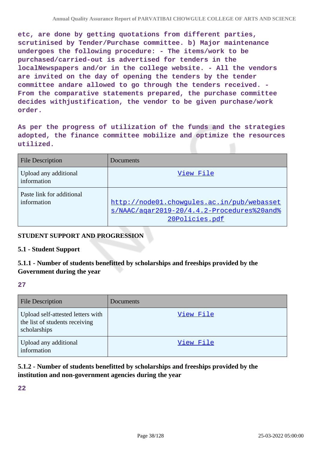**etc, are done by getting quotations from different parties, scrutinised by Tender/Purchase committee. b) Major maintenance undergoes the following procedure: - The items/work to be purchased/carried-out is advertised for tenders in the localNewspapers and/or in the college website. - All the vendors are invited on the day of opening the tenders by the tender committee andare allowed to go through the tenders received. - From the comparative statements prepared, the purchase committee decides withjustification, the vendor to be given purchase/work order.**

**As per the progress of utilization of the funds and the strategies adopted, the finance committee mobilize and optimize the resources utilized.**

| <b>File Description</b>                  | Documents                                                                                                  |
|------------------------------------------|------------------------------------------------------------------------------------------------------------|
| Upload any additional<br>information     | View File                                                                                                  |
| Paste link for additional<br>information | http://node01.chowgules.ac.in/pub/webasset<br>s/NAAC/agar2019-20/4.4.2-Procedures%20and%<br>20Policies.pdf |

# **STUDENT SUPPORT AND PROGRESSION**

## **5.1 - Student Support**

## **5.1.1 - Number of students benefitted by scholarships and freeships provided by the Government during the year**

**27**

| <b>File Description</b>                                                             | Documents |
|-------------------------------------------------------------------------------------|-----------|
| Upload self-attested letters with<br>the list of students receiving<br>scholarships | View File |
| Upload any additional<br>information                                                | View File |

# **5.1.2 - Number of students benefitted by scholarships and freeships provided by the institution and non-government agencies during the year**

**22**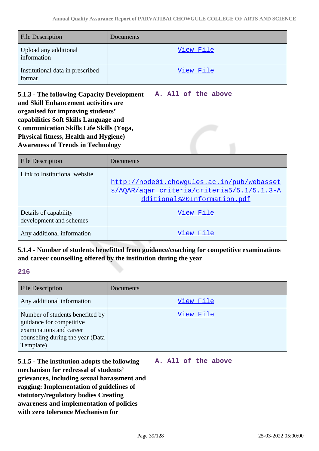**A. All of the above**

| <b>File Description</b>                    | Documents |
|--------------------------------------------|-----------|
| Upload any additional<br>information       | View File |
| Institutional data in prescribed<br>format | View File |

**5.1.3 - The following Capacity Development and Skill Enhancement activities are organised for improving students' capabilities Soft Skills Language and Communication Skills Life Skills (Yoga, Physical fitness, Health and Hygiene) Awareness of Trends in Technology**

| <b>File Description</b>                          | Documents                                                                                                               |
|--------------------------------------------------|-------------------------------------------------------------------------------------------------------------------------|
| Link to Institutional website                    | http://node01.chowgules.ac.in/pub/webasset<br>s/AOAR/agar criteria/criteria5/5.1/5.1.3-A<br>dditional%20Information.pdf |
| Details of capability<br>development and schemes | View File                                                                                                               |
| Any additional information                       | View File                                                                                                               |

**5.1.4 - Number of students benefitted from guidance/coaching for competitive examinations and career counselling offered by the institution during the year**

## **216**

| <b>File Description</b>                                                                                                                 | Documents |
|-----------------------------------------------------------------------------------------------------------------------------------------|-----------|
| Any additional information                                                                                                              | View File |
| Number of students benefited by<br>guidance for competitive<br>examinations and career<br>counseling during the year (Data<br>Template) | View File |

**5.1.5 - The institution adopts the following mechanism for redressal of students' grievances, including sexual harassment and ragging: Implementation of guidelines of statutory/regulatory bodies Creating awareness and implementation of policies with zero tolerance Mechanism for A. All of the above**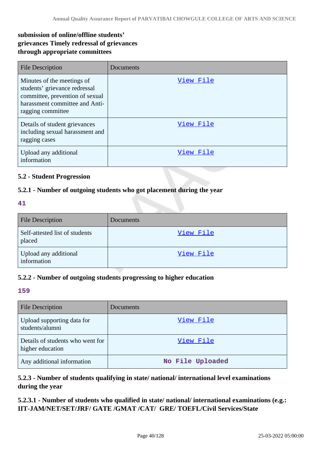# **submission of online/offline students' grievances Timely redressal of grievances through appropriate committees**

| <b>File Description</b>                                                                                                                               | Documents |
|-------------------------------------------------------------------------------------------------------------------------------------------------------|-----------|
| Minutes of the meetings of<br>students' grievance redressal<br>committee, prevention of sexual<br>harassment committee and Anti-<br>ragging committee | View File |
| Details of student grievances<br>including sexual harassment and<br>ragging cases                                                                     | View File |
| Upload any additional<br>information                                                                                                                  | View File |

## **5.2 - Student Progression**

## **5.2.1 - Number of outgoing students who got placement during the year**

### **41**

| <b>File Description</b>                  | Documents |
|------------------------------------------|-----------|
| Self-attested list of students<br>placed | View File |
| Upload any additional<br>information     | View File |

## **5.2.2 - Number of outgoing students progressing to higher education**

### **159**

| <b>File Description</b>                              | Documents        |
|------------------------------------------------------|------------------|
| Upload supporting data for<br>students/alumni        | View File        |
| Details of students who went for<br>higher education | View File        |
| Any additional information                           | No File Uploaded |

# **5.2.3 - Number of students qualifying in state/ national/ international level examinations during the year**

**5.2.3.1 - Number of students who qualified in state/ national/ international examinations (e.g.: IIT-JAM/NET/SET/JRF/ GATE /GMAT /CAT/ GRE/ TOEFL/Civil Services/State**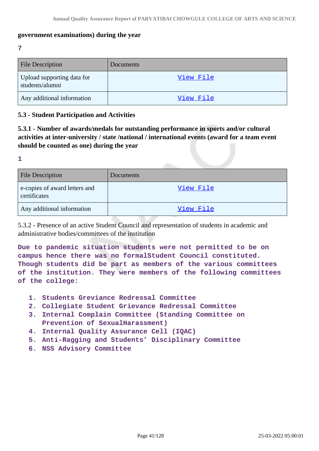## **government examinations) during the year**

**7**

| <b>File Description</b>                       | <b>Documents</b> |
|-----------------------------------------------|------------------|
| Upload supporting data for<br>students/alumni | View File        |
| Any additional information                    | View File        |

## **5.3 - Student Participation and Activities**

**5.3.1 - Number of awards/medals for outstanding performance in sports and/or cultural activities at inter-university / state /national / international events (award for a team event should be counted as one) during the year**

**1**

| <b>File Description</b>                       | Documents |
|-----------------------------------------------|-----------|
| e-copies of award letters and<br>certificates | View File |
| Any additional information                    | View File |

5.3.2 - Presence of an active Student Council and representation of students in academic and administrative bodies/committees of the institution

**Due to pandemic situation students were not permitted to be on campus hence there was no formalStudent Council constituted. Though students did be part as members of the various committees of the institution. They were members of the following committees of the college:**

- **1. Students Greviance Redressal Committee**
- **2. Collegiate Student Grievance Redressal Committee**
- **3. Internal Complain Committee (Standing Committee on Prevention of SexualHarassment)**
- **4. Internal Quality Assurance Cell (IQAC)**
- **5. Anti-Ragging and Students' Disciplinary Committee**
- **6. NSS Advisory Committee**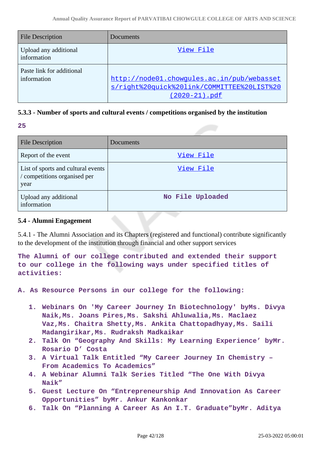| <b>File Description</b>                  | Documents                                                                                                      |
|------------------------------------------|----------------------------------------------------------------------------------------------------------------|
| Upload any additional<br>information     | View File                                                                                                      |
| Paste link for additional<br>information | http://node01.chowgules.ac.in/pub/webasset<br>s/right%20quick%20link/COMMITTEE%20LIST%20<br>$(2020 - 21)$ .pdf |

## **5.3.3 - Number of sports and cultural events / competitions organised by the institution**

**25**

| <b>File Description</b>                                                    | Documents        |
|----------------------------------------------------------------------------|------------------|
| Report of the event                                                        | View File        |
| List of sports and cultural events<br>/ competitions organised per<br>year | View File        |
| Upload any additional<br>information                                       | No File Uploaded |

## **5.4 - Alumni Engagement**

5.4.1 - The Alumni Association and its Chapters (registered and functional) contribute significantly to the development of the institution through financial and other support services

**The Alumni of our college contributed and extended their support to our college in the following ways under specified titles of activities:**

**A. As Resource Persons in our college for the following:**

- **1. Webinars On 'My Career Journey In Biotechnology' byMs. Divya Naik,Ms. Joans Pires,Ms. Sakshi Ahluwalia,Ms. Maclaez Vaz,Ms. Chaitra Shetty,Ms. Ankita Chattopadhyay,Ms. Saili Madangirikar,Ms. Rudraksh Madkaikar**
- **2. Talk On "Geography And Skills: My Learning Experience' byMr. Rosario D' Costa**
- **3. A Virtual Talk Entitled "My Career Journey In Chemistry – From Academics To Academics"**
- **4. A Webinar Alumni Talk Series Titled "The One With Divya Naik"**
- **5. Guest Lecture On "Entrepreneurship And Innovation As Career Opportunities" byMr. Ankur Kankonkar**
- **6. Talk On "Planning A Career As An I.T. Graduate"byMr. Aditya**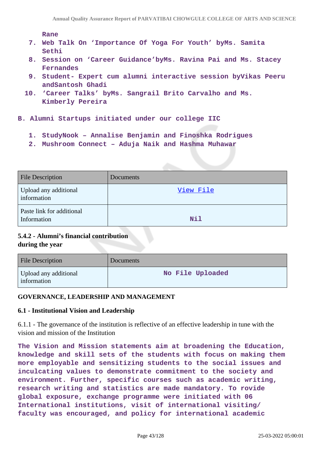#### **Rane**

- **7. Web Talk On 'Importance Of Yoga For Youth' byMs. Samita Sethi**
- **8. Session on 'Career Guidance'byMs. Ravina Pai and Ms. Stacey Fernandes**
- **9. Student- Expert cum alumni interactive session byVikas Peeru andSantosh Ghadi**
- **10. 'Career Talks' byMs. Sangrail Brito Carvalho and Ms. Kimberly Pereira**
- **B. Alumni Startups initiated under our college IIC** 
	- **1. StudyNook Annalise Benjamin and Finoshka Rodrigues**
	- **2. Mushroom Connect Aduja Naik and Hashma Muhawar**

| <b>File Description</b>                  | Documents |
|------------------------------------------|-----------|
| Upload any additional<br>information     | View File |
| Paste link for additional<br>Information | Nil       |

## **5.4.2 - Alumni's financial contribution during the year**

| <b>File Description</b>              | Documents        |
|--------------------------------------|------------------|
| Upload any additional<br>information | No File Uploaded |

## **GOVERNANCE, LEADERSHIP AND MANAGEMENT**

## **6.1 - Institutional Vision and Leadership**

6.1.1 - The governance of the institution is reflective of an effective leadership in tune with the vision and mission of the Institution

**The Vision and Mission statements aim at broadening the Education, knowledge and skill sets of the students with focus on making them more employable and sensitizing students to the social issues and inculcating values to demonstrate commitment to the society and environment. Further, specific courses such as academic writing, research writing and statistics are made mandatory. To rovide global exposure, exchange programme were initiated with 06 International institutions, visit of international visiting/ faculty was encouraged, and policy for international academic**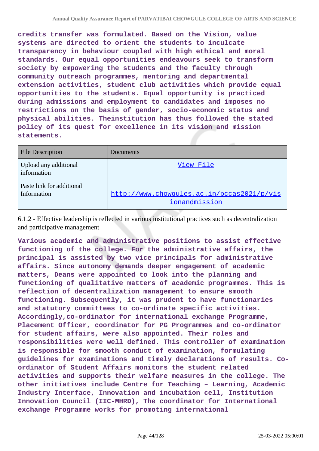**credits transfer was formulated. Based on the Vision, value systems are directed to orient the students to inculcate transparency in behaviour coupled with high ethical and moral standards. Our equal opportunities endeavours seek to transform society by empowering the students and the faculty through community outreach programmes, mentoring and departmental extension activities, student club activities which provide equal opportunities to the students. Equal opportunity is practiced during admissions and employment to candidates and imposes no restrictions on the basis of gender, socio-economic status and physical abilities. Theinstitution has thus followed the stated policy of its quest for excellence in its vision and mission statements.**

| <b>File Description</b>                  | Documents                                                   |
|------------------------------------------|-------------------------------------------------------------|
| Upload any additional<br>information     | View File                                                   |
| Paste link for additional<br>Information | http://www.chowqules.ac.in/pccas2021/p/vis<br>ionandmission |

6.1.2 - Effective leadership is reflected in various institutional practices such as decentralization and participative management

**Various academic and administrative positions to assist effective functioning of the college. For the administrative affairs, the principal is assisted by two vice principals for administrative affairs. Since autonomy demands deeper engagement of academic matters, Deans were appointed to look into the planning and functioning of qualitative matters of academic programmes. This is reflection of decentralization management to ensure smooth functioning. Subsequently, it was prudent to have functionaries and statutory committees to co-ordinate specific activities. Accordingly,co-ordinator for international exchange Programme, Placement Officer, coordinator for PG Programmes and co-ordinator for student affairs, were also appointed. Their roles and responsibilities were well defined. This controller of examination is responsible for smooth conduct of examination, formulating guidelines for examinations and timely declarations of results. Coordinator of Student Affairs monitors the student related activities and supports their welfare measures in the college. The other initiatives include Centre for Teaching – Learning, Academic Industry Interface, Innovation and incubation cell, Institution Innovation Council (IIC-MHRD), The coordinator for International exchange Programme works for promoting international**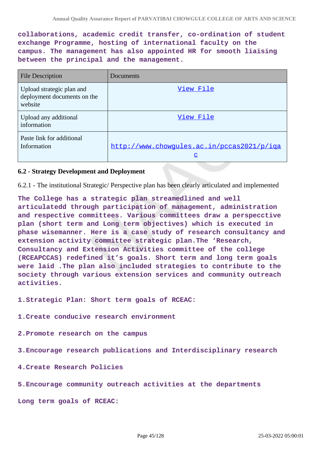**collaborations, academic credit transfer, co-ordination of student exchange Programme, hosting of international faculty on the campus. The management has also appointed HR for smooth liaising between the principal and the management.**

| <b>File Description</b>                                             | Documents                                              |
|---------------------------------------------------------------------|--------------------------------------------------------|
| Upload strategic plan and<br>deployment documents on the<br>website | View File                                              |
| Upload any additional<br>information                                | View File                                              |
| Paste link for additional<br>Information                            | http://www.chowqules.ac.in/pccas2021/p/iqa<br><u>c</u> |

### **6.2 - Strategy Development and Deployment**

6.2.1 - The institutional Strategic/ Perspective plan has been clearly articulated and implemented

**The College has a strategic plan streamedlined and well articulatedd through participation of management, administration and respective committees. Various committees draw a perspecctive plan (short term and Long term objectives) which is executed in phase wisemanner. Here is a case study of research consultancy and extension activity committee strategic plan.The 'Research, Consultancy and Extension Activities committee of the college (RCEAPCCAS) redefined it's goals. Short term and long term goals were laid .The plan also included strategies to contribute to the society through various extension services and community outreach activities.**

**1.Strategic Plan: Short term goals of RCEAC:**

**1.Create conducive research environment**

**2.Promote research on the campus**

**3.Encourage research publications and Interdisciplinary research**

**4.Create Research Policies**

**5.Encourage community outreach activities at the departments**

**Long term goals of RCEAC:**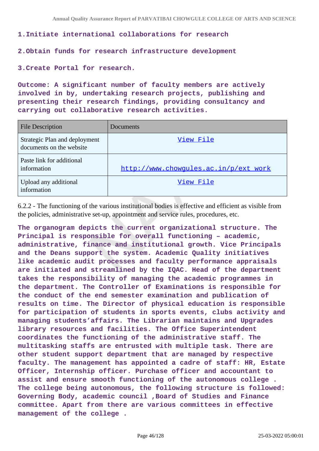### **1.Initiate international collaborations for research**

### **2.Obtain funds for research infrastructure development**

**3.Create Portal for research.**

**Outcome: A significant number of faculty members are actively involved in by, undertaking research projects, publishing and presenting their research findings, providing consultancy and carrying out collaborative research activities.**

| <b>File Description</b>                                   | Documents                             |
|-----------------------------------------------------------|---------------------------------------|
| Strategic Plan and deployment<br>documents on the website | View File                             |
| Paste link for additional<br>information                  | http://www.chowgules.ac.in/p/ext_work |
| Upload any additional<br>information                      | View File                             |

6.2.2 - The functioning of the various institutional bodies is effective and efficient as visible from the policies, administrative set-up, appointment and service rules, procedures, etc.

**The organogram depicts the current organizational structure. The Principal is responsible for overall functioning – academic, administrative, finance and institutional growth. Vice Principals and the Deans support the system. Academic Quality initiatives like academic audit processes and faculty performance appraisals are initiated and streamlined by the IQAC. Head of the department takes the responsibility of managing the academic programmes in the department. The Controller of Examinations is responsible for the conduct of the end semester examination and publication of results on time. The Director of physical education is responsible for participation of students in sports events, clubs activity and managing students'affairs. The Librarian maintains and Upgrades library resources and facilities. The Office Superintendent coordinates the functioning of the administrative staff. The multitasking staffs are entrusted with multiple task. There are other student support department that are managed by respective faculty. The management has appointed a cadre of staff: HR, Estate Officer, Internship officer. Purchase officer and accountant to assist and ensure smooth functioning of the autonomous college . The college being autonomous, the following structure is followed: Governing Body, academic council ,Board of Studies and Finance committee. Apart from there are various committees in effective management of the college .**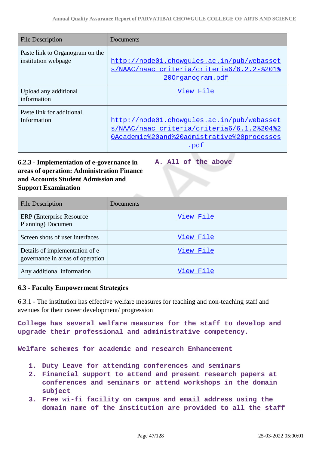**A. All of the above**

| <b>File Description</b>                                | Documents                                                                                                                                      |
|--------------------------------------------------------|------------------------------------------------------------------------------------------------------------------------------------------------|
| Paste link to Organogram on the<br>institution webpage | http://node01.chowqules.ac.in/pub/webasset<br>s/NAAC/naac criteria/criteria6/6.2.2-%201%<br>200rganogram.pdf                                   |
| Upload any additional<br>information                   | View File                                                                                                                                      |
| Paste link for additional<br>Information               | http://node01.chowqules.ac.in/pub/webasset<br>s/NAAC/naac criteria/criteria6/6.1.2%204%2<br>OAcademic%20and%20admistrative%20processes<br>.pdf |

# **6.2.3 - Implementation of e-governance in areas of operation: Administration Finance and Accounts Student Admission and Support Examination**

| <b>File Description</b>                                             | Documents |
|---------------------------------------------------------------------|-----------|
| <b>ERP</b> (Enterprise Resource)<br>Planning) Documen               | View File |
| Screen shots of user interfaces                                     | View File |
| Details of implementation of e-<br>governance in areas of operation | View File |
| Any additional information                                          | View File |

## **6.3 - Faculty Empowerment Strategies**

6.3.1 - The institution has effective welfare measures for teaching and non-teaching staff and avenues for their career development/ progression

**College has several welfare measures for the staff to develop and upgrade their professional and administrative competency.**

**Welfare schemes for academic and research Enhancement**

- **1. Duty Leave for attending conferences and seminars**
- **2. Financial support to attend and present research papers at conferences and seminars or attend workshops in the domain subject**
- **3. Free wi-fi facility on campus and email address using the domain name of the institution are provided to all the staff**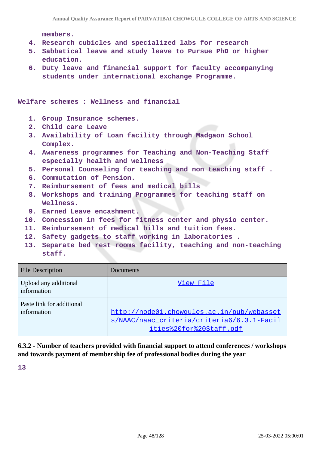**members.**

- **4. Research cubicles and specialized labs for research**
- **5. Sabbatical leave and study leave to Pursue PhD or higher education.**
- **6. Duty leave and financial support for faculty accompanying students under international exchange Programme.**

**Welfare schemes : Wellness and financial**

- **1. Group Insurance schemes.**
- **2. Child care Leave**
- **3. Availability of Loan facility through Madgaon School Complex.**
- **4. Awareness programmes for Teaching and Non-Teaching Staff especially health and wellness**
- **5. Personal Counseling for teaching and non teaching staff .**
- **6. Commutation of Pension.**
- **7. Reimbursement of fees and medical bills**
- **8. Workshops and training Programmes for teaching staff on Wellness.**
- **9. Earned Leave encashment.**
- **10. Concession in fees for fitness center and physio center.**
- **11. Reimbursement of medical bills and tuition fees.**
- **12. Safety gadgets to staff working in laboratories .**
- **13. Separate bed rest rooms facility, teaching and non-teaching staff.**

| <b>File Description</b>                  | Documents                                                                                                           |
|------------------------------------------|---------------------------------------------------------------------------------------------------------------------|
| Upload any additional<br>information     | View File                                                                                                           |
| Paste link for additional<br>information | http://node01.chowqules.ac.in/pub/webasset<br>s/NAAC/naac criteria/criteria6/6.3.1-Facil<br>ities%20for%20Staff.pdf |

**6.3.2 - Number of teachers provided with financial support to attend conferences / workshops and towards payment of membership fee of professional bodies during the year**

**13**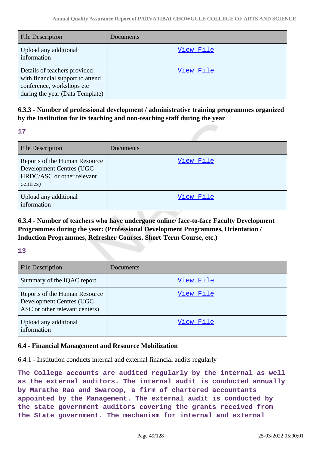| <b>File Description</b>                                                                                                          | Documents |
|----------------------------------------------------------------------------------------------------------------------------------|-----------|
| Upload any additional<br>information                                                                                             | View File |
| Details of teachers provided<br>with financial support to attend<br>conference, workshops etc<br>during the year (Data Template) | View File |

**6.3.3 - Number of professional development / administrative training programmes organized by the Institution for its teaching and non-teaching staff during the year**

**17**

| <b>File Description</b>                                                                             | Documents |
|-----------------------------------------------------------------------------------------------------|-----------|
| Reports of the Human Resource<br>Development Centres (UGC<br>HRDC/ASC or other relevant<br>centres) | View File |
| Upload any additional<br>information                                                                | View File |

**6.3.4 - Number of teachers who have undergone online/ face-to-face Faculty Development Programmes during the year: (Professional Development Programmes, Orientation / Induction Programmes, Refresher Courses, Short-Term Course, etc.)**

## **13**

| <b>File Description</b>                                                                     | Documents |
|---------------------------------------------------------------------------------------------|-----------|
| Summary of the IQAC report                                                                  | View File |
| Reports of the Human Resource<br>Development Centres (UGC<br>ASC or other relevant centers) | View File |
| Upload any additional<br>information                                                        | View File |

## **6.4 - Financial Management and Resource Mobilization**

6.4.1 - Institution conducts internal and external financial audits regularly

**The College accounts are audited regularly by the internal as well as the external auditors. The internal audit is conducted annually by Marathe Rao and Swaroop, a firm of chartered accountants appointed by the Management. The external audit is conducted by the state government auditors covering the grants received from the State government. The mechanism for internal and external**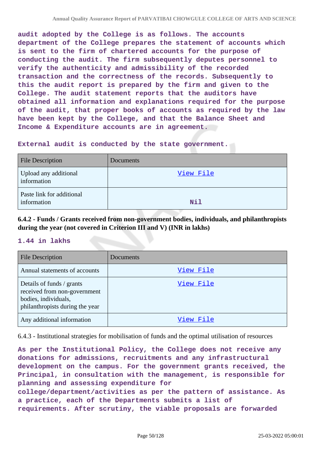**audit adopted by the College is as follows. The accounts department of the College prepares the statement of accounts which is sent to the firm of chartered accounts for the purpose of conducting the audit. The firm subsequently deputes personnel to verify the authenticity and admissibility of the recorded transaction and the correctness of the records. Subsequently to this the audit report is prepared by the firm and given to the College. The audit statement reports that the auditors have obtained all information and explanations required for the purpose of the audit, that proper books of accounts as required by the law have been kept by the College, and that the Balance Sheet and Income & Expenditure accounts are in agreement.**

**External audit is conducted by the state government.**

| <b>File Description</b>                  | Documents  |
|------------------------------------------|------------|
| Upload any additional<br>information     | View File  |
| Paste link for additional<br>information | <b>Nil</b> |

**6.4.2 - Funds / Grants received from non-government bodies, individuals, and philanthropists during the year (not covered in Criterion III and V) (INR in lakhs)**

## **1.44 in lakhs**

| <b>File Description</b>                                                                                              | Documents |
|----------------------------------------------------------------------------------------------------------------------|-----------|
| Annual statements of accounts                                                                                        | View File |
| Details of funds / grants<br>received from non-government<br>bodies, individuals,<br>philanthropists during the year | View File |
| Any additional information                                                                                           | View File |

6.4.3 - Institutional strategies for mobilisation of funds and the optimal utilisation of resources

**As per the Institutional Policy, the College does not receive any donations for admissions, recruitments and any infrastructural development on the campus. For the government grants received, the Principal, in consultation with the management, is responsible for planning and assessing expenditure for college/department/activities as per the pattern of assistance. As a practice, each of the Departments submits a list of requirements. After scrutiny, the viable proposals are forwarded**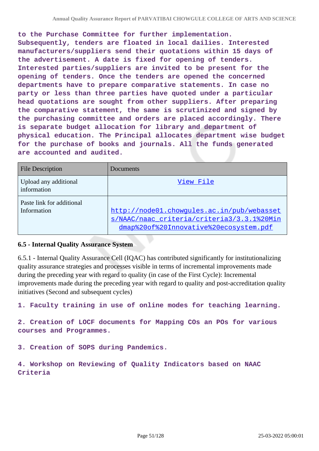**to the Purchase Committee for further implementation. Subsequently, tenders are floated in local dailies. Interested manufacturers/suppliers send their quotations within 15 days of the advertisement. A date is fixed for opening of tenders. Interested parties/suppliers are invited to be present for the opening of tenders. Once the tenders are opened the concerned departments have to prepare comparative statements. In case no party or less than three parties have quoted under a particular head quotations are sought from other suppliers. After preparing the comparative statement, the same is scrutinized and signed by the purchasing committee and orders are placed accordingly. There is separate budget allocation for library and department of physical education. The Principal allocates department wise budget for the purchase of books and journals. All the funds generated are accounted and audited.**

| <b>File Description</b>                  | Documents                                                                                                                          |
|------------------------------------------|------------------------------------------------------------------------------------------------------------------------------------|
| Upload any additional<br>information     | View File                                                                                                                          |
| Paste link for additional<br>Information | http://node01.chowgules.ac.in/pub/webasset<br>s/NAAC/naac criteria/criteria3/3.3.1%20Min<br>dmap%20of%20Innovative%20ecosystem.pdf |

## **6.5 - Internal Quality Assurance System**

6.5.1 - Internal Quality Assurance Cell (IQAC) has contributed significantly for institutionalizing quality assurance strategies and processes visible in terms of incremental improvements made during the preceding year with regard to quality (in case of the First Cycle): Incremental improvements made during the preceding year with regard to quality and post-accreditation quality initiatives (Second and subsequent cycles)

**1. Faculty training in use of online modes for teaching learning.**

**2. Creation of LOCF documents for Mapping COs an POs for various courses and Programmes.**

**3. Creation of SOPS during Pandemics.**

**4. Workshop on Reviewing of Quality Indicators based on NAAC Criteria**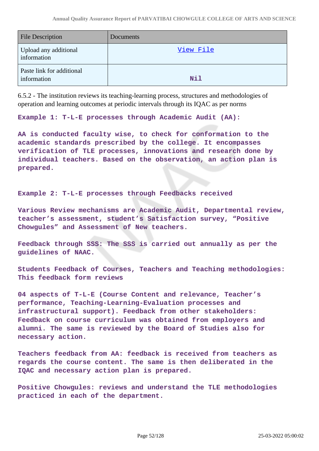| <b>File Description</b>                  | Documents  |
|------------------------------------------|------------|
| Upload any additional<br>information     | View File  |
| Paste link for additional<br>information | <b>Nil</b> |

6.5.2 - The institution reviews its teaching-learning process, structures and methodologies of operation and learning outcomes at periodic intervals through its IQAC as per norms

**Example 1: T-L-E processes through Academic Audit (AA):**

**AA is conducted faculty wise, to check for conformation to the academic standards prescribed by the college. It encompasses verification of TLE processes, innovations and research done by individual teachers. Based on the observation, an action plan is prepared.**

**Example 2: T-L-E processes through Feedbacks received**

**Various Review mechanisms are Academic Audit, Departmental review, teacher's assessment, student's Satisfaction survey, "Positive Chowgules" and Assessment of New teachers.**

**Feedback through SSS: The SSS is carried out annually as per the guidelines of NAAC.**

**Students Feedback of Courses, Teachers and Teaching methodologies: This feedback form reviews**

**04 aspects of T-L-E (Course Content and relevance, Teacher's performance, Teaching-Learning-Evaluation processes and infrastructural support). Feedback from other stakeholders: Feedback on course curriculum was obtained from employers and alumni. The same is reviewed by the Board of Studies also for necessary action.**

**Teachers feedback from AA: feedback is received from teachers as regards the course content. The same is then deliberated in the IQAC and necessary action plan is prepared.**

**Positive Chowgules: reviews and understand the TLE methodologies practiced in each of the department.**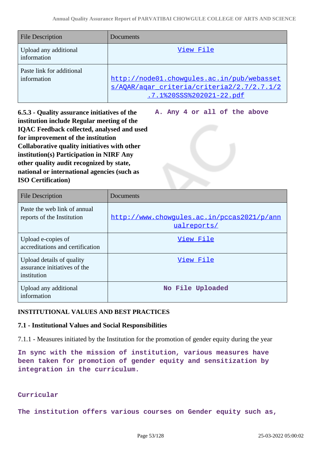| <b>File Description</b>                  | Documents                                                                                                            |
|------------------------------------------|----------------------------------------------------------------------------------------------------------------------|
| Upload any additional<br>information     | View File                                                                                                            |
| Paste link for additional<br>information | http://node01.chowgules.ac.in/pub/webasset<br>s/AOAR/agar criteria/criteria2/2.7/2.7.1/2<br>.7.1%20SSS%202021-22.pdf |

**6.5.3 - Quality assurance initiatives of the institution include Regular meeting of the IQAC Feedback collected, analysed and used for improvement of the institution Collaborative quality initiatives with other institution(s) Participation in NIRF Any other quality audit recognized by state, national or international agencies (such as ISO Certification)**

**A. Any 4 or all of the above**

| <b>File Description</b>                                                  | Documents                                                 |
|--------------------------------------------------------------------------|-----------------------------------------------------------|
| Paste the web link of annual<br>reports of the Institution               | http://www.chowgules.ac.in/pccas2021/p/ann<br>ualreports/ |
| Upload e-copies of<br>accreditations and certification                   | View File                                                 |
| Upload details of quality<br>assurance initiatives of the<br>institution | View File                                                 |
| Upload any additional<br>information                                     | No File Uploaded                                          |

# **INSTITUTIONAL VALUES AND BEST PRACTICES**

## **7.1 - Institutional Values and Social Responsibilities**

7.1.1 - Measures initiated by the Institution for the promotion of gender equity during the year

**In sync with the mission of institution, various measures have been taken for promotion of gender equity and sensitization by integration in the curriculum.**

## **Curricular**

**The institution offers various courses on Gender equity such as,**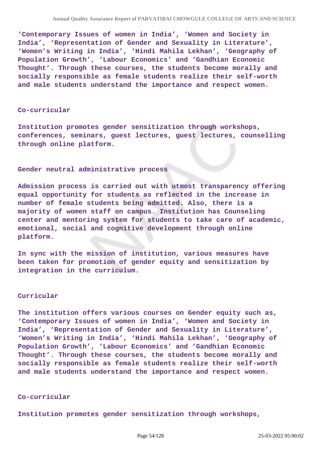**'Contemporary Issues of women in India', 'Women and Society in India', 'Representation of Gender and Sexuality in Literature', 'Women's Writing in India', 'Hindi Mahila Lekhan', 'Geography of Population Growth', 'Labour Economics' and 'Gandhian Economic Thought'. Through these courses, the students become morally and socially responsible as female students realize their self-worth and male students understand the importance and respect women.**

#### **Co-curricular**

**Institution promotes gender sensitization through workshops, conferences, seminars, guest lectures, guest lectures, counselling through online platform.**

#### **Gender neutral administrative process**

**Admission process is carried out with utmost transparency offering equal opportunity for students as reflected in the increase in number of female students being admitted. Also, there is a majority of women staff on campus. Institution has Counseling center and mentoring system for students to take care of academic, emotional, social and cognitive development through online platform.**

**In sync with the mission of institution, various measures have been taken for promotion of gender equity and sensitization by integration in the curriculum.**

#### **Curricular**

**The institution offers various courses on Gender equity such as, 'Contemporary Issues of women in India', 'Women and Society in India', 'Representation of Gender and Sexuality in Literature', 'Women's Writing in India', 'Hindi Mahila Lekhan', 'Geography of Population Growth', 'Labour Economics' and 'Gandhian Economic Thought'. Through these courses, the students become morally and socially responsible as female students realize their self-worth and male students understand the importance and respect women.**

### **Co-curricular**

**Institution promotes gender sensitization through workshops,**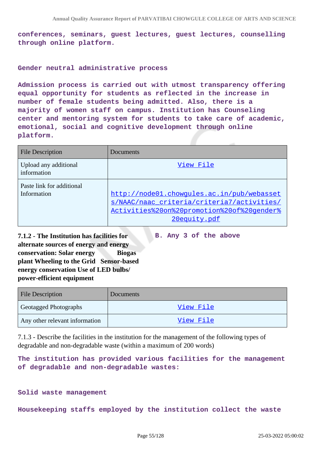**conferences, seminars, guest lectures, guest lectures, counselling through online platform.**

### **Gender neutral administrative process**

**Admission process is carried out with utmost transparency offering equal opportunity for students as reflected in the increase in number of female students being admitted. Also, there is a majority of women staff on campus. Institution has Counseling center and mentoring system for students to take care of academic, emotional, social and cognitive development through online platform.**

| <b>File Description</b>                  | Documents                                                                                                                                              |
|------------------------------------------|--------------------------------------------------------------------------------------------------------------------------------------------------------|
| Upload any additional<br>information     | View File                                                                                                                                              |
| Paste link for additional<br>Information | http://node01.chowqules.ac.in/pub/webasset<br>s/NAAC/naac criteria/criteria7/activities/<br>Activities%20on%20promotion%20of%20qender%<br>20equity.pdf |

**B. Any 3 of the above**

**7.1.2 - The Institution has facilities for alternate sources of energy and energy conservation: Solar energy Biogas plant Wheeling to the Grid Sensor-based energy conservation Use of LED bulbs/ power-efficient equipment** 

File Description Documents Geotagged Photographs (Second Laborator [View File](https://assessmentonline.naac.gov.in/storage/app/public/aqar/16634/16634_295_674.pdf?1648207795) Any other relevant information and the view File

7.1.3 - Describe the facilities in the institution for the management of the following types of degradable and non-degradable waste (within a maximum of 200 words)

**The institution has provided various facilities for the management of degradable and non-degradable wastes:**

#### **Solid waste management**

**Housekeeping staffs employed by the institution collect the waste**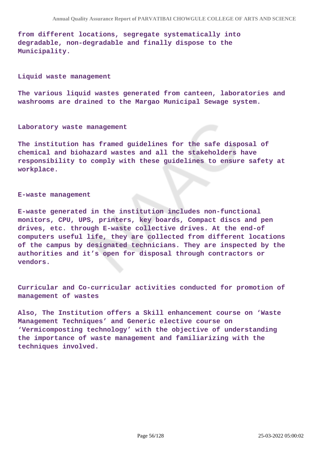**from different locations, segregate systematically into degradable, non-degradable and finally dispose to the Municipality.**

#### **Liquid waste management**

**The various liquid wastes generated from canteen, laboratories and washrooms are drained to the Margao Municipal Sewage system.**

#### **Laboratory waste management**

**The institution has framed guidelines for the safe disposal of chemical and biohazard wastes and all the stakeholders have responsibility to comply with these guidelines to ensure safety at workplace.**

#### **E-waste management**

**E-waste generated in the institution includes non-functional monitors, CPU, UPS, printers, key boards, Compact discs and pen drives, etc. through E-waste collective drives. At the end-of computers useful life, they are collected from different locations of the campus by designated technicians. They are inspected by the authorities and it's open for disposal through contractors or vendors.**

**Curricular and Co-curricular activities conducted for promotion of management of wastes**

**Also, The Institution offers a Skill enhancement course on 'Waste Management Techniques' and Generic elective course on 'Vermicomposting technology' with the objective of understanding the importance of waste management and familiarizing with the techniques involved.**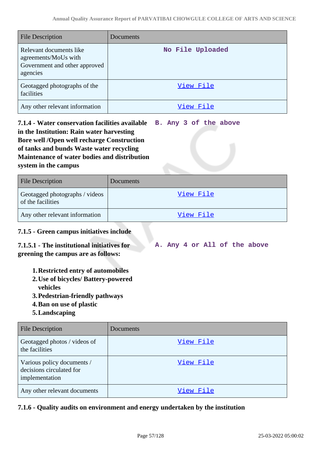| <b>File Description</b>                                                                      | Documents        |
|----------------------------------------------------------------------------------------------|------------------|
| Relevant documents like<br>agreements/MoUs with<br>Government and other approved<br>agencies | No File Uploaded |
| Geotagged photographs of the<br>facilities                                                   | View File        |
| Any other relevant information                                                               | View File        |

**7.1.4 - Water conservation facilities available in the Institution: Rain water harvesting Bore well /Open well recharge Construction of tanks and bunds Waste water recycling Maintenance of water bodies and distribution system in the campus B. Any 3 of the above**

| <b>File Description</b>                             | Documents        |
|-----------------------------------------------------|------------------|
| Geotagged photographs / videos<br>of the facilities | <u>View File</u> |
| Any other relevant information                      | View File        |

## **7.1.5 - Green campus initiatives include**

#### **7.1.5.1 - The institutional initiatives for greening the campus are as follows: A. Any 4 or All of the above**

- **1.Restricted entry of automobiles**
- **2.Use of bicycles/ Battery-powered**
	- **vehicles**
- **3.Pedestrian-friendly pathways**
- **4.Ban on use of plastic**
- **5.Landscaping**

| <b>File Description</b>                                                  | Documents |
|--------------------------------------------------------------------------|-----------|
| Geotagged photos / videos of<br>the facilities                           | View File |
| Various policy documents /<br>decisions circulated for<br>implementation | View File |
| Any other relevant documents                                             | View File |

**7.1.6 - Quality audits on environment and energy undertaken by the institution**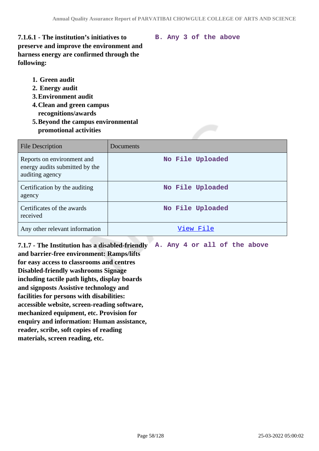**B. Any 3 of the above**

**7.1.6.1 - The institution's initiatives to preserve and improve the environment and harness energy are confirmed through the following:**

- **1. Green audit**
- **2. Energy audit**
- **3.Environment audit**
- **4.Clean and green campus recognitions/awards**
- **5.Beyond the campus environmental promotional activities**

| <b>File Description</b>                                                         | Documents        |
|---------------------------------------------------------------------------------|------------------|
| Reports on environment and<br>energy audits submitted by the<br>auditing agency | No File Uploaded |
| Certification by the auditing<br>agency                                         | No File Uploaded |
| Certificates of the awards<br>received                                          | No File Uploaded |
| Any other relevant information                                                  | View File        |

**7.1.7 - The Institution has a disabled-friendly and barrier-free environment: Ramps/lifts for easy access to classrooms and centres Disabled-friendly washrooms Signage including tactile path lights, display boards and signposts Assistive technology and facilities for persons with disabilities: accessible website, screen-reading software, mechanized equipment, etc. Provision for enquiry and information: Human assistance, reader, scribe, soft copies of reading materials, screen reading, etc.**

**A. Any 4 or all of the above**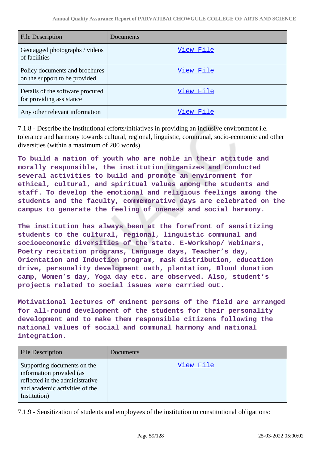| <b>File Description</b>                                         | Documents |
|-----------------------------------------------------------------|-----------|
| Geotagged photographs / videos<br>of facilities                 | View File |
| Policy documents and brochures<br>on the support to be provided | View File |
| Details of the software procured<br>for providing assistance    | View File |
| Any other relevant information                                  | View File |

7.1.8 - Describe the Institutional efforts/initiatives in providing an inclusive environment i.e. tolerance and harmony towards cultural, regional, linguistic, communal, socio-economic and other diversities (within a maximum of 200 words).

**To build a nation of youth who are noble in their attitude and morally responsible, the institution organizes and conducted several activities to build and promote an environment for ethical, cultural, and spiritual values among the students and staff. To develop the emotional and religious feelings among the students and the faculty, commemorative days are celebrated on the campus to generate the feeling of oneness and social harmony.**

**The institution has always been at the forefront of sensitizing students to the cultural, regional, linguistic communal and socioeconomic diversities of the state. E-Workshop/ Webinars, Poetry recitation programs, Language days, Teacher's day, Orientation and Induction program, mask distribution, education drive, personality development oath, plantation, Blood donation camp, Women's day, Yoga day etc. are observed. Also, student's projects related to social issues were carried out.**

**Motivational lectures of eminent persons of the field are arranged for all-round development of the students for their personality development and to make them responsible citizens following the national values of social and communal harmony and national integration.**

| <b>File Description</b>                                                                                                                      | Documents |
|----------------------------------------------------------------------------------------------------------------------------------------------|-----------|
| Supporting documents on the<br>information provided (as<br>reflected in the administrative<br>and academic activities of the<br>Institution) | View File |

7.1.9 - Sensitization of students and employees of the institution to constitutional obligations: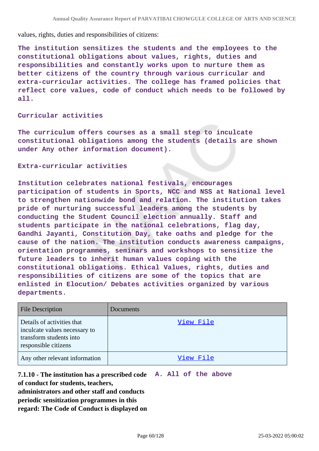values, rights, duties and responsibilities of citizens:

**The institution sensitizes the students and the employees to the constitutional obligations about values, rights, duties and responsibilities and constantly works upon to nurture them as better citizens of the country through various curricular and extra-curricular activities. The college has framed policies that reflect core values, code of conduct which needs to be followed by all.**

## **Curricular activities**

**The curriculum offers courses as a small step to inculcate constitutional obligations among the students (details are shown under Any other information document).**

#### **Extra-curricular activities**

**Institution celebrates national festivals, encourages participation of students in Sports, NCC and NSS at National level to strengthen nationwide bond and relation. The institution takes pride of nurturing successful leaders among the students by conducting the Student Council election annually. Staff and students participate in the national celebrations, flag day, Gandhi Jayanti, Constitution Day, take oaths and pledge for the cause of the nation. The institution conducts awareness campaigns, orientation programmes, seminars and workshops to sensitize the future leaders to inherit human values coping with the constitutional obligations. Ethical Values, rights, duties and responsibilities of citizens are some of the topics that are enlisted in Elocution/ Debates activities organized by various departments.**

| <b>File Description</b>                                                                                        | Documents |
|----------------------------------------------------------------------------------------------------------------|-----------|
| Details of activities that<br>inculcate values necessary to<br>transform students into<br>responsible citizens | View File |
| Any other relevant information                                                                                 | View File |

**7.1.10 - The institution has a prescribed code A. All of the above of conduct for students, teachers, administrators and other staff and conducts periodic sensitization programmes in this regard: The Code of Conduct is displayed on**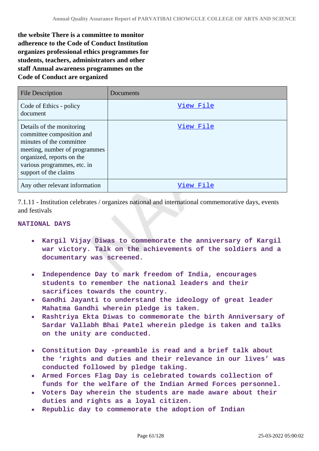**the website There is a committee to monitor adherence to the Code of Conduct Institution organizes professional ethics programmes for students, teachers, administrators and other staff Annual awareness programmes on the Code of Conduct are organized** 

| <b>File Description</b>                                                                                                                                                                                  | Documents |
|----------------------------------------------------------------------------------------------------------------------------------------------------------------------------------------------------------|-----------|
| Code of Ethics - policy<br>document                                                                                                                                                                      | View File |
| Details of the monitoring<br>committee composition and<br>minutes of the committee<br>meeting, number of programmes<br>organized, reports on the<br>various programmes, etc. in<br>support of the claims | View File |
| Any other relevant information                                                                                                                                                                           | View File |

7.1.11 - Institution celebrates / organizes national and international commemorative days, events and festivals

### **NATIONAL DAYS**

- **Kargil Vijay Diwas to commemorate the anniversary of Kargil war victory. Talk on the achievements of the soldiers and a documentary was screened.**
- **Independence Day to mark freedom of India, encourages**  $\bullet$ **students to remember the national leaders and their sacrifices towards the country.**
- **Gandhi Jayanti to understand the ideology of great leader Mahatma Gandhi wherein pledge is taken.**
- **Rashtriya Ekta Diwas to commemorate the birth Anniversary of Sardar Vallabh Bhai Patel wherein pledge is taken and talks on the unity are conducted.**
- **Constitution Day -preamble is read and a brief talk about the 'rights and duties and their relevance in our lives' was conducted followed by pledge taking.**
- **Armed Forces Flag Day is celebrated towards collection of funds for the welfare of the Indian Armed Forces personnel.**
- **Voters Day wherein the students are made aware about their duties and rights as a loyal citizen.**
- **Republic day to commemorate the adoption of Indian**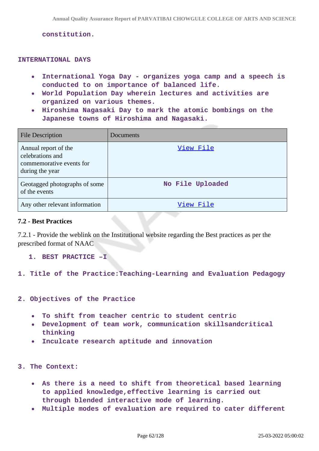**constitution.**

#### **INTERNATIONAL DAYS**

- **International Yoga Day organizes yoga camp and a speech is conducted to on importance of balanced life.**
- **World Population Day wherein lectures and activities are organized on various themes.**
- **Hiroshima Nagasaki Day to mark the atomic bombings on the Japanese towns of Hiroshima and Nagasaki.**

| <b>File Description</b>                                                                 | Documents        |
|-----------------------------------------------------------------------------------------|------------------|
| Annual report of the<br>celebrations and<br>commemorative events for<br>during the year | View File        |
| Geotagged photographs of some<br>of the events                                          | No File Uploaded |
| Any other relevant information                                                          | View File        |

### **7.2 - Best Practices**

7.2.1 - Provide the weblink on the Institutional website regarding the Best practices as per the prescribed format of NAAC

### **1. BEST PRACTICE –I**

## **1. Title of the Practice:Teaching-Learning and Evaluation Pedagogy**

### **2. Objectives of the Practice**

- **To shift from teacher centric to student centric**  $\bullet$
- **Development of team work, communication skillsandcritical thinking**
- **Inculcate research aptitude and innovation**

### **3. The Context:**

- **As there is a need to shift from theoretical based learning to applied knowledge,effective learning is carried out through blended interactive mode of learning.**
- **Multiple modes of evaluation are required to cater different**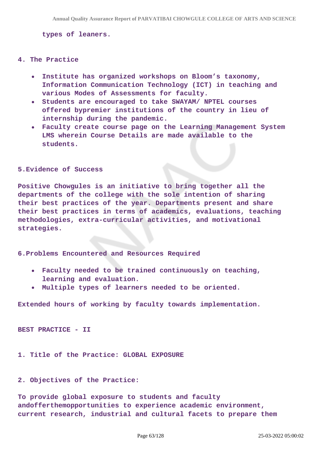**types of leaners.**

#### **4. The Practice**

- **Institute has organized workshops on Bloom's taxonomy, Information Communication Technology (ICT) in teaching and various Modes of Assessments for faculty.**
- **Students are encouraged to take SWAYAM/ NPTEL courses offered bypremier institutions of the country in lieu of internship during the pandemic.**
- **Faculty create course page on the Learning Management System LMS wherein Course Details are made available to the students.**

#### **5.Evidence of Success**

**Positive Chowgules is an initiative to bring together all the departments of the college with the sole intention of sharing their best practices of the year. Departments present and share their best practices in terms of academics, evaluations, teaching methodologies, extra-curricular activities, and motivational strategies.**

**6.Problems Encountered and Resources Required**

- **Faculty needed to be trained continuously on teaching, learning and evaluation.**
- **Multiple types of learners needed to be oriented.**

**Extended hours of working by faculty towards implementation.**

**BEST PRACTICE - II**

**1. Title of the Practice: GLOBAL EXPOSURE** 

### **2. Objectives of the Practice:**

**To provide global exposure to students and faculty andofferthemopportunities to experience academic environment, current research, industrial and cultural facets to prepare them**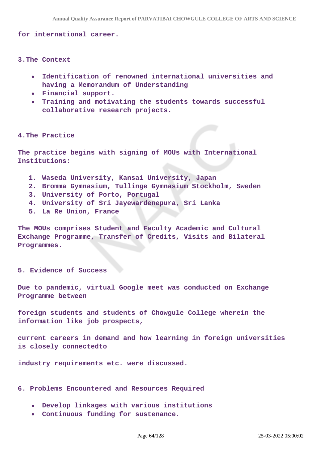**for international career.**

**3.The Context** 

- **Identification of renowned international universities and having a Memorandum of Understanding**
- **Financial support.**
- **Training and motivating the students towards successful collaborative research projects.**

#### **4.The Practice**

**The practice begins with signing of MOUs with International Institutions:**

- **1. Waseda University, Kansai University, Japan**
- **2. Bromma Gymnasium, Tullinge Gymnasium Stockholm, Sweden**
- **3. University of Porto, Portugal**
- **4. University of Sri Jayewardenepura, Sri Lanka**
- **5. La Re Union, France**

**The MOUs comprises Student and Faculty Academic and Cultural Exchange Programme, Transfer of Credits, Visits and Bilateral Programmes.**

#### **5. Evidence of Success**

**Due to pandemic, virtual Google meet was conducted on Exchange Programme between**

**foreign students and students of Chowgule College wherein the information like job prospects,**

**current careers in demand and how learning in foreign universities is closely connectedto**

**industry requirements etc. were discussed.**

**6. Problems Encountered and Resources Required** 

- **Develop linkages with various institutions**
- **Continuous funding for sustenance.**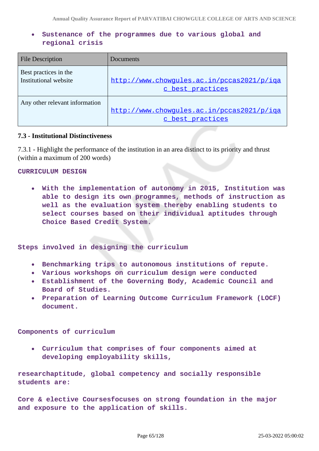## **Sustenance of the programmes due to various global and regional crisis**

| <b>File Description</b>                        | Documents                                                      |
|------------------------------------------------|----------------------------------------------------------------|
| Best practices in the<br>Institutional website | http://www.chowgules.ac.in/pccas2021/p/iqa<br>c best practices |
| Any other relevant information                 | http://www.chowqules.ac.in/pccas2021/p/iqa<br>c best practices |

## **7.3 - Institutional Distinctiveness**

7.3.1 - Highlight the performance of the institution in an area distinct to its priority and thrust (within a maximum of 200 words)

### **CURRICULUM DESIGN**

**With the implementation of autonomy in 2015, Institution was able to design its own programmes, methods of instruction as well as the evaluation system thereby enabling students to select courses based on their individual aptitudes through Choice Based Credit System.**

**Steps involved in designing the curriculum**

- **Benchmarking trips to autonomous institutions of repute.**
- **Various workshops on curriculum design were conducted**
- **Establishment of the Governing Body, Academic Council and Board of Studies.**
- **Preparation of Learning Outcome Curriculum Framework (LOCF) document.**

**Components of curriculum**

**Curriculum that comprises of four components aimed at developing employability skills,**

**researchaptitude, global competency and socially responsible students are:**

**Core & elective Coursesfocuses on strong foundation in the major and exposure to the application of skills.**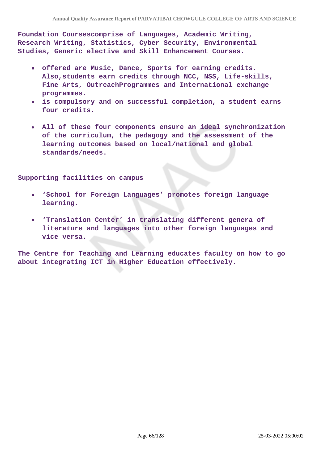**Foundation Coursescomprise of Languages, Academic Writing, Research Writing, Statistics, Cyber Security, Environmental Studies, Generic elective and Skill Enhancement Courses.**

- **offered are Music, Dance, Sports for earning credits. Also,students earn credits through NCC, NSS, Life-skills, Fine Arts, OutreachProgrammes and International exchange programmes.**
- **is compulsory and on successful completion, a student earns four credits.**
- **All of these four components ensure an ideal synchronization of the curriculum, the pedagogy and the assessment of the learning outcomes based on local/national and global standards/needs.**

**Supporting facilities on campus**

- $\bullet$ **'School for Foreign Languages' promotes foreign language learning.**
- **'Translation Center' in translating different genera of literature and languages into other foreign languages and vice versa.**

**The Centre for Teaching and Learning educates faculty on how to go about integrating ICT in Higher Education effectively.**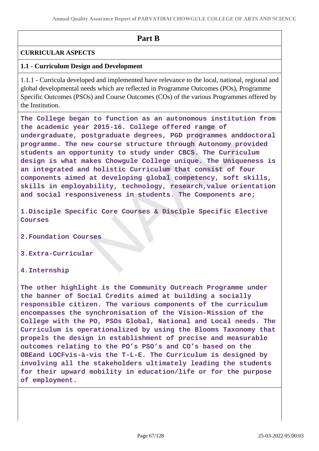# **Part B**

## **CURRICULAR ASPECTS**

## **1.1 - Curriculum Design and Development**

1.1.1 - Curricula developed and implemented have relevance to the local, national, regional and global developmental needs which are reflected in Programme Outcomes (POs), Programme Specific Outcomes (PSOs) and Course Outcomes (COs) of the various Programmes offered by the Institution.

**The College began to function as an autonomous institution from the academic year 2015-16. College offered range of undergraduate, postgraduate degrees, PGD programmes anddoctoral programme. The new course structure through Autonomy provided students an opportunity to study under CBCS. The Curriculum design is what makes Chowgule College unique. The Uniqueness is an integrated and holistic Curriculum that consist of four components aimed at developing global competency, soft skills, skills in employability, technology, research,value orientation and social responsiveness in students. The Components are;**

**1.Disciple Specific Core Courses & Disciple Specific Elective Courses**

**2.Foundation Courses**

**3.Extra-Curricular**

**4.Internship**

**The other highlight is the Community Outreach Programme under the banner of Social Credits aimed at building a socially responsible citizen. The various components of the curriculum encompasses the synchronisation of the Vision-Mission of the College with the PO, PSOs Global, National and Local needs. The Curriculum is operationalized by using the Blooms Taxonomy that propels the design in establishment of precise and measurable outcomes relating to the PO's PSO's and CO's based on the OBEand LOCFvis-à-vis the T-L-E. The Curriculum is designed by involving all the stakeholders ultimately leading the students for their upward mobility in education/life or for the purpose of employment.**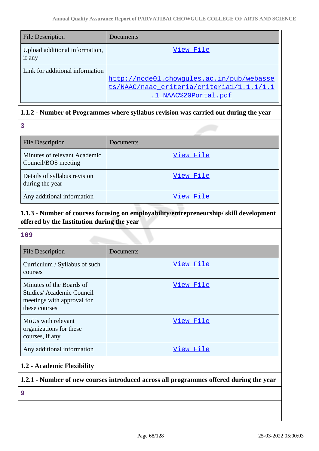| <b>File Description</b>                  | Documents                                 |
|------------------------------------------|-------------------------------------------|
| Upload additional information,<br>if any | View File                                 |
| Link for additional information          |                                           |
|                                          | http://node01.chowgules.ac.in/pub/webasse |
|                                          | ts/NAAC/naac criteria/criterial/1.1.1/1.1 |
|                                          | .1 NAAC%20Portal.pdf                      |

## **1.1.2 - Number of Programmes where syllabus revision was carried out during the year**

| 3                                                   |           |
|-----------------------------------------------------|-----------|
| <b>File Description</b>                             | Documents |
| Minutes of relevant Academic<br>Council/BOS meeting | View File |
| Details of syllabus revision<br>during the year     | View File |
| Any additional information                          | View File |

# **1.1.3 - Number of courses focusing on employability/entrepreneurship/ skill development offered by the Institution during the year**

## **109**

| <b>File Description</b>                                                                             | Documents |
|-----------------------------------------------------------------------------------------------------|-----------|
| Curriculum / Syllabus of such<br>courses                                                            | View File |
| Minutes of the Boards of<br>Studies/Academic Council<br>meetings with approval for<br>these courses | View File |
| MoUs with relevant<br>organizations for these<br>courses, if any                                    | View File |
| Any additional information                                                                          | View File |

## **1.2 - Academic Flexibility**

# **1.2.1 - Number of new courses introduced across all programmes offered during the year**

**9**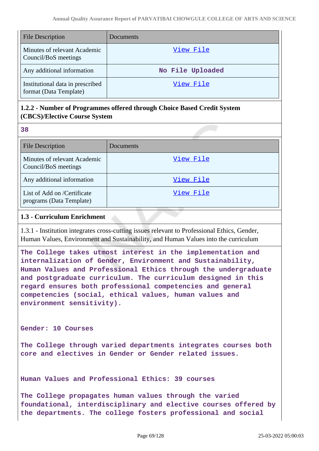| <b>File Description</b>                                    | Documents        |
|------------------------------------------------------------|------------------|
| Minutes of relevant Academic<br>Council/BoS meetings       | View File        |
| Any additional information                                 | No File Uploaded |
| Institutional data in prescribed<br>format (Data Template) | View File        |

# **1.2.2 - Number of Programmes offered through Choice Based Credit System (CBCS)/Elective Course System**

**38**

| <b>File Description</b>                                 | Documents |
|---------------------------------------------------------|-----------|
| Minutes of relevant Academic<br>Council/BoS meetings    | View File |
| Any additional information                              | View File |
| List of Add on /Certificate<br>programs (Data Template) | View File |

# **1.3 - Curriculum Enrichment**

1.3.1 - Institution integrates cross-cutting issues relevant to Professional Ethics, Gender, Human Values, Environment and Sustainability, and Human Values into the curriculum

**The College takes utmost interest in the implementation and internalization of Gender, Environment and Sustainability, Human Values and Professional Ethics through the undergraduate and postgraduate curriculum. The curriculum designed in this regard ensures both professional competencies and general competencies (social, ethical values, human values and environment sensitivity).**

**Gender: 10 Courses**

**The College through varied departments integrates courses both core and electives in Gender or Gender related issues.**

**Human Values and Professional Ethics: 39 courses**

**The College propagates human values through the varied foundational, interdisciplinary and elective courses offered by the departments. The college fosters professional and social**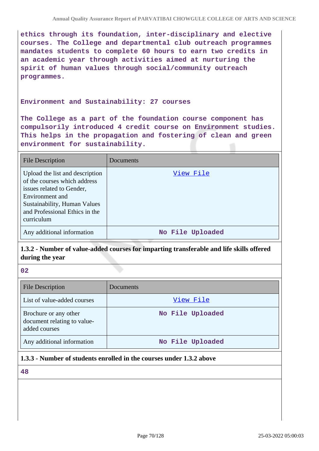**ethics through its foundation, inter-disciplinary and elective courses. The College and departmental club outreach programmes mandates students to complete 60 hours to earn two credits in an academic year through activities aimed at nurturing the spirit of human values through social/community outreach programmes.**

### **Environment and Sustainability: 27 courses**

**The College as a part of the foundation course component has compulsorily introduced 4 credit course on Environment studies. This helps in the propagation and fostering of clean and green environment for sustainability.**

| <b>File Description</b>                                                                                                                                                                         | Documents        |
|-------------------------------------------------------------------------------------------------------------------------------------------------------------------------------------------------|------------------|
| Upload the list and description<br>of the courses which address<br>issues related to Gender,<br>Environment and<br>Sustainability, Human Values<br>and Professional Ethics in the<br>curriculum | View File        |
| Any additional information                                                                                                                                                                      | No File Uploaded |

**1.3.2 - Number of value-added courses for imparting transferable and life skills offered during the year**

**02**

| <b>File Description</b>                                               | Documents        |
|-----------------------------------------------------------------------|------------------|
| List of value-added courses                                           | View File        |
| Brochure or any other<br>document relating to value-<br>added courses | No File Uploaded |
| Any additional information                                            | No File Uploaded |

## **1.3.3 - Number of students enrolled in the courses under 1.3.2 above**

**48**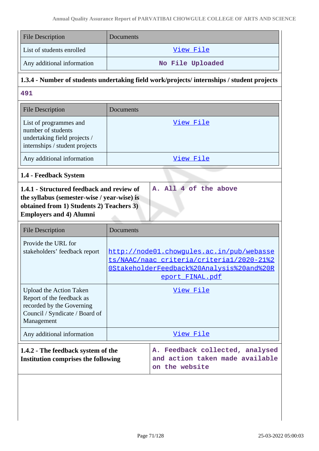| <b>File Description</b>                                                                                                           | Documents                                                                                                                                                           |  |  |  |
|-----------------------------------------------------------------------------------------------------------------------------------|---------------------------------------------------------------------------------------------------------------------------------------------------------------------|--|--|--|
| List of students enrolled                                                                                                         | View File                                                                                                                                                           |  |  |  |
| Any additional information                                                                                                        | No File Uploaded                                                                                                                                                    |  |  |  |
| 1.3.4 - Number of students undertaking field work/projects/ internships / student projects                                        |                                                                                                                                                                     |  |  |  |
| 491                                                                                                                               |                                                                                                                                                                     |  |  |  |
| <b>File Description</b>                                                                                                           | Documents                                                                                                                                                           |  |  |  |
| List of programmes and<br>number of students<br>undertaking field projects /<br>internships / student projects                    | <u>View File</u>                                                                                                                                                    |  |  |  |
| Any additional information                                                                                                        | View File                                                                                                                                                           |  |  |  |
| 1.4 - Feedback System                                                                                                             |                                                                                                                                                                     |  |  |  |
| the syllabus (semester-wise / year-wise) is                                                                                       |                                                                                                                                                                     |  |  |  |
| obtained from 1) Students 2) Teachers 3)<br><b>Employers and 4) Alumni</b>                                                        |                                                                                                                                                                     |  |  |  |
| <b>File Description</b><br>Provide the URL for<br>stakeholders' feedback report                                                   | Documents<br>http://node01.chowqules.ac.in/pub/webasse<br>ts/NAAC/naac criteria/criteria1/2020-21%2<br>OStakeholderFeedback%20Analysis%20and%20R<br>eport_FINAL.pdf |  |  |  |
| Upload the Action Taken<br>Report of the feedback as<br>recorded by the Governing<br>Council / Syndicate / Board of<br>Management | <u>View File</u>                                                                                                                                                    |  |  |  |
| Any additional information                                                                                                        | <u>View File</u>                                                                                                                                                    |  |  |  |
| 1.4.2 - The feedback system of the<br><b>Institution comprises the following</b>                                                  | A. Feedback collected, analysed<br>and action taken made available<br>on the website                                                                                |  |  |  |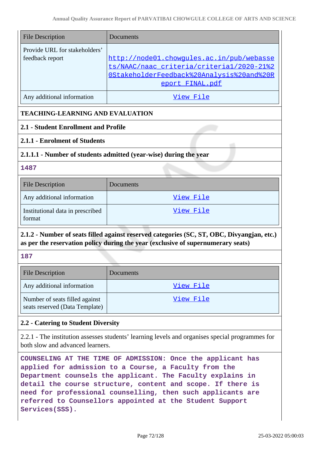| <b>File Description</b>                          | Documents                                                                                                                                              |
|--------------------------------------------------|--------------------------------------------------------------------------------------------------------------------------------------------------------|
| Provide URL for stakeholders'<br>feedback report | http://node01.chowgules.ac.in/pub/webasse<br>ts/NAAC/naac_criteria/criterial/2020-21%2<br>OStakeholderFeedback%20Analysis%20and%20R<br>eport FINAL.pdf |
| Any additional information                       | View File                                                                                                                                              |

# **TEACHING-LEARNING AND EVALUATION**

## **2.1 - Student Enrollment and Profile**

## **2.1.1 - Enrolment of Students**

## **2.1.1.1 - Number of students admitted (year-wise) during the year**

## **1487**

| <b>File Description</b>                    | Documents |
|--------------------------------------------|-----------|
| Any additional information                 | View File |
| Institutional data in prescribed<br>format | View File |

# **2.1.2 - Number of seats filled against reserved categories (SC, ST, OBC, Divyangjan, etc.) as per the reservation policy during the year (exclusive of supernumerary seats)**

## **187**

| <b>File Description</b>                                          | <b>Documents</b> |
|------------------------------------------------------------------|------------------|
| Any additional information                                       | View File        |
| Number of seats filled against<br>seats reserved (Data Template) | View File        |

## **2.2 - Catering to Student Diversity**

2.2.1 - The institution assesses students' learning levels and organises special programmes for both slow and advanced learners.

**COUNSELING AT THE TIME OF ADMISSION: Once the applicant has applied for admission to a Course, a Faculty from the Department counsels the applicant. The Faculty explains in detail the course structure, content and scope. If there is need for professional counselling, then such applicants are referred to Counsellors appointed at the Student Support Services(SSS).**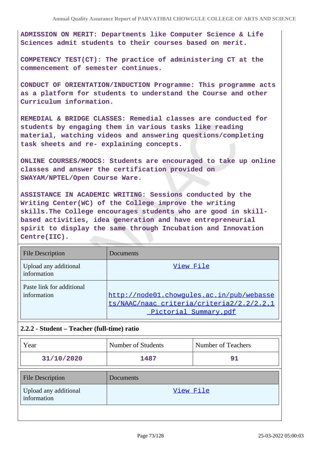**ADMISSION ON MERIT: Departments like Computer Science & Life Sciences admit students to their courses based on merit.**

**COMPETENCY TEST(CT): The practice of administering CT at the commencement of semester continues.**

**CONDUCT OF ORIENTATION/INDUCTION Programme: This programme acts as a platform for students to understand the Course and other Curriculum information.**

**REMEDIAL & BRIDGE CLASSES: Remedial classes are conducted for students by engaging them in various tasks like reading material, watching videos and answering questions/completing task sheets and re- explaining concepts.**

**ONLINE COURSES/MOOCS: Students are encouraged to take up online classes and answer the certification provided on SWAYAM/NPTEL/Open Course Ware.**

**ASSISTANCE IN ACADEMIC WRITING: Sessions conducted by the Writing Center(WC) of the College improve the writing skills.The College encourages students who are good in skillbased activities, idea generation and have entrepreneurial spirit to display the same through Incubation and Innovation Centre(IIC).**

| <b>File Description</b>                  | Documents                                                                                                       |
|------------------------------------------|-----------------------------------------------------------------------------------------------------------------|
| Upload any additional<br>information     | View File                                                                                                       |
| Paste link for additional<br>information | http://node01.chowgules.ac.in/pub/webasse<br>ts/NAAC/naac_criteria/criteria2/2.2/2.2.1<br>Pictorial Summary.pdf |

## **2.2.2 - Student – Teacher (full-time) ratio**

| Year                                 | Number of Students | Number of Teachers |
|--------------------------------------|--------------------|--------------------|
| 31/10/2020                           | 1487               | 91                 |
| <b>File Description</b>              | Documents          |                    |
| Upload any additional<br>information | View File          |                    |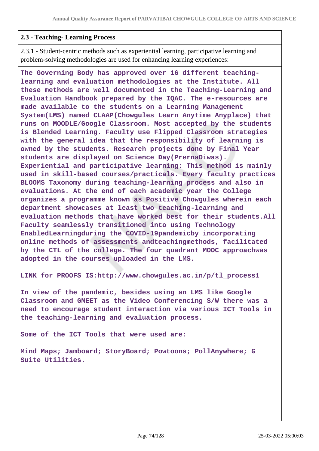### **2.3 - Teaching- Learning Process**

2.3.1 - Student-centric methods such as experiential learning, participative learning and problem-solving methodologies are used for enhancing learning experiences:

**The Governing Body has approved over 16 different teachinglearning and evaluation methodologies at the Institute. All these methods are well documented in the Teaching-Learning and Evaluation Handbook prepared by the IQAC. The e-resources are made available to the students on a Learning Management System(LMS) named CLAAP(Chowgules Learn Anytime Anyplace) that runs on MOODLE/Google Classroom. Most accepted by the students is Blended Learning. Faculty use Flipped Classroom strategies with the general idea that the responsibility of learning is owned by the students. Research projects done by Final Year students are displayed on Science Day(PrernaDiwas). Experiential and participative learning: This method is mainly used in skill-based courses/practicals. Every faculty practices BLOOMS Taxonomy during teaching-learning process and also in evaluations. At the end of each academic year the College organizes a programme known as Positive Chowgules wherein each department showcases at least two teaching-learning and evaluation methods that have worked best for their students.All Faculty seamlessly transitioned into using Technology EnabledLearningduring the COVID-19pandemicby incorporating online methods of assessments andteachingmethods, facilitated by the CTL of the college. The four quadrant MOOC approachwas adopted in the courses uploaded in the LMS.**

**LINK for PROOFS IS:http://www.chowgules.ac.in/p/tl\_process1**

**In view of the pandemic, besides using an LMS like Google Classroom and GMEET as the Video Conferencing S/W there was a need to encourage student interaction via various ICT Tools in the teaching-learning and evaluation process.**

**Some of the ICT Tools that were used are:**

**Mind Maps; Jamboard; StoryBoard; Powtoons; PollAnywhere; G Suite Utilities.**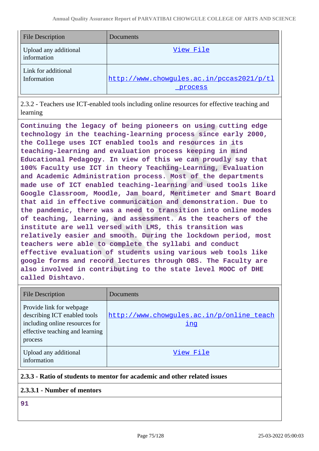| <b>File Description</b>              | Documents                                            |
|--------------------------------------|------------------------------------------------------|
| Upload any additional<br>information | View File                                            |
| Link for additional<br>Information   | http://www.chowgules.ac.in/pccas2021/p/tl<br>process |

2.3.2 - Teachers use ICT-enabled tools including online resources for effective teaching and learning

**Continuing the legacy of being pioneers on using cutting edge technology in the teaching-learning process since early 2000, the College uses ICT enabled tools and resources in its teaching-learning and evaluation process keeping in mind Educational Pedagogy. In view of this we can proudly say that 100% Faculty use ICT in theory Teaching-Learning, Evaluation and Academic Administration process. Most of the departments made use of ICT enabled teaching-learning and used tools like Google Classroom, Moodle, Jam board, Mentimeter and Smart Board that aid in effective communication and demonstration. Due to the pandemic, there was a need to transition into online modes of teaching, learning, and assessment. As the teachers of the institute are well versed with LMS, this transition was relatively easier and smooth. During the lockdown period, most teachers were able to complete the syllabi and conduct effective evaluation of students using various web tools like google forms and record lectures through OBS. The Faculty are also involved in contributing to the state level MOOC of DHE called Dishtavo.**

| <b>File Description</b>                                                                                                                  | Documents                                               |
|------------------------------------------------------------------------------------------------------------------------------------------|---------------------------------------------------------|
| Provide link for webpage<br>describing ICT enabled tools<br>including online resources for<br>effective teaching and learning<br>process | http://www.chowgules.ac.in/p/online_teach<br><u>inq</u> |
| Upload any additional<br>information                                                                                                     | View File                                               |

## **2.3.3 - Ratio of students to mentor for academic and other related issues**

## **2.3.3.1 - Number of mentors**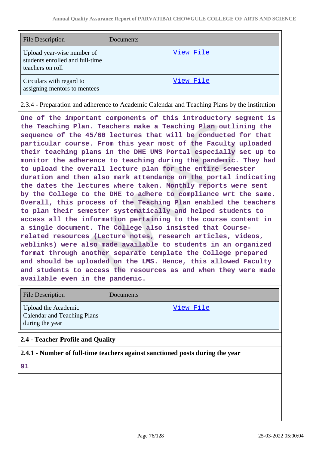| <b>File Description</b>                                                           | Documents |
|-----------------------------------------------------------------------------------|-----------|
| Upload year-wise number of<br>students enrolled and full-time<br>teachers on roll | View File |
| Circulars with regard to<br>assigning mentors to mentees                          | View File |

2.3.4 - Preparation and adherence to Academic Calendar and Teaching Plans by the institution

**One of the important components of this introductory segment is the Teaching Plan. Teachers make a Teaching Plan outlining the sequence of the 45/60 lectures that will be conducted for that particular course. From this year most of the Faculty uploaded their teaching plans in the DHE UMS Portal especially set up to monitor the adherence to teaching during the pandemic. They had to upload the overall lecture plan for the entire semester duration and then also mark attendance on the portal indicating the dates the lectures where taken. Monthly reports were sent by the College to the DHE to adhere to compliance wrt the same. Overall, this process of the Teaching Plan enabled the teachers to plan their semester systematically and helped students to access all the information pertaining to the course content in a single document. The College also insisted that Courserelated resources (Lecture notes, research articles, videos, weblinks) were also made available to students in an organized format through another separate template the College prepared and should be uploaded on the LMS. Hence, this allowed Faculty and students to access the resources as and when they were made available even in the pandemic.**

| <b>File Description</b>                                                      | <b>Documents</b> |
|------------------------------------------------------------------------------|------------------|
| Upload the Academic<br><b>Calendar and Teaching Plans</b><br>during the year | View File        |

## **2.4 - Teacher Profile and Quality**

**2.4.1 - Number of full-time teachers against sanctioned posts during the year**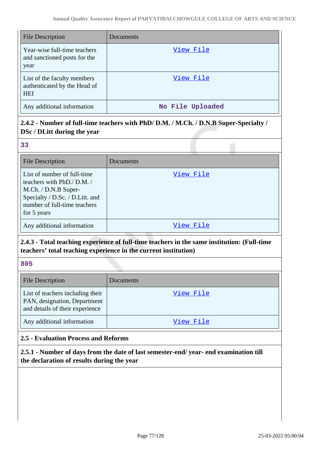| <b>File Description</b>                                                   | Documents        |
|---------------------------------------------------------------------------|------------------|
| Year-wise full-time teachers<br>and sanctioned posts for the<br>year      | View File        |
| List of the faculty members<br>authenticated by the Head of<br><b>HEI</b> | View File        |
| Any additional information                                                | No File Uploaded |

# **2.4.2 - Number of full-time teachers with PhD/ D.M. / M.Ch. / D.N.B Super-Specialty / DSc / DLitt during the year**

| ٠                          | m.  |
|----------------------------|-----|
| ×                          | ×   |
| $\mathcal{L}^{\text{max}}$ |     |
|                            |     |
| ×                          | ×   |
| ۰,                         | I   |
|                            |     |
| - 1                        | - 3 |
|                            |     |

| <b>File Description</b>                                                                                                                                            | Documents |
|--------------------------------------------------------------------------------------------------------------------------------------------------------------------|-----------|
| List of number of full-time<br>teachers with PhD./ D.M./<br>M.Ch. / D.N.B Super-<br>Specialty / D.Sc. / D.Litt. and<br>number of full-time teachers<br>for 5 years | View File |
| Any additional information                                                                                                                                         | View File |

# **2.4.3 - Total teaching experience of full-time teachers in the same institution: (Full-time teachers' total teaching experience in the current institution)**

**805**

| File Description                                                                                    | Documents |
|-----------------------------------------------------------------------------------------------------|-----------|
| List of teachers including their<br>PAN, designation, Department<br>and details of their experience | View File |
| Any additional information                                                                          | View File |

# **2.5 - Evaluation Process and Reforms**

**2.5.1 - Number of days from the date of last semester-end/ year- end examination till the declaration of results during the year**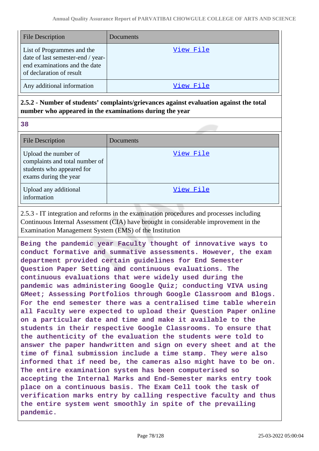| <b>File Description</b>                                                                                                      | Documents |
|------------------------------------------------------------------------------------------------------------------------------|-----------|
| List of Programmes and the<br>date of last semester-end / year-<br>end examinations and the date<br>of declaration of result | View File |
| Any additional information                                                                                                   | View File |

# **2.5.2 - Number of students' complaints/grievances against evaluation against the total number who appeared in the examinations during the year**

**38**

| <b>File Description</b>                                                                                      | Documents |
|--------------------------------------------------------------------------------------------------------------|-----------|
| Upload the number of<br>complaints and total number of<br>students who appeared for<br>exams during the year | View File |
| Upload any additional<br>information                                                                         | View File |

2.5.3 - IT integration and reforms in the examination procedures and processes including Continuous Internal Assessment (CIA) have brought in considerable improvement in the Examination Management System (EMS) of the Institution

**Being the pandemic year Faculty thought of innovative ways to conduct formative and summative assessments. However, the exam department provided certain guidelines for End Semester Question Paper Setting and continuous evaluations. The continuous evaluations that were widely used during the pandemic was administering Google Quiz; conducting VIVA using GMeet; Assessing Portfolios through Google Classroom and Blogs. For the end semester there was a centralised time table wherein all Faculty were expected to upload their Question Paper online on a particular date and time and make it available to the students in their respective Google Classrooms. To ensure that the authenticity of the evaluation the students were told to answer the paper handwritten and sign on every sheet and at the time of final submission include a time stamp. They were also informed that if need be, the cameras also might have to be on. The entire examination system has been computerised so accepting the Internal Marks and End-Semester marks entry took place on a continuous basis. The Exam Cell took the task of verification marks entry by calling respective faculty and thus the entire system went smoothly in spite of the prevailing pandemic.**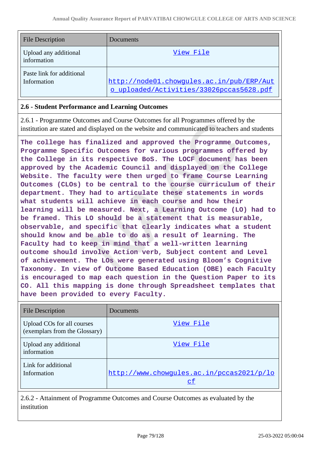| <b>File Description</b>                  | <b>Documents</b>                                                                      |
|------------------------------------------|---------------------------------------------------------------------------------------|
| Upload any additional<br>information     | View File                                                                             |
| Paste link for additional<br>Information | http://node01.chowqules.ac.in/pub/ERP/Aut<br>o uploaded/Activities/33026pccas5628.pdf |

### **2.6 - Student Performance and Learning Outcomes**

2.6.1 - Programme Outcomes and Course Outcomes for all Programmes offered by the institution are stated and displayed on the website and communicated to teachers and students

**The college has finalized and approved the Programme Outcomes, Programme Specific Outcomes for various programmes offered by the College in its respective BoS. The LOCF document has been approved by the Academic Council and displayed on the College Website. The faculty were then urged to frame Course Learning Outcomes (CLOs) to be central to the course curriculum of their department. They had to articulate these statements in words what students will achieve in each course and how their learning will be measured. Next, a Learning Outcome (LO) had to be framed. This LO should be a statement that is measurable, observable, and specific that clearly indicates what a student should know and be able to do as a result of learning. The Faculty had to keep in mind that a well-written learning outcome should involve Action verb, Subject content and Level of achievement. The LOs were generated using Bloom's Cognitive Taxonomy. In view of Outcome Based Education (OBE) each Faculty is encouraged to map each question in the Question Paper to its CO. All this mapping is done through Spreadsheet templates that have been provided to every Faculty.**

| <b>File Description</b>                                     | Documents                                              |
|-------------------------------------------------------------|--------------------------------------------------------|
| Upload COs for all courses<br>(exemplars from the Glossary) | View File                                              |
| Upload any additional<br>information                        | View File                                              |
| Link for additional<br>Information                          | http://www.chowqules.ac.in/pccas2021/p/lo<br><u>cf</u> |

2.6.2 - Attainment of Programme Outcomes and Course Outcomes as evaluated by the institution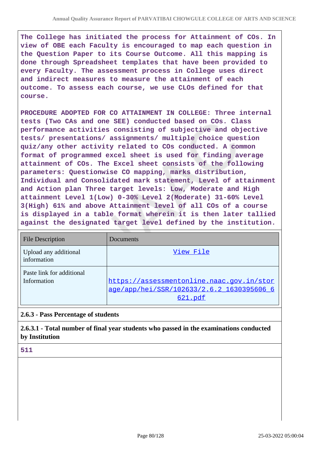**The College has initiated the process for Attainment of COs. In view of OBE each Faculty is encouraged to map each question in the Question Paper to its Course Outcome. All this mapping is done through Spreadsheet templates that have been provided to every Faculty. The assessment process in College uses direct and indirect measures to measure the attainment of each outcome. To assess each course, we use CLOs defined for that course.**

**PROCEDURE ADOPTED FOR CO ATTAINMENT IN COLLEGE: Three internal tests (Two CAs and one SEE) conducted based on COs. Class performance activities consisting of subjective and objective tests/ presentations/ assignments/ multiple choice question quiz/any other activity related to COs conducted. A common format of programmed excel sheet is used for finding average attainment of COs. The Excel sheet consists of the following parameters: Questionwise CO mapping, marks distribution, Individual and Consolidated mark statement, Level of attainment and Action plan Three target levels: Low, Moderate and High attainment Level 1(Low) 0-30% Level 2(Moderate) 31-60% Level 3(High) 61% and above Attainment level of all COs of a course is displayed in a table format wherein it is then later tallied against the designated target level defined by the institution.**

| <b>File Description</b>                  | Documents                                                                                         |
|------------------------------------------|---------------------------------------------------------------------------------------------------|
| Upload any additional<br>information     | View File                                                                                         |
| Paste link for additional<br>Information | https://assessmentonline.naac.qov.in/stor<br>age/app/hei/SSR/102633/2.6.2 1630395606 6<br>621.pdf |

## **2.6.3 - Pass Percentage of students**

**2.6.3.1 - Total number of final year students who passed in the examinations conducted by Institution**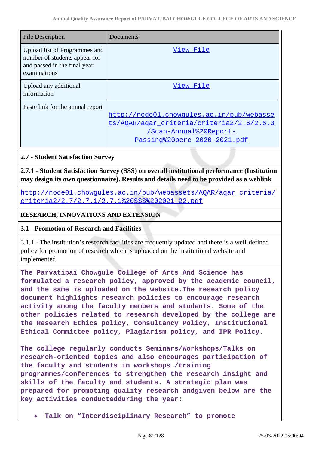| File Description                                                                                               | Documents                                                                                                                                               |
|----------------------------------------------------------------------------------------------------------------|---------------------------------------------------------------------------------------------------------------------------------------------------------|
| Upload list of Programmes and<br>number of students appear for<br>and passed in the final year<br>examinations | View File                                                                                                                                               |
| Upload any additional<br>information                                                                           | View File                                                                                                                                               |
| Paste link for the annual report                                                                               | http://node01.chowqules.ac.in/pub/webasse<br>ts/AOAR/agar criteria/criteria2/2.6/2.6.3<br><u>/Scan-Annual%20Report-</u><br>Passing%20perc-2020-2021.pdf |

## **2.7 - Student Satisfaction Survey**

**2.7.1 - Student Satisfaction Survey (SSS) on overall institutional performance (Institution may design its own questionnaire). Results and details need to be provided as a weblink**

http://node01.chowgules.ac.in/pub/webassets/AQAR/agar\_criteria/ [criteria2/2.7/2.7.1/2.7.1%20SSS%202021-22.pdf](http://node01.chowgules.ac.in/pub/webassets/AQAR/aqar_criteria/criteria2/2.7/2.7.1/2.7.1%20SSS%202021-22.pdf)

## **RESEARCH, INNOVATIONS AND EXTENSION**

## **3.1 - Promotion of Research and Facilities**

3.1.1 - The institution's research facilities are frequently updated and there is a well-defined policy for promotion of research which is uploaded on the institutional website and implemented

**The Parvatibai Chowgule College of Arts And Science has formulated a research policy, approved by the academic council, and the same is uploaded on the website.The research policy document highlights research policies to encourage research activity among the faculty members and students. Some of the other policies related to research developed by the college are the Research Ethics policy, Consultancy Policy, Institutional Ethical Committee policy, Plagiarism policy, and IPR Policy.**

**The college regularly conducts Seminars/Workshops/Talks on research-oriented topics and also encourages participation of the faculty and students in workshops /training programmes/conferences to strengthen the research insight and skills of the faculty and students. A strategic plan was prepared for promoting quality research andgiven below are the key activities conductedduring the year:**

**Talk on "Interdisciplinary Research" to promote**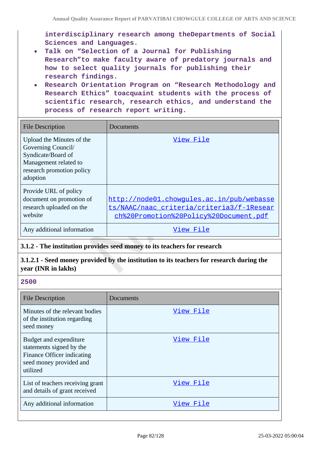**interdisciplinary research among theDepartments of Social Sciences and Languages.**

- **Talk on "Selection of a Journal for Publishing Research"to make faculty aware of predatory journals and how to select quality journals for publishing their research findings.**
- **Research Orientation Program on "Research Methodology and Research Ethics" toacquaint students with the process of scientific research, research ethics, and understand the process of research report writing.**

| <b>File Description</b>                                                                                                                 | Documents                                                                                                                        |
|-----------------------------------------------------------------------------------------------------------------------------------------|----------------------------------------------------------------------------------------------------------------------------------|
| Upload the Minutes of the<br>Governing Council/<br>Syndicate/Board of<br>Management related to<br>research promotion policy<br>adoption | View File                                                                                                                        |
| Provide URL of policy<br>document on promotion of<br>research uploaded on the<br>website                                                | http://node01.chowqules.ac.in/pub/webasse<br>ts/NAAC/naac criteria/criteria3/f-1Resear<br>ch%20Promotion%20Policy%20Document.pdf |
| Any additional information                                                                                                              | View File                                                                                                                        |

## **3.1.2 - The institution provides seed money to its teachers for research**

## **3.1.2.1 - Seed money provided by the institution to its teachers for research during the year (INR in lakhs)**

| <b>File Description</b>                                                                                                 | Documents |
|-------------------------------------------------------------------------------------------------------------------------|-----------|
| Minutes of the relevant bodies<br>of the institution regarding<br>seed money                                            | View File |
| Budget and expenditure<br>statements signed by the<br>Finance Officer indicating<br>seed money provided and<br>utilized | View File |
| List of teachers receiving grant<br>and details of grant received                                                       | View File |
| Any additional information                                                                                              | View File |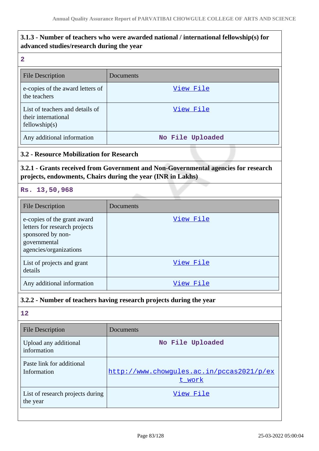# **3.1.3 - Number of teachers who were awarded national / international fellowship(s) for advanced studies/research during the year**

#### **2**

| <b>File Description</b>                                                 | Documents        |
|-------------------------------------------------------------------------|------------------|
| e-copies of the award letters of<br>the teachers                        | View File        |
| List of teachers and details of<br>their international<br>fellowship(s) | View File        |
| Any additional information                                              | No File Uploaded |

## **3.2 - Resource Mobilization for Research**

# **3.2.1 - Grants received from Government and Non-Governmental agencies for research projects, endowments, Chairs during the year (INR in Lakhs)**

**Rs. 13,50,968**

| File Description                                                                                                            | Documents |
|-----------------------------------------------------------------------------------------------------------------------------|-----------|
| e-copies of the grant award<br>letters for research projects<br>sponsored by non-<br>governmental<br>agencies/organizations | View File |
| List of projects and grant<br>details                                                                                       | View File |
| Any additional information                                                                                                  | View File |

## **3.2.2 - Number of teachers having research projects during the year**

| <b>File Description</b>                      | Documents                                           |
|----------------------------------------------|-----------------------------------------------------|
| Upload any additional<br>information         | No File Uploaded                                    |
| Paste link for additional<br>Information     | http://www.chowgules.ac.in/pccas2021/p/ex<br>t work |
| List of research projects during<br>the year | View File                                           |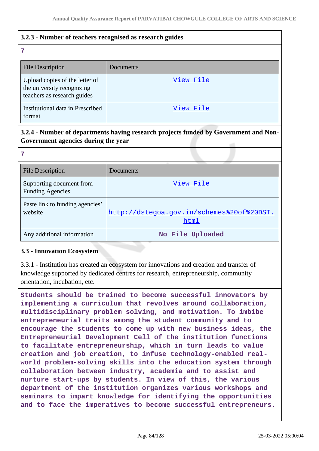# **3.2.3 - Number of teachers recognised as research guides**

# **7** File Description Documents Upload copies of the letter of the university recognizing teachers as research guides [View File](https://assessmentonline.naac.gov.in/storage/app/public/aqar/16634/16634_234_536.pdf?1648207791) Institutional data in Prescribed format [View File](https://assessmentonline.naac.gov.in/storage/app/public/aqar/16634/16634_234_1854.xls?1648207791)

# **3.2.4 - Number of departments having research projects funded by Government and Non-Government agencies during the year**

# **7**

| <b>File Description</b>                             | Documents                                         |
|-----------------------------------------------------|---------------------------------------------------|
| Supporting document from<br><b>Funding Agencies</b> | View File                                         |
| Paste link to funding agencies'<br>website          | http://dstegoa.gov.in/schemes%20of%20DST.<br>html |
| Any additional information                          | No File Uploaded                                  |

## **3.3 - Innovation Ecosystem**

3.3.1 - Institution has created an ecosystem for innovations and creation and transfer of knowledge supported by dedicated centres for research, entrepreneurship, community orientation, incubation, etc.

**Students should be trained to become successful innovators by implementing a curriculum that revolves around collaboration, multidisciplinary problem solving, and motivation. To imbibe entrepreneurial traits among the student community and to encourage the students to come up with new business ideas, the Entrepreneurial Development Cell of the institution functions to facilitate entrepreneurship, which in turn leads to value creation and job creation, to infuse technology-enabled realworld problem-solving skills into the education system through collaboration between industry, academia and to assist and nurture start-ups by students. In view of this, the various department of the institution organizes various workshops and seminars to impart knowledge for identifying the opportunities and to face the imperatives to become successful entrepreneurs.**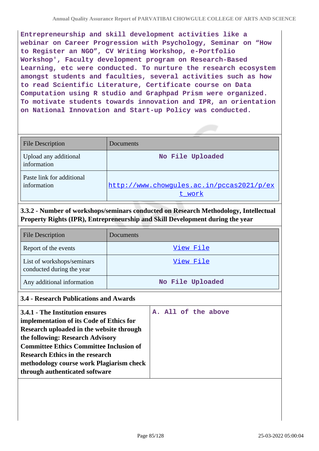**Entrepreneurship and skill development activities like a webinar on Career Progression with Psychology, Seminar on "How to Register an NGO", CV Writing Workshop, e-Portfolio Workshop', Faculty development program on Research-Based Learning, etc were conducted. To nurture the research ecosystem amongst students and faculties, several activities such as how to read Scientific Literature, Certificate course on Data Computation using R studio and Graphpad Prism were organized. To motivate students towards innovation and IPR, an orientation on National Innovation and Start-up Policy was conducted.**

| <b>File Description</b>                  | Documents                                           |
|------------------------------------------|-----------------------------------------------------|
| Upload any additional<br>information     | No File Uploaded                                    |
| Paste link for additional<br>information | http://www.chowqules.ac.in/pccas2021/p/ex<br>t work |

# **3.3.2 - Number of workshops/seminars conducted on Research Methodology, Intellectual Property Rights (IPR), Entrepreneurship and Skill Development during the year**

| File Description                                        | Documents        |
|---------------------------------------------------------|------------------|
| Report of the events                                    | View File        |
| List of workshops/seminars<br>conducted during the year | View File        |
| Any additional information                              | No File Uploaded |

#### **3.4 - Research Publications and Awards**

| 3.4.1 - The Institution ensures<br>implementation of its Code of Ethics for<br>Research uploaded in the website through<br>the following: Research Advisory<br><b>Committee Ethics Committee Inclusion of</b><br><b>Research Ethics in the research</b> |  |  | A. All of the above |  |  |
|---------------------------------------------------------------------------------------------------------------------------------------------------------------------------------------------------------------------------------------------------------|--|--|---------------------|--|--|
| methodology course work Plagiarism check<br>through authenticated software                                                                                                                                                                              |  |  |                     |  |  |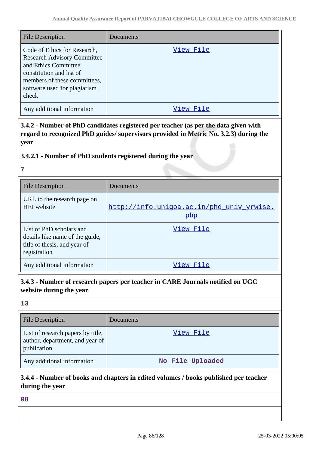| <b>File Description</b>                                                                                                                                                                         | Documents |
|-------------------------------------------------------------------------------------------------------------------------------------------------------------------------------------------------|-----------|
| Code of Ethics for Research,<br><b>Research Advisory Committee</b><br>and Ethics Committee<br>constitution and list of<br>members of these committees,<br>software used for plagiarism<br>check | View File |
| Any additional information                                                                                                                                                                      | View      |

**3.4.2 - Number of PhD candidates registered per teacher (as per the data given with regard to recognized PhD guides/ supervisors provided in Metric No. 3.2.3) during the year**

# **3.4.2.1 - Number of PhD students registered during the year**

**7**

| <b>File Description</b>                                                                                     | Documents                                        |
|-------------------------------------------------------------------------------------------------------------|--------------------------------------------------|
| URL to the research page on<br>HEI website                                                                  | http://info.uniqoa.ac.in/phd univ yrwise.<br>php |
| List of PhD scholars and<br>details like name of the guide,<br>title of thesis, and year of<br>registration | View File                                        |
| Any additional information                                                                                  | View File                                        |

**3.4.3 - Number of research papers per teacher in CARE Journals notified on UGC website during the year**

### **13**

| <b>File Description</b>                                                             | Documents        |
|-------------------------------------------------------------------------------------|------------------|
| List of research papers by title,<br>author, department, and year of<br>publication | View File        |
| Any additional information                                                          | No File Uploaded |

# **3.4.4 - Number of books and chapters in edited volumes / books published per teacher during the year**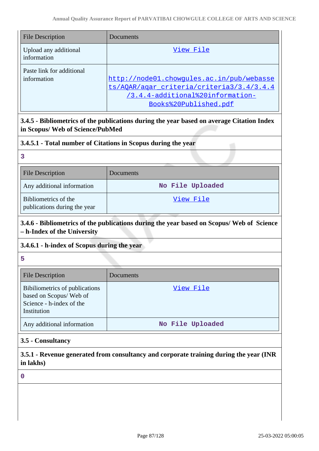| <b>File Description</b>                  | Documents                                                                                                                                           |
|------------------------------------------|-----------------------------------------------------------------------------------------------------------------------------------------------------|
| Upload any additional<br>information     | View File                                                                                                                                           |
| Paste link for additional<br>information | http://node01.chowgules.ac.in/pub/webasse<br>ts/AOAR/agar_criteria/criteria3/3.4/3.4.4<br>/3.4.4-additional%20information-<br>Books%20Published.pdf |

# **3.4.5 - Bibliometrics of the publications during the year based on average Citation Index in Scopus/ Web of Science/PubMed**

## **3.4.5.1 - Total number of Citations in Scopus during the year**

| <b>File Description</b>                              | Documents        |
|------------------------------------------------------|------------------|
| Any additional information                           | No File Uploaded |
| Bibliometrics of the<br>publications during the year | View File        |

# **3.4.6 - Bibliometrics of the publications during the year based on Scopus/ Web of Science – h-Index of the University**

## **3.4.6.1 - h-index of Scopus during the year**

**5**

| <b>File Description</b>                                                                             | Documents        |
|-----------------------------------------------------------------------------------------------------|------------------|
| Bibiliometrics of publications<br>based on Scopus/Web of<br>Science - h-index of the<br>Institution | View File        |
| Any additional information                                                                          | No File Uploaded |

## **3.5 - Consultancy**

**3.5.1 - Revenue generated from consultancy and corporate training during the year (INR in lakhs)**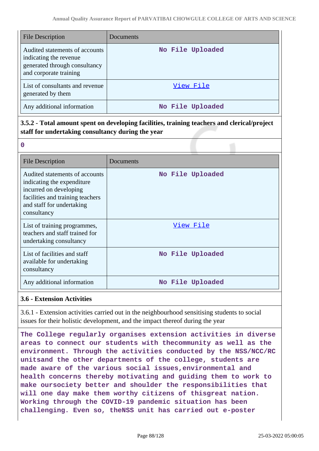| <b>File Description</b>                                                                                             | Documents        |
|---------------------------------------------------------------------------------------------------------------------|------------------|
| Audited statements of accounts<br>indicating the revenue<br>generated through consultancy<br>and corporate training | No File Uploaded |
| List of consultants and revenue<br>generated by them                                                                | View File        |
| Any additional information                                                                                          | No File Uploaded |

# **3.5.2 - Total amount spent on developing facilities, training teachers and clerical/project staff for undertaking consultancy during the year**

| <b>File Description</b>                                                                                                                                                 | Documents        |
|-------------------------------------------------------------------------------------------------------------------------------------------------------------------------|------------------|
| Audited statements of accounts<br>indicating the expenditure.<br>incurred on developing<br>facilities and training teachers<br>and staff for undertaking<br>consultancy | No File Uploaded |
| List of training programmes,<br>teachers and staff trained for<br>undertaking consultancy                                                                               | View File        |
| List of facilities and staff<br>available for undertaking<br>consultancy                                                                                                | No File Uploaded |
| Any additional information                                                                                                                                              | No File Uploaded |

## **3.6 - Extension Activities**

**0**

3.6.1 - Extension activities carried out in the neighbourhood sensitising students to social issues for their holistic development, and the impact thereof during the year

**The College regularly organises extension activities in diverse areas to connect our students with thecommunity as well as the environment. Through the activities conducted by the NSS/NCC/RC unitsand the other departments of the college, students are made aware of the various social issues,environmental and health concerns thereby motivating and guiding them to work to make oursociety better and shoulder the responsibilities that will one day make them worthy citizens of thisgreat nation. Working through the COVID-19 pandemic situation has been challenging. Even so, theNSS unit has carried out e-poster**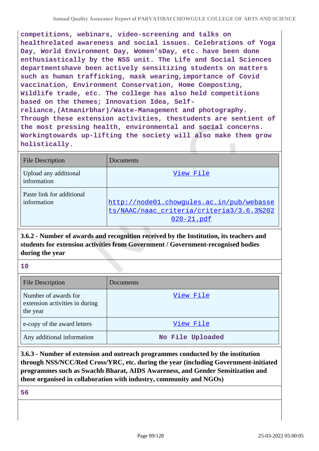**competitions, webinars, video-screening and talks on healthrelated awareness and social issues. Celebrations of Yoga Day, World Environment Day, Women'sDay, etc. have been done enthusiastically by the NSS unit. The Life and Social Sciences departmentshave been actively sensitizing students on matters such as human trafficking, mask wearing,importance of Covid vaccination, Environment Conservation, Home Composting, Wildlife trade, etc. The college has also held competitions based on the themes; Innovation Idea, Selfreliance,(Atmanirbhar)/Waste-Management and photography. Through these extension activities, thestudents are sentient of the most pressing health, environmental and social concerns. Workingtowards up-lifting the society will also make them grow holistically.**

| <b>File Description</b>                  | Documents                                                                                            |
|------------------------------------------|------------------------------------------------------------------------------------------------------|
| Upload any additional<br>information     | View File                                                                                            |
| Paste link for additional<br>information | http://node01.chowgules.ac.in/pub/webasse<br>ts/NAAC/naac criteria/criteria3/3.6.3%202<br>020-21.pdf |

**3.6.2 - Number of awards and recognition received by the Institution, its teachers and students for extension activities from Government / Government-recognised bodies during the year**

**10**

| <b>File Description</b>                                            | Documents        |
|--------------------------------------------------------------------|------------------|
| Number of awards for<br>extension activities in during<br>the year | View File        |
| e-copy of the award letters                                        | View File        |
| Any additional information                                         | No File Uploaded |

**3.6.3 - Number of extension and outreach programmes conducted by the institution through NSS/NCC/Red Cross/YRC, etc. during the year (including Government-initiated programmes such as Swachh Bharat, AIDS Awareness, and Gender Sensitization and those organised in collaboration with industry, community and NGOs)**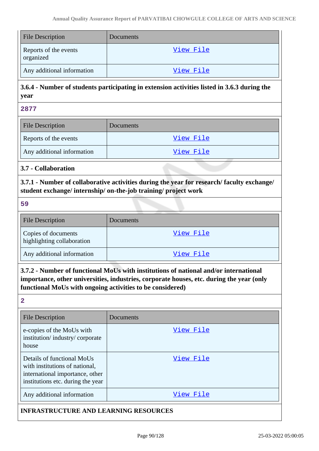| <b>File Description</b>            | Documents |
|------------------------------------|-----------|
| Reports of the events<br>organized | View File |
| Any additional information         | View File |

# **3.6.4 - Number of students participating in extension activities listed in 3.6.3 during the year**

**2877**

| <b>File Description</b>    | <b>Documents</b> |
|----------------------------|------------------|
| Reports of the events      | View File        |
| Any additional information | View File        |

## **3.7 - Collaboration**

**3.7.1 - Number of collaborative activities during the year for research/ faculty exchange/ student exchange/ internship/ on-the-job training/ project work**

**59**

| <b>File Description</b>                           | Documents |
|---------------------------------------------------|-----------|
| Copies of documents<br>highlighting collaboration | View File |
| Any additional information                        | View File |

**3.7.2 - Number of functional MoUs with institutions of national and/or international importance, other universities, industries, corporate houses, etc. during the year (only functional MoUs with ongoing activities to be considered)**

**2**

| <b>File Description</b>                                                                                                              | Documents |
|--------------------------------------------------------------------------------------------------------------------------------------|-----------|
| e-copies of the MoUs with<br>institution/industry/corporate<br>house                                                                 | View File |
| Details of functional MoUs<br>with institutions of national,<br>international importance, other<br>institutions etc. during the year | View File |
| Any additional information                                                                                                           | View File |

## **INFRASTRUCTURE AND LEARNING RESOURCES**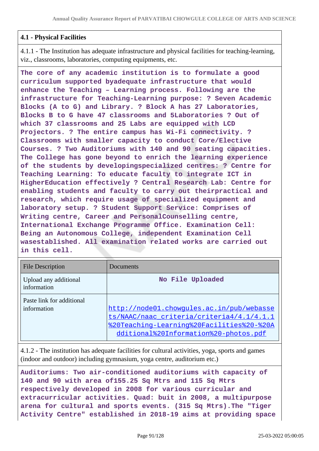## **4.1 - Physical Facilities**

4.1.1 - The Institution has adequate infrastructure and physical facilities for teaching-learning, viz., classrooms, laboratories, computing equipments, etc.

**The core of any academic institution is to formulate a good curriculum supported byadequate infrastructure that would enhance the Teaching – Learning process. Following are the infrastructure for Teaching-Learning purpose: ? Seven Academic Blocks (A to G) and Library. ? Block A has 27 Laboratories, Blocks B to G have 47 classrooms and 5Laboratories ? Out of which 37 classrooms and 25 Labs are equipped with LCD Projectors. ? The entire campus has Wi-Fi connectivity. ? Classrooms with smaller capacity to conduct Core/Elective Courses. ? Two Auditoriums with 140 and 90 seating capacities. The College has gone beyond to enrich the learning experience of the students by developingspecialized centres: ? Centre for Teaching Learning: To educate faculty to integrate ICT in HigherEducation effectively ? Central Research Lab: Centre for enabling students and faculty to carry out theirpractical and research, which require usage of specialized equipment and laboratory setup. ? Student Support Service: Comprises of Writing centre, Career and PersonalCounselling centre, International Exchange Programme Office. Examination Cell: Being an Autonomous College, independent Examination Cell wasestablished. All examination related works are carried out in this cell.**

| <b>File Description</b>                  | Documents                                                                                                                                                                    |
|------------------------------------------|------------------------------------------------------------------------------------------------------------------------------------------------------------------------------|
| Upload any additional<br>information     | No File Uploaded                                                                                                                                                             |
| Paste link for additional<br>information | http://node01.chowgules.ac.in/pub/webasse<br>ts/NAAC/naac criteria/criteria4/4.1/4.1.1<br>%20Teaching-Learning%20Facilities%20-%20A<br>dditional%20Information%20-photos.pdf |

4.1.2 - The institution has adequate facilities for cultural activities, yoga, sports and games (indoor and outdoor) including gymnasium, yoga centre, auditorium etc.)

**Auditoriums: Two air-conditioned auditoriums with capacity of 140 and 90 with area of155.25 Sq Mtrs and 115 Sq Mtrs respectively developed in 2008 for various curricular and extracurricular activities. Quad: buit in 2008, a multipurpose arena for cultural and sports events. (315 Sq Mtrs).The "Tiger Activity Centre" established in 2018-19 aims at providing space**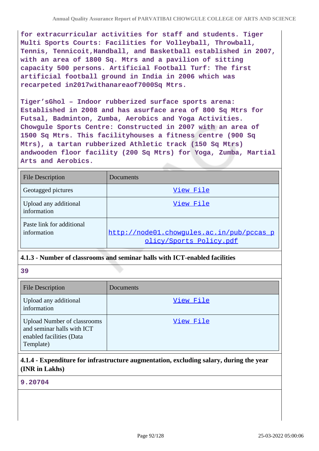**for extracurricular activities for staff and students. Tiger Multi Sports Courts: Facilities for Volleyball, Throwball, Tennis, Tennicoit,Handball, and Basketball established in 2007, with an area of 1800 Sq. Mtrs and a pavilion of sitting capacity 500 persons. Artificial Football Turf: The first artificial football ground in India in 2006 which was recarpeted in2017withanareaof7000Sq Mtrs.**

**Tiger'sGhol – Indoor rubberized surface sports arena: Established in 2008 and has asurface area of 800 Sq Mtrs for Futsal, Badminton, Zumba, Aerobics and Yoga Activities. Chowgule Sports Centre: Constructed in 2007 with an area of 1500 Sq Mtrs. This facilityhouses a fitness centre (900 Sq Mtrs), a tartan rubberized Athletic track (150 Sq Mtrs) andwooden floor facility (200 Sq Mtrs) for Yoga, Zumba, Martial Arts and Aerobics.**

| <b>File Description</b>                  | Documents                                                            |
|------------------------------------------|----------------------------------------------------------------------|
| Geotagged pictures                       | View File                                                            |
| Upload any additional<br>information     | View File                                                            |
| Paste link for additional<br>information | http://node01.chowqules.ac.in/pub/pccas_p<br>olicy/Sports Policy.pdf |

## **4.1.3 - Number of classrooms and seminar halls with ICT-enabled facilities**

**39**

| <b>File Description</b>                                                                                   | Documents |
|-----------------------------------------------------------------------------------------------------------|-----------|
| Upload any additional<br>information                                                                      | View File |
| <b>Upload Number of classrooms</b><br>and seminar halls with ICT<br>enabled facilities (Data<br>Template) | View File |

# **4.1.4 - Expenditure for infrastructure augmentation, excluding salary, during the year (INR in Lakhs)**

#### **9.20704**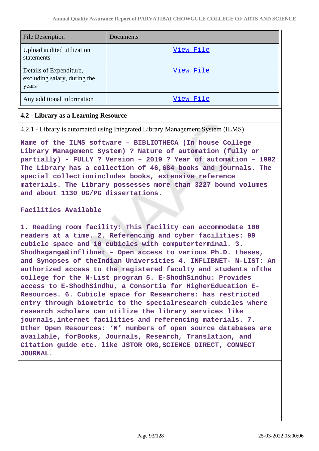| File Description                                                 | Documents |
|------------------------------------------------------------------|-----------|
| Upload audited utilization<br>statements                         | View File |
| Details of Expenditure,<br>excluding salary, during the<br>years | View File |
| Any additional information                                       | View File |

### **4.2 - Library as a Learning Resource**

4.2.1 - Library is automated using Integrated Library Management System (ILMS)

**Name of the ILMS software – BIBLIOTHECA (In house College Library Management System) ? Nature of automation (fully or partially) - FULLY ? Version – 2019 ? Year of automation – 1992 The Library has a collection of 46,684 books and journals. The special collectionincludes books, extensive reference materials. The Library possesses more than 3227 bound volumes and about 1130 UG/PG dissertations.**

#### **Facilities Available**

**1. Reading room facility: This facility can accommodate 100 readers at a time. 2. Referencing and cyber facilities: 99 cubicle space and 10 cubicles with computerterminal. 3. Shodhaganga@inflibnet – Open access to various Ph.D. theses, and Synopses of theIndian Universities 4. INFLIBNET- N-LIST: An authorized access to the registered faculty and students ofthe college for the N-List program 5. E-ShodhSindhu: Provides access to E-ShodhSindhu, a Consortia for HigherEducation E-Resources. 6. Cubicle space for Researchers: has restricted entry through biometric to the specialresearch cubicles where research scholars can utilize the library services like journals,internet facilities and referencing materials. 7. Other Open Resources: 'N' numbers of open source databases are available, forBooks, Journals, Research, Translation, and Citation guide etc. like JSTOR ORG,SCIENCE DIRECT, CONNECT JOURNAL.**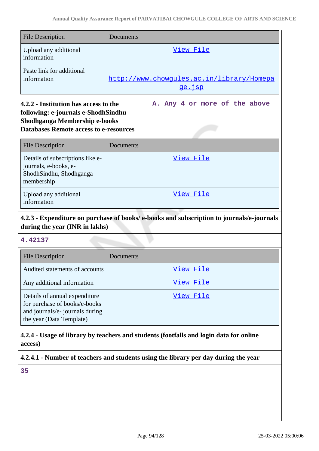| <b>File Description</b>                                                                                                                                        | Documents                                                  |                               |
|----------------------------------------------------------------------------------------------------------------------------------------------------------------|------------------------------------------------------------|-------------------------------|
| Upload any additional<br>information                                                                                                                           |                                                            | <u>View File</u>              |
| Paste link for additional<br>information                                                                                                                       | http://www.chowqules.ac.in/library/Homepa<br><u>ge.jsp</u> |                               |
| 4.2.2 - Institution has access to the<br>following: e-journals e-ShodhSindhu<br>Shodhganga Membership e-books<br><b>Databases Remote access to e-resources</b> |                                                            | A. Any 4 or more of the above |
| <b>File Description</b>                                                                                                                                        | Documents                                                  |                               |
| Details of subscriptions like e-<br>journals, e-books, e-<br>ShodhSindhu, Shodhganga<br>membership                                                             |                                                            | View File                     |
| Upload any additional<br>information                                                                                                                           |                                                            | <u>View File</u>              |

# **4.2.3 - Expenditure on purchase of books/ e-books and subscription to journals/e-journals during the year (INR in lakhs)**

## **4.42137**

| <b>File Description</b>                                                                                                       | Documents |
|-------------------------------------------------------------------------------------------------------------------------------|-----------|
| Audited statements of accounts                                                                                                | View File |
| Any additional information                                                                                                    | View File |
| Details of annual expenditure<br>for purchase of books/e-books<br>and journals/e- journals during<br>the year (Data Template) | View File |

# **4.2.4 - Usage of library by teachers and students (footfalls and login data for online access)**

# **4.2.4.1 - Number of teachers and students using the library per day during the year**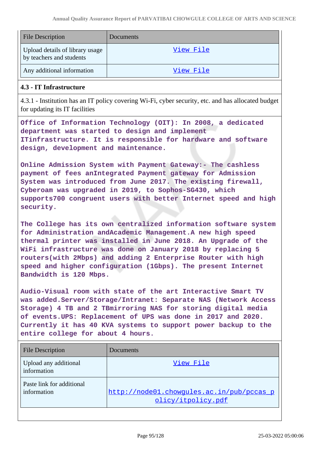| <b>File Description</b>                                     | <b>Documents</b> |
|-------------------------------------------------------------|------------------|
| Upload details of library usage<br>by teachers and students | View File        |
| Any additional information                                  | View File        |

### **4.3 - IT Infrastructure**

4.3.1 - Institution has an IT policy covering Wi-Fi, cyber security, etc. and has allocated budget for updating its IT facilities

**Office of Information Technology (OIT): In 2008, a dedicated department was started to design and implement ITinfrastructure. It is responsible for hardware and software design, development and maintenance.**

**Online Admission System with Payment Gateway:- The cashless payment of fees anIntegrated Payment gateway for Admission System was introduced from June 2017. The existing firewall, Cyberoam was upgraded in 2019, to Sophos-SG430, which supports700 congruent users with better Internet speed and high security.**

**The College has its own centralized information software system for Administration andAcademic Management.A new high speed thermal printer was installed in June 2018. An Upgrade of the WiFi infrastructure was done on January 2018 by replacing 5 routers(with 2Mbps) and adding 2 Enterprise Router with high speed and higher configuration (1Gbps). The present Internet Bandwidth is 120 Mbps.**

**Audio-Visual room with state of the art Interactive Smart TV was added.Server/Storage/Intranet: Separate NAS (Network Access Storage) 4 TB and 2 TBmirroring NAS for storing digital media of events.UPS: Replacement of UPS was done in 2017 and 2020. Currently it has 40 KVA systems to support power backup to the entire college for about 4 hours.**

| <b>File Description</b>                  | Documents                                                       |
|------------------------------------------|-----------------------------------------------------------------|
| Upload any additional<br>information     | View File                                                       |
| Paste link for additional<br>information | http://node01.chowgules.ac.in/pub/pccas_p<br>olicy/itpolicy.pdf |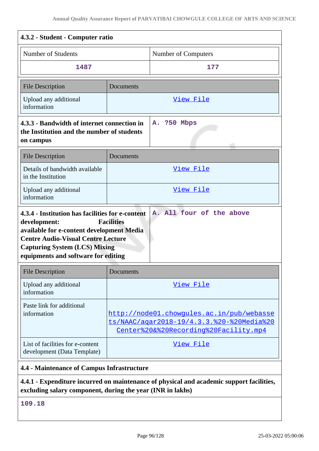| 4.3.2 - Student - Computer ratio                                                                                                                                                                                                          |                                                                                                                                 |                     |
|-------------------------------------------------------------------------------------------------------------------------------------------------------------------------------------------------------------------------------------------|---------------------------------------------------------------------------------------------------------------------------------|---------------------|
| Number of Students                                                                                                                                                                                                                        |                                                                                                                                 | Number of Computers |
| 1487                                                                                                                                                                                                                                      |                                                                                                                                 | 177                 |
| <b>File Description</b>                                                                                                                                                                                                                   | Documents                                                                                                                       |                     |
| Upload any additional<br>information                                                                                                                                                                                                      |                                                                                                                                 | <u>View File</u>    |
| 4.3.3 - Bandwidth of internet connection in<br>the Institution and the number of students<br>on campus                                                                                                                                    |                                                                                                                                 | A. ?50 Mbps         |
| <b>File Description</b>                                                                                                                                                                                                                   | Documents                                                                                                                       |                     |
| Details of bandwidth available<br>in the Institution                                                                                                                                                                                      |                                                                                                                                 | <u>View File</u>    |
| Upload any additional<br>information                                                                                                                                                                                                      | View File                                                                                                                       |                     |
| 4.3.4 - Institution has facilities for e-content<br>development:<br>available for e-content development Media<br><b>Centre Audio-Visual Centre Lecture</b><br><b>Capturing System (LCS) Mixing</b><br>equipments and software for editing | <b>Facilities</b>                                                                                                               |                     |
| <b>File Description</b>                                                                                                                                                                                                                   | Documents                                                                                                                       |                     |
| Upload any additional<br>information                                                                                                                                                                                                      | <u>View File</u>                                                                                                                |                     |
| Paste link for additional<br>information                                                                                                                                                                                                  | http://node01.chowgules.ac.in/pub/webasse<br>ts/NAAC/agar2018-19/4.3.3.%20-%20Media%20<br>Center%20&%20Recording%20Facility.mp4 |                     |
| List of facilities for e-content<br>development (Data Template)                                                                                                                                                                           | <u>View File</u>                                                                                                                |                     |
| 4.4 - Maintenance of Campus Infrastructure                                                                                                                                                                                                |                                                                                                                                 |                     |
| 4.4.1 - Expenditure incurred on maintenance of physical and academic support facilities,<br>excluding salary component, during the year (INR in lakhs)                                                                                    |                                                                                                                                 |                     |

**109.18**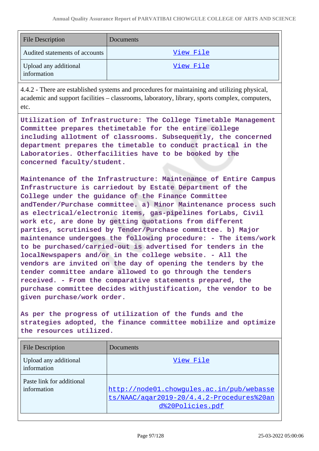| <b>File Description</b>              | <b>Documents</b> |
|--------------------------------------|------------------|
| Audited statements of accounts       | View File        |
| Upload any additional<br>information | View File        |

4.4.2 - There are established systems and procedures for maintaining and utilizing physical, academic and support facilities – classrooms, laboratory, library, sports complex, computers, etc.

**Utilization of Infrastructure: The College Timetable Management Committee prepares thetimetable for the entire college including allotment of classrooms. Subsequently, the concerned department prepares the timetable to conduct practical in the Laboratories. Otherfacilities have to be booked by the concerned faculty/student.**

**Maintenance of the Infrastructure: Maintenance of Entire Campus Infrastructure is carriedout by Estate Department of the College under the guidance of the Finance Committee andTender/Purchase committee. a) Minor Maintenance process such as electrical/electronic items, gas-pipelines forLabs, Civil work etc, are done by getting quotations from different parties, scrutinised by Tender/Purchase committee. b) Major maintenance undergoes the following procedure: - The items/work to be purchased/carried-out is advertised for tenders in the localNewspapers and/or in the college website. - All the vendors are invited on the day of opening the tenders by the tender committee andare allowed to go through the tenders received. - From the comparative statements prepared, the purchase committee decides withjustification, the vendor to be given purchase/work order.**

**As per the progress of utilization of the funds and the strategies adopted, the finance committee mobilize and optimize the resources utilized.**

| <b>File Description</b>                  | <b>Documents</b>                                                                                           |
|------------------------------------------|------------------------------------------------------------------------------------------------------------|
| Upload any additional<br>information     | View File                                                                                                  |
| Paste link for additional<br>information | http://node01.chowgules.ac.in/pub/webasse<br>ts/NAAC/agar2019-20/4.4.2-Procedures%20an<br>d%20Policies.pdf |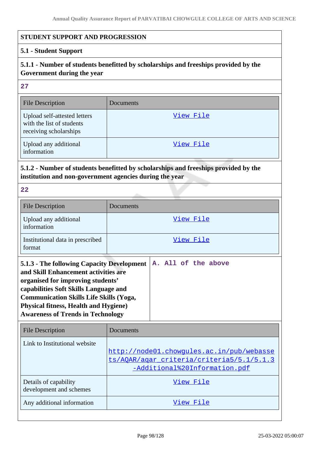### **STUDENT SUPPORT AND PROGRESSION**

## **5.1 - Student Support**

# **5.1.1 - Number of students benefitted by scholarships and freeships provided by the Government during the year**

**27**

| <b>File Description</b>                                                             | Documents |
|-------------------------------------------------------------------------------------|-----------|
| Upload self-attested letters<br>with the list of students<br>receiving scholarships | View File |
| Upload any additional<br>information                                                | View File |

# **5.1.2 - Number of students benefitted by scholarships and freeships provided by the institution and non-government agencies during the year**

| <b>File Description</b>                    | Documents |
|--------------------------------------------|-----------|
| Upload any additional<br>information       | View File |
| Institutional data in prescribed<br>format | View File |

| 5.1.3 - The following Capacity Development $ A$ . All of the above |  |  |  |  |
|--------------------------------------------------------------------|--|--|--|--|
| and Skill Enhancement activities are                               |  |  |  |  |
| organised for improving students'                                  |  |  |  |  |
| capabilities Soft Skills Language and                              |  |  |  |  |
| <b>Communication Skills Life Skills (Yoga,</b>                     |  |  |  |  |
| <b>Physical fitness, Health and Hygiene)</b>                       |  |  |  |  |
| <b>Awareness of Trends in Technology</b>                           |  |  |  |  |
|                                                                    |  |  |  |  |

| <b>File Description</b>                          | Documents                                                                                                               |
|--------------------------------------------------|-------------------------------------------------------------------------------------------------------------------------|
| Link to Institutional website                    | http://node01.chowqules.ac.in/pub/webasse<br>ts/AOAR/agar criteria/criteria5/5.1/5.1.3<br>-Additional%20Information.pdf |
| Details of capability<br>development and schemes | View File                                                                                                               |
| Any additional information                       | View File                                                                                                               |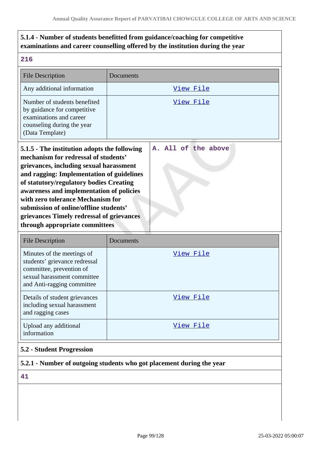# **5.1.4 - Number of students benefitted from guidance/coaching for competitive examinations and career counselling offered by the institution during the year**

| <b>File Description</b>                                                                                                                                                                                                                                                                                                                                                                                                           | Documents                                                             |  |  |  |
|-----------------------------------------------------------------------------------------------------------------------------------------------------------------------------------------------------------------------------------------------------------------------------------------------------------------------------------------------------------------------------------------------------------------------------------|-----------------------------------------------------------------------|--|--|--|
| Any additional information                                                                                                                                                                                                                                                                                                                                                                                                        | View File                                                             |  |  |  |
| Number of students benefited<br>by guidance for competitive<br>examinations and career<br>counseling during the year<br>(Data Template)                                                                                                                                                                                                                                                                                           | View File                                                             |  |  |  |
| 5.1.5 - The institution adopts the following<br>mechanism for redressal of students'<br>grievances, including sexual harassment<br>and ragging: Implementation of guidelines<br>of statutory/regulatory bodies Creating<br>awareness and implementation of policies<br>with zero tolerance Mechanism for<br>submission of online/offline students'<br>grievances Timely redressal of grievances<br>through appropriate committees | All of the above<br>Α.                                                |  |  |  |
| <b>File Description</b>                                                                                                                                                                                                                                                                                                                                                                                                           | Documents                                                             |  |  |  |
| Minutes of the meetings of<br>students' grievance redressal<br>committee, prevention of<br>sexual harassment committee<br>and Anti-ragging committee                                                                                                                                                                                                                                                                              | View File                                                             |  |  |  |
| Details of student grievances<br>including sexual harassment<br>and ragging cases                                                                                                                                                                                                                                                                                                                                                 | <u>View File</u>                                                      |  |  |  |
| Upload any additional<br>information                                                                                                                                                                                                                                                                                                                                                                                              | <u>View File</u>                                                      |  |  |  |
| 5.2 - Student Progression                                                                                                                                                                                                                                                                                                                                                                                                         |                                                                       |  |  |  |
|                                                                                                                                                                                                                                                                                                                                                                                                                                   | 5.2.1 - Number of outgoing students who got placement during the year |  |  |  |
| 41                                                                                                                                                                                                                                                                                                                                                                                                                                |                                                                       |  |  |  |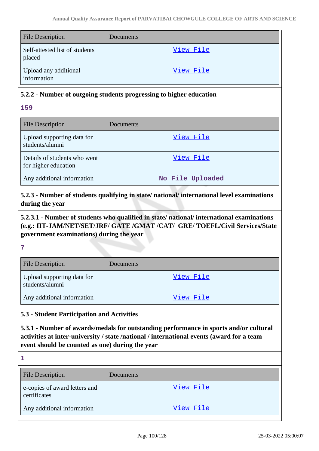| <b>File Description</b>                  | Documents |
|------------------------------------------|-----------|
| Self-attested list of students<br>placed | View File |
| Upload any additional<br>information     | View File |

## **5.2.2 - Number of outgoing students progressing to higher education**

**159**

| <b>File Description</b>                              | Documents        |
|------------------------------------------------------|------------------|
| Upload supporting data for<br>students/alumni        | View File        |
| Details of students who went<br>for higher education | View File        |
| Any additional information                           | No File Uploaded |

**5.2.3 - Number of students qualifying in state/ national/ international level examinations during the year**

**5.2.3.1 - Number of students who qualified in state/ national/ international examinations (e.g.: IIT-JAM/NET/SET/JRF/ GATE /GMAT /CAT/ GRE/ TOEFL/Civil Services/State government examinations) during the year**

#### **7**

| <b>File Description</b>                       | Documents |
|-----------------------------------------------|-----------|
| Upload supporting data for<br>students/alumni | View File |
| Any additional information                    | View File |

## **5.3 - Student Participation and Activities**

**5.3.1 - Number of awards/medals for outstanding performance in sports and/or cultural activities at inter-university / state /national / international events (award for a team event should be counted as one) during the year**

| <b>File Description</b>                       | Documents |
|-----------------------------------------------|-----------|
| e-copies of award letters and<br>certificates | View File |
| Any additional information                    | View File |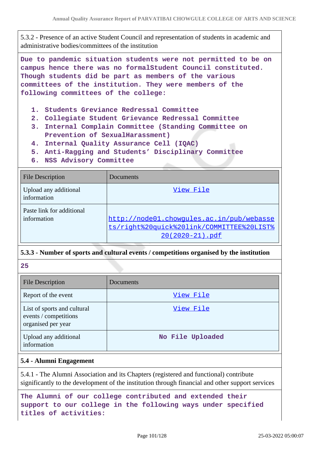5.3.2 - Presence of an active Student Council and representation of students in academic and administrative bodies/committees of the institution

**Due to pandemic situation students were not permitted to be on campus hence there was no formalStudent Council constituted. Though students did be part as members of the various committees of the institution. They were members of the following committees of the college:**

- **1. Students Greviance Redressal Committee**
- **2. Collegiate Student Grievance Redressal Committee**
- **3. Internal Complain Committee (Standing Committee on Prevention of SexualHarassment)**
- **4. Internal Quality Assurance Cell (IQAC)**
- **5. Anti-Ragging and Students' Disciplinary Committee**
- **6. NSS Advisory Committee**

| <b>File Description</b>                  | Documents                                                                                                 |
|------------------------------------------|-----------------------------------------------------------------------------------------------------------|
| Upload any additional<br>information     | View File                                                                                                 |
| Paste link for additional<br>information | http://node01.chowgules.ac.in/pub/webasse<br>ts/right%20quick%20link/COMMITTEE%20LIST%<br>20(2020-21).pdf |

## **5.3.3 - Number of sports and cultural events / competitions organised by the institution**

**25**

| <b>File Description</b>                                                    | Documents        |
|----------------------------------------------------------------------------|------------------|
| Report of the event                                                        | View File        |
| List of sports and cultural<br>events / competitions<br>organised per year | View File        |
| Upload any additional<br>information                                       | No File Uploaded |

#### **5.4 - Alumni Engagement**

5.4.1 - The Alumni Association and its Chapters (registered and functional) contribute significantly to the development of the institution through financial and other support services

**The Alumni of our college contributed and extended their support to our college in the following ways under specified titles of activities:**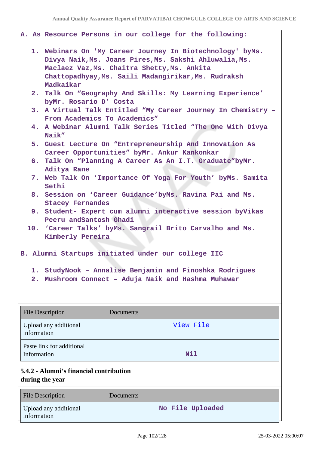#### **A. As Resource Persons in our college for the following:**

- **1. Webinars On 'My Career Journey In Biotechnology' byMs. Divya Naik,Ms. Joans Pires,Ms. Sakshi Ahluwalia,Ms. Maclaez Vaz,Ms. Chaitra Shetty,Ms. Ankita Chattopadhyay,Ms. Saili Madangirikar,Ms. Rudraksh Madkaikar**
- **2. Talk On "Geography And Skills: My Learning Experience' byMr. Rosario D' Costa**
- **3. A Virtual Talk Entitled "My Career Journey In Chemistry – From Academics To Academics"**
- **4. A Webinar Alumni Talk Series Titled "The One With Divya Naik"**
- **5. Guest Lecture On "Entrepreneurship And Innovation As Career Opportunities" byMr. Ankur Kankonkar**
- **6. Talk On "Planning A Career As An I.T. Graduate"byMr. Aditya Rane**
- **7. Web Talk On 'Importance Of Yoga For Youth' byMs. Samita Sethi**
- **8. Session on 'Career Guidance'byMs. Ravina Pai and Ms. Stacey Fernandes**
- **9. Student- Expert cum alumni interactive session byVikas Peeru andSantosh Ghadi**
- **10. 'Career Talks' byMs. Sangrail Brito Carvalho and Ms. Kimberly Pereira**

**B. Alumni Startups initiated under our college IIC** 

- **1. StudyNook Annalise Benjamin and Finoshka Rodrigues**
- **2. Mushroom Connect Aduja Naik and Hashma Muhawar**

|                                                            | <b>File Description</b>                  | Documents        |
|------------------------------------------------------------|------------------------------------------|------------------|
|                                                            | Upload any additional<br>information     | View File        |
|                                                            | Paste link for additional<br>Information | <b>Nil</b>       |
| 5.4.2 - Alumni's financial contribution<br>during the year |                                          |                  |
|                                                            | <b>File Description</b>                  | Documents        |
|                                                            | Upload any additional<br>information     | No File Uploaded |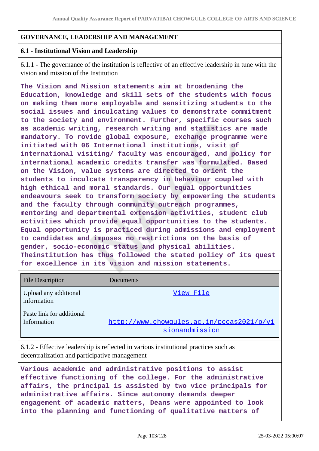## **GOVERNANCE, LEADERSHIP AND MANAGEMENT**

### **6.1 - Institutional Vision and Leadership**

6.1.1 - The governance of the institution is reflective of an effective leadership in tune with the vision and mission of the Institution

**The Vision and Mission statements aim at broadening the Education, knowledge and skill sets of the students with focus on making them more employable and sensitizing students to the social issues and inculcating values to demonstrate commitment to the society and environment. Further, specific courses such as academic writing, research writing and statistics are made mandatory. To rovide global exposure, exchange programme were initiated with 06 International institutions, visit of international visiting/ faculty was encouraged, and policy for international academic credits transfer was formulated. Based on the Vision, value systems are directed to orient the students to inculcate transparency in behaviour coupled with high ethical and moral standards. Our equal opportunities endeavours seek to transform society by empowering the students and the faculty through community outreach programmes, mentoring and departmental extension activities, student club activities which provide equal opportunities to the students. Equal opportunity is practiced during admissions and employment to candidates and imposes no restrictions on the basis of gender, socio-economic status and physical abilities. Theinstitution has thus followed the stated policy of its quest for excellence in its vision and mission statements.**

| <b>File Description</b>                  | Documents                                                   |
|------------------------------------------|-------------------------------------------------------------|
| Upload any additional<br>information     | View File                                                   |
| Paste link for additional<br>Information | http://www.chowqules.ac.in/pccas2021/p/vi<br>sionandmission |

6.1.2 - Effective leadership is reflected in various institutional practices such as decentralization and participative management

**Various academic and administrative positions to assist effective functioning of the college. For the administrative affairs, the principal is assisted by two vice principals for administrative affairs. Since autonomy demands deeper engagement of academic matters, Deans were appointed to look into the planning and functioning of qualitative matters of**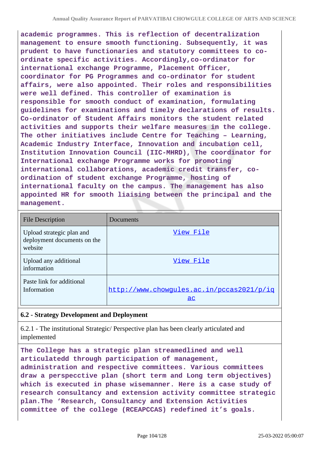**academic programmes. This is reflection of decentralization management to ensure smooth functioning. Subsequently, it was prudent to have functionaries and statutory committees to coordinate specific activities. Accordingly,co-ordinator for international exchange Programme, Placement Officer, coordinator for PG Programmes and co-ordinator for student affairs, were also appointed. Their roles and responsibilities were well defined. This controller of examination is responsible for smooth conduct of examination, formulating guidelines for examinations and timely declarations of results. Co-ordinator of Student Affairs monitors the student related activities and supports their welfare measures in the college. The other initiatives include Centre for Teaching – Learning, Academic Industry Interface, Innovation and incubation cell, Institution Innovation Council (IIC-MHRD), The coordinator for International exchange Programme works for promoting international collaborations, academic credit transfer, coordination of student exchange Programme, hosting of international faculty on the campus. The management has also appointed HR for smooth liaising between the principal and the management.**

| <b>File Description</b>                                             | Documents                                       |
|---------------------------------------------------------------------|-------------------------------------------------|
| Upload strategic plan and<br>deployment documents on the<br>website | View File                                       |
| Upload any additional<br>information                                | View File                                       |
| Paste link for additional<br>Information                            | http://www.chowqules.ac.in/pccas2021/p/iq<br>ac |

## **6.2 - Strategy Development and Deployment**

6.2.1 - The institutional Strategic/ Perspective plan has been clearly articulated and implemented

**The College has a strategic plan streamedlined and well articulatedd through participation of management, administration and respective committees. Various committees draw a perspecctive plan (short term and Long term objectives) which is executed in phase wisemanner. Here is a case study of research consultancy and extension activity committee strategic plan.The 'Research, Consultancy and Extension Activities committee of the college (RCEAPCCAS) redefined it's goals.**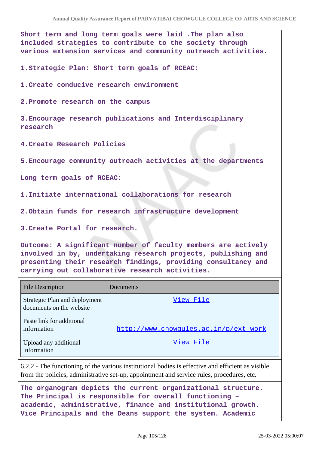**Short term and long term goals were laid .The plan also included strategies to contribute to the society through various extension services and community outreach activities.**

**1.Strategic Plan: Short term goals of RCEAC:**

**1.Create conducive research environment**

**2.Promote research on the campus**

**3.Encourage research publications and Interdisciplinary research**

**4.Create Research Policies**

**5.Encourage community outreach activities at the departments**

**Long term goals of RCEAC:**

**1.Initiate international collaborations for research**

**2.Obtain funds for research infrastructure development**

**3.Create Portal for research.**

**Outcome: A significant number of faculty members are actively involved in by, undertaking research projects, publishing and presenting their research findings, providing consultancy and carrying out collaborative research activities.**

| <b>File Description</b>                                   | Documents                             |
|-----------------------------------------------------------|---------------------------------------|
| Strategic Plan and deployment<br>documents on the website | View File                             |
| Paste link for additional<br>information                  | http://www.chowqules.ac.in/p/ext work |
| Upload any additional<br>information                      | View File                             |

6.2.2 - The functioning of the various institutional bodies is effective and efficient as visible from the policies, administrative set-up, appointment and service rules, procedures, etc.

**The organogram depicts the current organizational structure. The Principal is responsible for overall functioning – academic, administrative, finance and institutional growth. Vice Principals and the Deans support the system. Academic**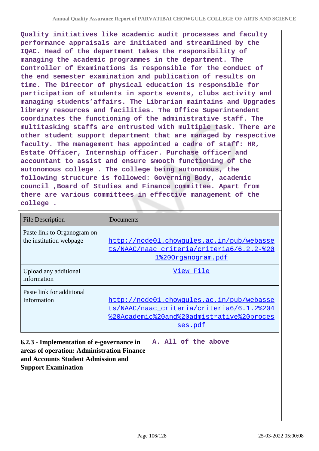**Quality initiatives like academic audit processes and faculty performance appraisals are initiated and streamlined by the IQAC. Head of the department takes the responsibility of managing the academic programmes in the department. The Controller of Examinations is responsible for the conduct of the end semester examination and publication of results on time. The Director of physical education is responsible for participation of students in sports events, clubs activity and managing students'affairs. The Librarian maintains and Upgrades library resources and facilities. The Office Superintendent coordinates the functioning of the administrative staff. The multitasking staffs are entrusted with multiple task. There are other student support department that are managed by respective faculty. The management has appointed a cadre of staff: HR, Estate Officer, Internship officer. Purchase officer and accountant to assist and ensure smooth functioning of the autonomous college . The college being autonomous, the following structure is followed: Governing Body, academic council ,Board of Studies and Finance committee. Apart from there are various committees in effective management of the college .**

| <b>File Description</b>                                                                                                                                                            | Documents                                                                                                                                      |
|------------------------------------------------------------------------------------------------------------------------------------------------------------------------------------|------------------------------------------------------------------------------------------------------------------------------------------------|
| Paste link to Organogram on<br>the institution webpage                                                                                                                             | http://node01.chowgules.ac.in/pub/webasse<br>ts/NAAC/naac criteria/criteria6/6.2.2-%20<br><u>1%200rganogram.pdf</u>                            |
| Upload any additional<br>information                                                                                                                                               | View File                                                                                                                                      |
| Paste link for additional<br>Information                                                                                                                                           | http://node01.chowqules.ac.in/pub/webasse<br>ts/NAAC/naac criteria/criteria6/6.1.2%204<br>%20Academic%20and%20admistrative%20proces<br>ses.pdf |
| A. All of the above<br>6.2.3 - Implementation of e-governance in<br>areas of operation: Administration Finance<br>and Accounts Student Admission and<br><b>Support Examination</b> |                                                                                                                                                |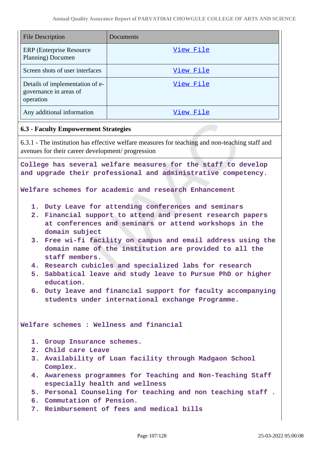| <b>File Description</b>                                                | Documents |
|------------------------------------------------------------------------|-----------|
| <b>ERP</b> (Enterprise Resource)<br>Planning) Documen                  | View File |
| Screen shots of user interfaces                                        | View File |
| Details of implementation of e-<br>governance in areas of<br>operation | View File |
| Any additional information                                             | View File |

### **6.3 - Faculty Empowerment Strategies**

6.3.1 - The institution has effective welfare measures for teaching and non-teaching staff and avenues for their career development/ progression

**College has several welfare measures for the staff to develop and upgrade their professional and administrative competency.**

**Welfare schemes for academic and research Enhancement**

- **1. Duty Leave for attending conferences and seminars**
- **2. Financial support to attend and present research papers at conferences and seminars or attend workshops in the domain subject**
- **3. Free wi-fi facility on campus and email address using the domain name of the institution are provided to all the staff members.**
- **4. Research cubicles and specialized labs for research**
- **5. Sabbatical leave and study leave to Pursue PhD or higher education.**
- **6. Duty leave and financial support for faculty accompanying students under international exchange Programme.**

**Welfare schemes : Wellness and financial**

- **1. Group Insurance schemes.**
- **2. Child care Leave**
- **3. Availability of Loan facility through Madgaon School Complex.**
- **4. Awareness programmes for Teaching and Non-Teaching Staff especially health and wellness**
- **5. Personal Counseling for teaching and non teaching staff .**
- **6. Commutation of Pension.**
- **7. Reimbursement of fees and medical bills**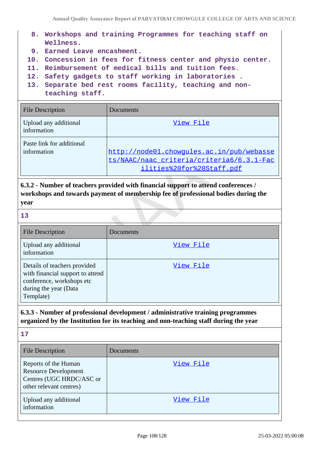- **8. Workshops and training Programmes for teaching staff on Wellness.**
- **9. Earned Leave encashment.**
- **10. Concession in fees for fitness center and physio center.**
- **11. Reimbursement of medical bills and tuition fees.**
- **12. Safety gadgets to staff working in laboratories .**
- **13. Separate bed rest rooms facility, teaching and nonteaching staff.**

| <b>File Description</b>                  | Documents                                                                                                           |
|------------------------------------------|---------------------------------------------------------------------------------------------------------------------|
| Upload any additional<br>information     | View File                                                                                                           |
| Paste link for additional<br>information | http://node01.chowgules.ac.in/pub/webasse<br>ts/NAAC/naac criteria/criteria6/6.3.1-Fac<br>ilities%20for%20Staff.pdf |

**6.3.2 - Number of teachers provided with financial support to attend conferences / workshops and towards payment of membership fee of professional bodies during the year**

| - 1 |                         |
|-----|-------------------------|
| n v | ×<br>٠<br>×<br>v<br>- 3 |
|     |                         |

| <b>File Description</b>                                                                                                             | Documents |
|-------------------------------------------------------------------------------------------------------------------------------------|-----------|
| Upload any additional<br>information                                                                                                | View File |
| Details of teachers provided<br>with financial support to attend<br>conference, workshops etc<br>during the year (Data<br>Template) | View File |

## **6.3.3 - Number of professional development / administrative training programmes organized by the Institution for its teaching and non-teaching staff during the year**

| 17                                                                                                         |           |
|------------------------------------------------------------------------------------------------------------|-----------|
| <b>File Description</b>                                                                                    | Documents |
| Reports of the Human<br><b>Resource Development</b><br>Centres (UGC HRDC/ASC or<br>other relevant centres) | View File |
| Upload any additional<br>information                                                                       | View File |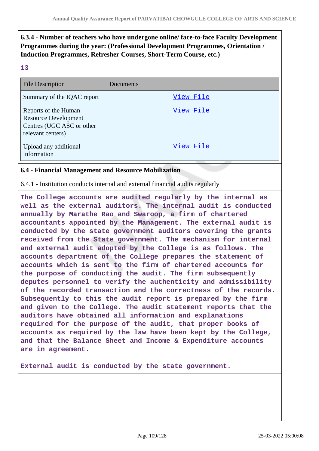# **6.3.4 - Number of teachers who have undergone online/ face-to-face Faculty Development Programmes during the year: (Professional Development Programmes, Orientation / Induction Programmes, Refresher Courses, Short-Term Course, etc.)**

| - 1 | w                        |
|-----|--------------------------|
|     | ×<br>۰.<br>×<br>- 3<br>v |

| <b>File Description</b>                                                                               | Documents |
|-------------------------------------------------------------------------------------------------------|-----------|
| Summary of the IQAC report                                                                            | View File |
| Reports of the Human<br><b>Resource Development</b><br>Centres (UGC ASC or other<br>relevant centers) | View File |
| Upload any additional<br>information                                                                  | View File |

# **6.4 - Financial Management and Resource Mobilization**

6.4.1 - Institution conducts internal and external financial audits regularly

**The College accounts are audited regularly by the internal as well as the external auditors. The internal audit is conducted annually by Marathe Rao and Swaroop, a firm of chartered accountants appointed by the Management. The external audit is conducted by the state government auditors covering the grants received from the State government. The mechanism for internal and external audit adopted by the College is as follows. The accounts department of the College prepares the statement of accounts which is sent to the firm of chartered accounts for the purpose of conducting the audit. The firm subsequently deputes personnel to verify the authenticity and admissibility of the recorded transaction and the correctness of the records. Subsequently to this the audit report is prepared by the firm and given to the College. The audit statement reports that the auditors have obtained all information and explanations required for the purpose of the audit, that proper books of accounts as required by the law have been kept by the College, and that the Balance Sheet and Income & Expenditure accounts are in agreement.**

**External audit is conducted by the state government.**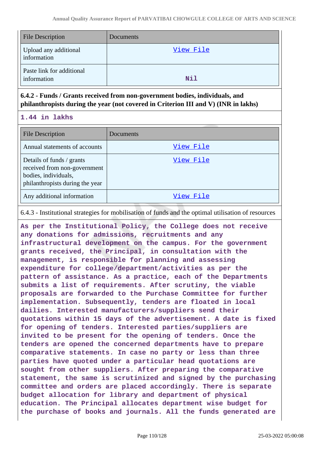| <b>File Description</b>                  | Documents  |
|------------------------------------------|------------|
| Upload any additional<br>information     | View File  |
| Paste link for additional<br>information | <b>Nil</b> |

**6.4.2 - Funds / Grants received from non-government bodies, individuals, and philanthropists during the year (not covered in Criterion III and V) (INR in lakhs)**

**1.44 in lakhs**

| <b>File Description</b>                                                                                              | Documents |
|----------------------------------------------------------------------------------------------------------------------|-----------|
| Annual statements of accounts                                                                                        | View File |
| Details of funds / grants<br>received from non-government<br>bodies, individuals,<br>philanthropists during the year | View File |
| Any additional information                                                                                           | View File |

6.4.3 - Institutional strategies for mobilisation of funds and the optimal utilisation of resources

**As per the Institutional Policy, the College does not receive any donations for admissions, recruitments and any infrastructural development on the campus. For the government grants received, the Principal, in consultation with the management, is responsible for planning and assessing expenditure for college/department/activities as per the pattern of assistance. As a practice, each of the Departments submits a list of requirements. After scrutiny, the viable proposals are forwarded to the Purchase Committee for further implementation. Subsequently, tenders are floated in local dailies. Interested manufacturers/suppliers send their quotations within 15 days of the advertisement. A date is fixed for opening of tenders. Interested parties/suppliers are invited to be present for the opening of tenders. Once the tenders are opened the concerned departments have to prepare comparative statements. In case no party or less than three parties have quoted under a particular head quotations are sought from other suppliers. After preparing the comparative statement, the same is scrutinized and signed by the purchasing committee and orders are placed accordingly. There is separate budget allocation for library and department of physical education. The Principal allocates department wise budget for the purchase of books and journals. All the funds generated are**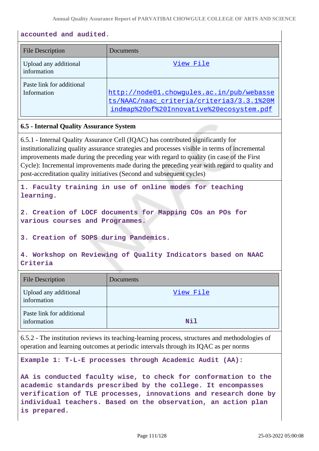## **accounted and audited.**

| File Description                         | Documents                                                                                                                          |
|------------------------------------------|------------------------------------------------------------------------------------------------------------------------------------|
| Upload any additional<br>information     | View File                                                                                                                          |
| Paste link for additional<br>Information | http://node01.chowgules.ac.in/pub/webasse<br>ts/NAAC/naac criteria/criteria3/3.3.1%20M<br>indmap%20of%20Innovative%20ecosystem.pdf |

## **6.5 - Internal Quality Assurance System**

6.5.1 - Internal Quality Assurance Cell (IQAC) has contributed significantly for institutionalizing quality assurance strategies and processes visible in terms of incremental improvements made during the preceding year with regard to quality (in case of the First Cycle): Incremental improvements made during the preceding year with regard to quality and post-accreditation quality initiatives (Second and subsequent cycles)

**1. Faculty training in use of online modes for teaching learning.**

**2. Creation of LOCF documents for Mapping COs an POs for various courses and Programmes.**

**3. Creation of SOPS during Pandemics.**

**4. Workshop on Reviewing of Quality Indicators based on NAAC Criteria**

| <b>File Description</b>                  | Documents |
|------------------------------------------|-----------|
| Upload any additional<br>information     | View File |
| Paste link for additional<br>information | Nil       |

6.5.2 - The institution reviews its teaching-learning process, structures and methodologies of operation and learning outcomes at periodic intervals through its IQAC as per norms

**Example 1: T-L-E processes through Academic Audit (AA):**

**AA is conducted faculty wise, to check for conformation to the academic standards prescribed by the college. It encompasses verification of TLE processes, innovations and research done by individual teachers. Based on the observation, an action plan is prepared.**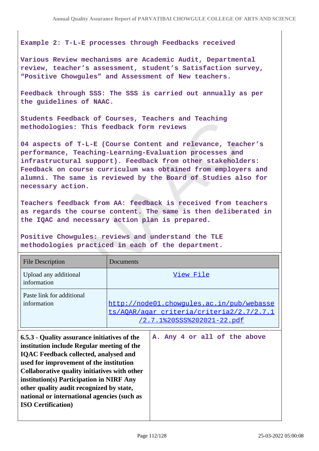## **Example 2: T-L-E processes through Feedbacks received**

**Various Review mechanisms are Academic Audit, Departmental review, teacher's assessment, student's Satisfaction survey, "Positive Chowgules" and Assessment of New teachers.**

**Feedback through SSS: The SSS is carried out annually as per the guidelines of NAAC.**

**Students Feedback of Courses, Teachers and Teaching methodologies: This feedback form reviews**

**04 aspects of T-L-E (Course Content and relevance, Teacher's performance, Teaching-Learning-Evaluation processes and infrastructural support). Feedback from other stakeholders: Feedback on course curriculum was obtained from employers and alumni. The same is reviewed by the Board of Studies also for necessary action.**

**Teachers feedback from AA: feedback is received from teachers as regards the course content. The same is then deliberated in the IQAC and necessary action plan is prepared.**

**Positive Chowgules: reviews and understand the TLE methodologies practiced in each of the department.**

**ISO Certification)**

| <b>File Description</b>                                                                                                                                                                                                                                                                                                                                                      | Documents                                                                                                                   |
|------------------------------------------------------------------------------------------------------------------------------------------------------------------------------------------------------------------------------------------------------------------------------------------------------------------------------------------------------------------------------|-----------------------------------------------------------------------------------------------------------------------------|
| Upload any additional<br>information                                                                                                                                                                                                                                                                                                                                         | View File                                                                                                                   |
| Paste link for additional<br>information                                                                                                                                                                                                                                                                                                                                     | http://node01.chowgules.ac.in/pub/webasse<br>ts/AOAR/agar criteria/criteria2/2.7/2.7.1<br><u>/2.7.1%20SSS%202021-22.pdf</u> |
| 6.5.3 - Quality assurance initiatives of the<br>institution include Regular meeting of the<br><b>IQAC Feedback collected, analysed and</b><br>used for improvement of the institution<br>Collaborative quality initiatives with other<br>institution(s) Participation in NIRF Any<br>other quality audit recognized by state,<br>national or international agencies (such as | A. Any 4 or all of the above                                                                                                |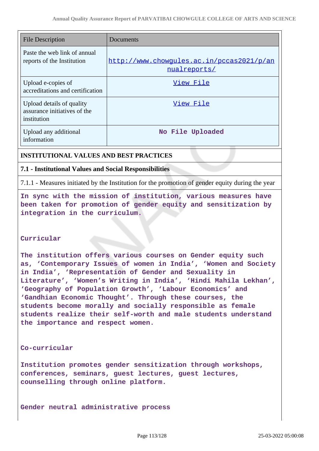| <b>File Description</b>                                                  | Documents                                                 |
|--------------------------------------------------------------------------|-----------------------------------------------------------|
| Paste the web link of annual<br>reports of the Institution               | http://www.chowqules.ac.in/pccas2021/p/an<br>nualreports/ |
| Upload e-copies of<br>accreditations and certification                   | View File                                                 |
| Upload details of quality<br>assurance initiatives of the<br>institution | View File                                                 |
| Upload any additional<br>information                                     | No File Uploaded                                          |

# **INSTITUTIONAL VALUES AND BEST PRACTICES**

# **7.1 - Institutional Values and Social Responsibilities**

7.1.1 - Measures initiated by the Institution for the promotion of gender equity during the year

**In sync with the mission of institution, various measures have been taken for promotion of gender equity and sensitization by integration in the curriculum.**

## **Curricular**

**The institution offers various courses on Gender equity such as, 'Contemporary Issues of women in India', 'Women and Society in India', 'Representation of Gender and Sexuality in Literature', 'Women's Writing in India', 'Hindi Mahila Lekhan', 'Geography of Population Growth', 'Labour Economics' and 'Gandhian Economic Thought'. Through these courses, the students become morally and socially responsible as female students realize their self-worth and male students understand the importance and respect women.**

## **Co-curricular**

**Institution promotes gender sensitization through workshops, conferences, seminars, guest lectures, guest lectures, counselling through online platform.**

**Gender neutral administrative process**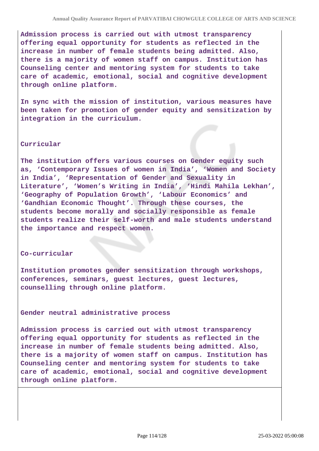**Admission process is carried out with utmost transparency offering equal opportunity for students as reflected in the increase in number of female students being admitted. Also, there is a majority of women staff on campus. Institution has Counseling center and mentoring system for students to take care of academic, emotional, social and cognitive development through online platform.**

**In sync with the mission of institution, various measures have been taken for promotion of gender equity and sensitization by integration in the curriculum.**

#### **Curricular**

**The institution offers various courses on Gender equity such as, 'Contemporary Issues of women in India', 'Women and Society in India', 'Representation of Gender and Sexuality in Literature', 'Women's Writing in India', 'Hindi Mahila Lekhan', 'Geography of Population Growth', 'Labour Economics' and 'Gandhian Economic Thought'. Through these courses, the students become morally and socially responsible as female students realize their self-worth and male students understand the importance and respect women.**

#### **Co-curricular**

**Institution promotes gender sensitization through workshops, conferences, seminars, guest lectures, guest lectures, counselling through online platform.**

**Gender neutral administrative process**

**Admission process is carried out with utmost transparency offering equal opportunity for students as reflected in the increase in number of female students being admitted. Also, there is a majority of women staff on campus. Institution has Counseling center and mentoring system for students to take care of academic, emotional, social and cognitive development through online platform.**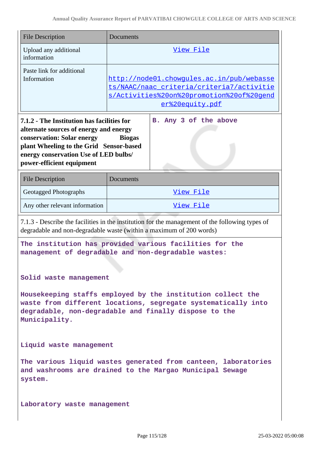| <b>File Description</b>                                                                                                                                                                                                                                                       | Documents                                                                                                                                              |  |
|-------------------------------------------------------------------------------------------------------------------------------------------------------------------------------------------------------------------------------------------------------------------------------|--------------------------------------------------------------------------------------------------------------------------------------------------------|--|
| Upload any additional<br>information                                                                                                                                                                                                                                          | View File                                                                                                                                              |  |
| Paste link for additional<br>Information                                                                                                                                                                                                                                      | http://node01.chowgules.ac.in/pub/webasse<br>ts/NAAC/naac criteria/criteria7/activitie<br>s/Activities%20on%20promotion%20of%20gend<br>er%20equity.pdf |  |
| 7.1.2 - The Institution has facilities for<br>B. Any 3 of the above<br>alternate sources of energy and energy<br>conservation: Solar energy<br><b>Biogas</b><br>plant Wheeling to the Grid Sensor-based<br>energy conservation Use of LED bulbs/<br>power-efficient equipment |                                                                                                                                                        |  |
| <b>File Description</b>                                                                                                                                                                                                                                                       | <b>Documents</b>                                                                                                                                       |  |
| Geotagged Photographs                                                                                                                                                                                                                                                         | View File                                                                                                                                              |  |
| Any other relevant information                                                                                                                                                                                                                                                | View File                                                                                                                                              |  |
| 7.1.3 - Describe the facilities in the institution for the management of the following types of<br>degradable and non-degradable waste (within a maximum of 200 words)                                                                                                        |                                                                                                                                                        |  |
| The institution has provided various facilities for the<br>management of degradable and non-degradable wastes:                                                                                                                                                                |                                                                                                                                                        |  |
| Solid waste management<br>Housekeeping staffs employed by the institution collect the<br>waste from different locations, segregate systematically into<br>degradable, non-degradable and finally dispose to the<br>Municipality.                                              |                                                                                                                                                        |  |
| Liquid waste management                                                                                                                                                                                                                                                       |                                                                                                                                                        |  |
| The various liquid wastes generated from canteen, laboratories<br>and washrooms are drained to the Margao Municipal Sewage<br>system.                                                                                                                                         |                                                                                                                                                        |  |
| Laboratory waste management                                                                                                                                                                                                                                                   |                                                                                                                                                        |  |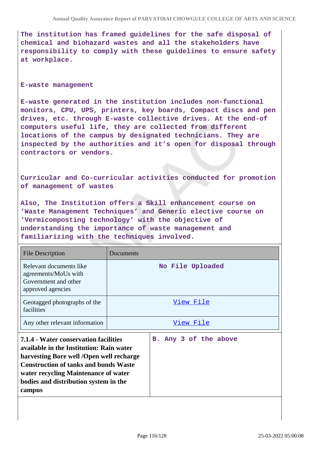**The institution has framed guidelines for the safe disposal of chemical and biohazard wastes and all the stakeholders have responsibility to comply with these guidelines to ensure safety at workplace.**

#### **E-waste management**

**E-waste generated in the institution includes non-functional monitors, CPU, UPS, printers, key boards, Compact discs and pen drives, etc. through E-waste collective drives. At the end-of computers useful life, they are collected from different locations of the campus by designated technicians. They are inspected by the authorities and it's open for disposal through contractors or vendors.**

**Curricular and Co-curricular activities conducted for promotion of management of wastes**

**Also, The Institution offers a Skill enhancement course on 'Waste Management Techniques' and Generic elective course on 'Vermicomposting technology' with the objective of understanding the importance of waste management and familiarizing with the techniques involved.**

| File Description                                                                             | Documents             |
|----------------------------------------------------------------------------------------------|-----------------------|
| Relevant documents like<br>agreements/MoUs with<br>Government and other<br>approved agencies | No File Uploaded      |
| Geotagged photographs of the<br>facilities                                                   | View File             |
| Any other relevant information                                                               | View File             |
| 7.1.4 - Water conservation facilities<br>available in the Institution: Rain water            | B. Any 3 of the above |

**harvesting Bore well /Open well recharge Construction of tanks and bunds Waste water recycling Maintenance of water bodies and distribution system in the campus**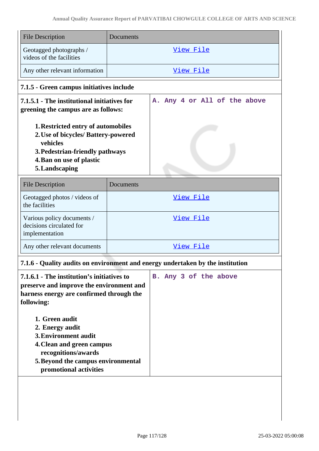| <b>File Description</b>                                                                                                                                                                                                                                                                                                                  | Documents |                              |
|------------------------------------------------------------------------------------------------------------------------------------------------------------------------------------------------------------------------------------------------------------------------------------------------------------------------------------------|-----------|------------------------------|
| Geotagged photographs /<br>videos of the facilities                                                                                                                                                                                                                                                                                      |           | <u>View File</u>             |
| Any other relevant information                                                                                                                                                                                                                                                                                                           |           | View File                    |
| 7.1.5 - Green campus initiatives include                                                                                                                                                                                                                                                                                                 |           |                              |
| 7.1.5.1 - The institutional initiatives for<br>greening the campus are as follows:                                                                                                                                                                                                                                                       |           | A. Any 4 or All of the above |
| 1. Restricted entry of automobiles<br>2. Use of bicycles/ Battery-powered<br>vehicles<br>3. Pedestrian-friendly pathways<br>4. Ban on use of plastic<br>5. Landscaping                                                                                                                                                                   |           |                              |
| <b>File Description</b>                                                                                                                                                                                                                                                                                                                  | Documents |                              |
| Geotagged photos / videos of<br>the facilities                                                                                                                                                                                                                                                                                           |           | <u>View File</u>             |
| Various policy documents /<br>decisions circulated for<br>implementation                                                                                                                                                                                                                                                                 |           | <u>View File</u>             |
| Any other relevant documents                                                                                                                                                                                                                                                                                                             |           | View File                    |
| 7.1.6 - Quality audits on environment and energy undertaken by the institution                                                                                                                                                                                                                                                           |           |                              |
| 7.1.6.1 - The institution's initiatives to<br>preserve and improve the environment and<br>harness energy are confirmed through the<br>following:<br>1. Green audit<br>2. Energy audit<br><b>3. Environment audit</b><br>4. Clean and green campus<br>recognitions/awards<br>5. Beyond the campus environmental<br>promotional activities |           | B. Any 3 of the above        |
|                                                                                                                                                                                                                                                                                                                                          |           |                              |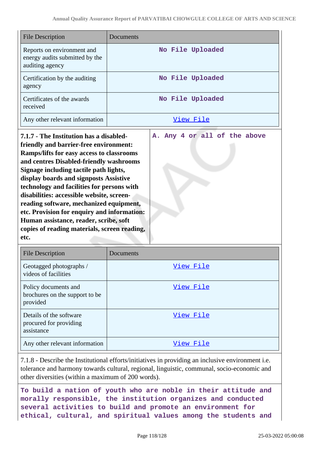**A. Any 4 or all of the above**

| <b>File Description</b>                                                         | Documents        |
|---------------------------------------------------------------------------------|------------------|
| Reports on environment and<br>energy audits submitted by the<br>auditing agency | No File Uploaded |
| Certification by the auditing<br>agency                                         | No File Uploaded |
| Certificates of the awards<br>received                                          | No File Uploaded |
| Any other relevant information                                                  | View File        |

**7.1.7 - The Institution has a disabledfriendly and barrier-free environment: Ramps/lifts for easy access to classrooms and centres Disabled-friendly washrooms Signage including tactile path lights, display boards and signposts Assistive technology and facilities for persons with disabilities: accessible website, screenreading software, mechanized equipment, etc. Provision for enquiry and information: Human assistance, reader, scribe, soft copies of reading materials, screen reading, etc.**

| <b>File Description</b>                                            | Documents |
|--------------------------------------------------------------------|-----------|
| Geotagged photographs /<br>videos of facilities                    | View File |
| Policy documents and<br>brochures on the support to be<br>provided | View File |
| Details of the software<br>procured for providing<br>assistance    | View File |
| Any other relevant information                                     | View File |

7.1.8 - Describe the Institutional efforts/initiatives in providing an inclusive environment i.e. tolerance and harmony towards cultural, regional, linguistic, communal, socio-economic and other diversities (within a maximum of 200 words).

**To build a nation of youth who are noble in their attitude and morally responsible, the institution organizes and conducted several activities to build and promote an environment for ethical, cultural, and spiritual values among the students and**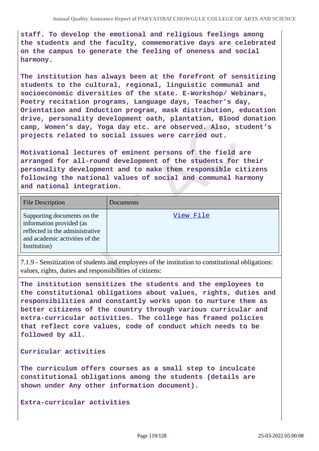**staff. To develop the emotional and religious feelings among the students and the faculty, commemorative days are celebrated on the campus to generate the feeling of oneness and social harmony.**

**The institution has always been at the forefront of sensitizing students to the cultural, regional, linguistic communal and socioeconomic diversities of the state. E-Workshop/ Webinars, Poetry recitation programs, Language days, Teacher's day, Orientation and Induction program, mask distribution, education drive, personality development oath, plantation, Blood donation camp, Women's day, Yoga day etc. are observed. Also, student's projects related to social issues were carried out.**

**Motivational lectures of eminent persons of the field are arranged for all-round development of the students for their personality development and to make them responsible citizens following the national values of social and communal harmony and national integration.**

| <b>File Description</b>                                                                                                                      | Documents |
|----------------------------------------------------------------------------------------------------------------------------------------------|-----------|
| Supporting documents on the<br>information provided (as<br>reflected in the administrative<br>and academic activities of the<br>Institution) | View File |

7.1.9 - Sensitization of students and employees of the institution to constitutional obligations: values, rights, duties and responsibilities of citizens:

**The institution sensitizes the students and the employees to the constitutional obligations about values, rights, duties and responsibilities and constantly works upon to nurture them as better citizens of the country through various curricular and extra-curricular activities. The college has framed policies that reflect core values, code of conduct which needs to be followed by all.**

**Curricular activities**

**The curriculum offers courses as a small step to inculcate constitutional obligations among the students (details are shown under Any other information document).**

**Extra-curricular activities**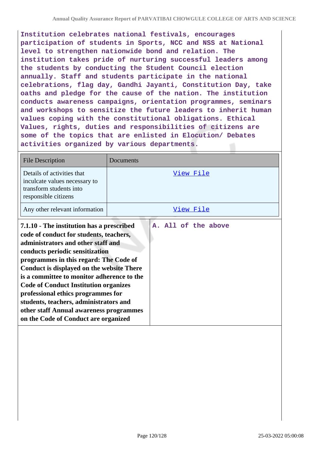**Institution celebrates national festivals, encourages participation of students in Sports, NCC and NSS at National level to strengthen nationwide bond and relation. The institution takes pride of nurturing successful leaders among the students by conducting the Student Council election annually. Staff and students participate in the national celebrations, flag day, Gandhi Jayanti, Constitution Day, take oaths and pledge for the cause of the nation. The institution conducts awareness campaigns, orientation programmes, seminars and workshops to sensitize the future leaders to inherit human values coping with the constitutional obligations. Ethical Values, rights, duties and responsibilities of citizens are some of the topics that are enlisted in Elocution/ Debates activities organized by various departments.**

| <b>File Description</b>                                                                                                                                                                                                                                                                                                                                                                                                                                                                                               | Documents           |
|-----------------------------------------------------------------------------------------------------------------------------------------------------------------------------------------------------------------------------------------------------------------------------------------------------------------------------------------------------------------------------------------------------------------------------------------------------------------------------------------------------------------------|---------------------|
| Details of activities that<br>inculcate values necessary to<br>transform students into<br>responsible citizens                                                                                                                                                                                                                                                                                                                                                                                                        | View File           |
| Any other relevant information                                                                                                                                                                                                                                                                                                                                                                                                                                                                                        | View File           |
| 7.1.10 - The institution has a prescribed<br>code of conduct for students, teachers,<br>administrators and other staff and<br>conducts periodic sensitization<br>programmes in this regard: The Code of<br>Conduct is displayed on the website There<br>is a committee to monitor adherence to the<br><b>Code of Conduct Institution organizes</b><br>professional ethics programmes for<br>students, teachers, administrators and<br>other staff Annual awareness programmes<br>on the Code of Conduct are organized | A. All of the above |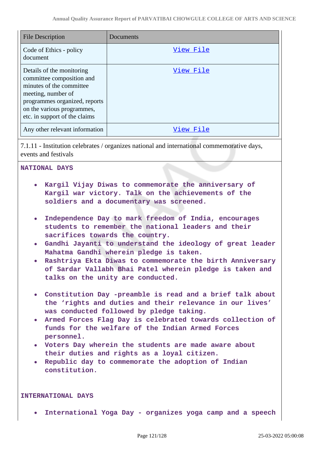| <b>File Description</b>                                                                                                                                                                                  | Documents |
|----------------------------------------------------------------------------------------------------------------------------------------------------------------------------------------------------------|-----------|
| Code of Ethics - policy<br>document                                                                                                                                                                      | View File |
| Details of the monitoring<br>committee composition and<br>minutes of the committee<br>meeting, number of<br>programmes organized, reports<br>on the various programmes,<br>etc. in support of the claims | View File |
| Any other relevant information                                                                                                                                                                           | View File |

7.1.11 - Institution celebrates / organizes national and international commemorative days, events and festivals

# **NATIONAL DAYS**

- **Kargil Vijay Diwas to commemorate the anniversary of Kargil war victory. Talk on the achievements of the soldiers and a documentary was screened.**
- **Independence Day to mark freedom of India, encourages students to remember the national leaders and their sacrifices towards the country.**
- **Gandhi Jayanti to understand the ideology of great leader Mahatma Gandhi wherein pledge is taken.**
- **Rashtriya Ekta Diwas to commemorate the birth Anniversary of Sardar Vallabh Bhai Patel wherein pledge is taken and talks on the unity are conducted.**
- **Constitution Day -preamble is read and a brief talk about the 'rights and duties and their relevance in our lives' was conducted followed by pledge taking.**
- **Armed Forces Flag Day is celebrated towards collection of funds for the welfare of the Indian Armed Forces personnel.**
- **Voters Day wherein the students are made aware about their duties and rights as a loyal citizen.**
- **Republic day to commemorate the adoption of Indian constitution.**

### **INTERNATIONAL DAYS**

**International Yoga Day - organizes yoga camp and a speech**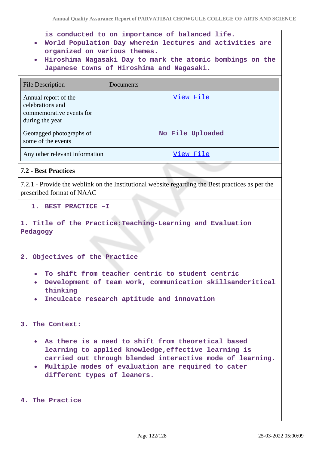**is conducted to on importance of balanced life.**

- **World Population Day wherein lectures and activities are organized on various themes.**
- **Hiroshima Nagasaki Day to mark the atomic bombings on the Japanese towns of Hiroshima and Nagasaki.**

| <b>File Description</b>                                                                 | Documents        |
|-----------------------------------------------------------------------------------------|------------------|
| Annual report of the<br>celebrations and<br>commemorative events for<br>during the year | View File        |
| Geotagged photographs of<br>some of the events                                          | No File Uploaded |
| Any other relevant information                                                          | View File        |

# **7.2 - Best Practices**

7.2.1 - Provide the weblink on the Institutional website regarding the Best practices as per the prescribed format of NAAC

### **1. BEST PRACTICE –I**

**1. Title of the Practice:Teaching-Learning and Evaluation Pedagogy**

**2. Objectives of the Practice**

- **To shift from teacher centric to student centric**
- **Development of team work, communication skillsandcritical thinking**
- **Inculcate research aptitude and innovation**

**3. The Context:**

- **As there is a need to shift from theoretical based learning to applied knowledge,effective learning is carried out through blended interactive mode of learning.**
- **Multiple modes of evaluation are required to cater different types of leaners.**

**4. The Practice**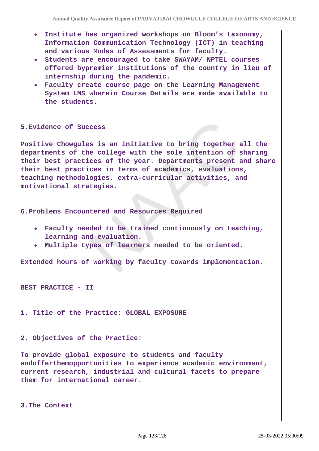- **Institute has organized workshops on Bloom's taxonomy, Information Communication Technology (ICT) in teaching and various Modes of Assessments for faculty.**
- **Students are encouraged to take SWAYAM/ NPTEL courses offered bypremier institutions of the country in lieu of internship during the pandemic.**
- **Faculty create course page on the Learning Management System LMS wherein Course Details are made available to the students.**

### **5.Evidence of Success**

**Positive Chowgules is an initiative to bring together all the departments of the college with the sole intention of sharing their best practices of the year. Departments present and share their best practices in terms of academics, evaluations, teaching methodologies, extra-curricular activities, and motivational strategies.**

**6.Problems Encountered and Resources Required**

- **Faculty needed to be trained continuously on teaching, learning and evaluation.**
- **Multiple types of learners needed to be oriented.**

**Extended hours of working by faculty towards implementation.**

**BEST PRACTICE - II**

**1. Title of the Practice: GLOBAL EXPOSURE** 

**2. Objectives of the Practice:** 

**To provide global exposure to students and faculty andofferthemopportunities to experience academic environment, current research, industrial and cultural facets to prepare them for international career.**

**3.The Context**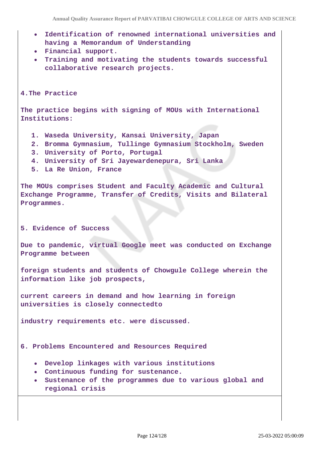- **Identification of renowned international universities and having a Memorandum of Understanding**
- **Financial support.**
- **Training and motivating the students towards successful collaborative research projects.**

**4.The Practice** 

**The practice begins with signing of MOUs with International Institutions:**

- **1. Waseda University, Kansai University, Japan**
- **2. Bromma Gymnasium, Tullinge Gymnasium Stockholm, Sweden**
- **3. University of Porto, Portugal**
- **4. University of Sri Jayewardenepura, Sri Lanka**
- **5. La Re Union, France**

**The MOUs comprises Student and Faculty Academic and Cultural Exchange Programme, Transfer of Credits, Visits and Bilateral Programmes.**

#### **5. Evidence of Success**

**Due to pandemic, virtual Google meet was conducted on Exchange Programme between**

**foreign students and students of Chowgule College wherein the information like job prospects,**

**current careers in demand and how learning in foreign universities is closely connectedto**

**industry requirements etc. were discussed.**

**6. Problems Encountered and Resources Required** 

- **Develop linkages with various institutions**
- **Continuous funding for sustenance.**
- **Sustenance of the programmes due to various global and regional crisis**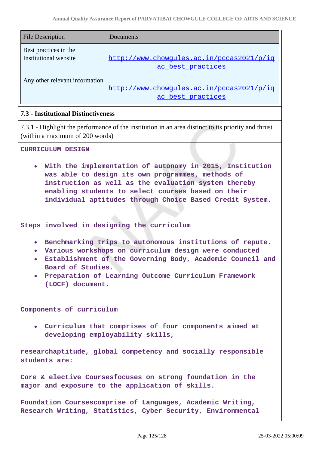| <b>File Description</b>                        | Documents                                                      |
|------------------------------------------------|----------------------------------------------------------------|
| Best practices in the<br>Institutional website | http://www.chowqules.ac.in/pccas2021/p/iq<br>ac best practices |
| Any other relevant information                 | http://www.chowqules.ac.in/pccas2021/p/iq<br>ac best practices |

## **7.3 - Institutional Distinctiveness**

7.3.1 - Highlight the performance of the institution in an area distinct to its priority and thrust (within a maximum of 200 words)

#### **CURRICULUM DESIGN**

**With the implementation of autonomy in 2015, Institution was able to design its own programmes, methods of instruction as well as the evaluation system thereby enabling students to select courses based on their individual aptitudes through Choice Based Credit System.**

**Steps involved in designing the curriculum**

- **Benchmarking trips to autonomous institutions of repute.**
- **Various workshops on curriculum design were conducted**
- **Establishment of the Governing Body, Academic Council and Board of Studies.**
- **Preparation of Learning Outcome Curriculum Framework (LOCF) document.**

**Components of curriculum**

**Curriculum that comprises of four components aimed at developing employability skills,**

**researchaptitude, global competency and socially responsible students are:**

**Core & elective Coursesfocuses on strong foundation in the major and exposure to the application of skills.**

**Foundation Coursescomprise of Languages, Academic Writing, Research Writing, Statistics, Cyber Security, Environmental**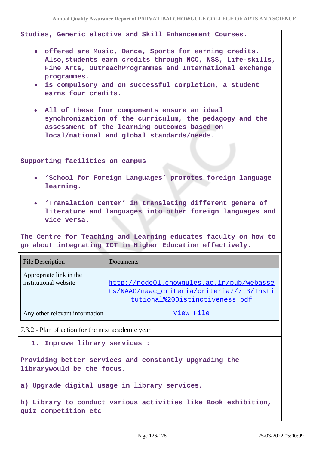**Studies, Generic elective and Skill Enhancement Courses.**

- **offered are Music, Dance, Sports for earning credits. Also,students earn credits through NCC, NSS, Life-skills, Fine Arts, OutreachProgrammes and International exchange programmes.**
- **is compulsory and on successful completion, a student earns four credits.**
- **All of these four components ensure an ideal synchronization of the curriculum, the pedagogy and the assessment of the learning outcomes based on local/national and global standards/needs.**

**Supporting facilities on campus**

- **'School for Foreign Languages' promotes foreign language learning.**
- **'Translation Center' in translating different genera of literature and languages into other foreign languages and vice versa.**

**The Centre for Teaching and Learning educates faculty on how to go about integrating ICT in Higher Education effectively.**

| <b>File Description</b>                          | Documents                                                                                                                |
|--------------------------------------------------|--------------------------------------------------------------------------------------------------------------------------|
| Appropriate link in the<br>institutional website | http://node01.chowgules.ac.in/pub/webasse<br>ts/NAAC/naac_criteria/criteria7/7.3/Insti<br>tutional%20Distinctiveness.pdf |
| Any other relevant information                   | View File                                                                                                                |

7.3.2 - Plan of action for the next academic year

**1. Improve library services :**

**Providing better services and constantly upgrading the librarywould be the focus.**

**a) Upgrade digital usage in library services.**

**b) Library to conduct various activities like Book exhibition, quiz competition etc**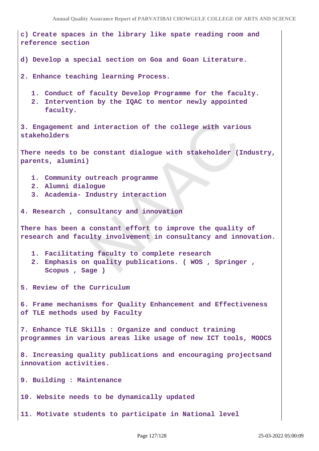**c) Create spaces in the library like spate reading room and reference section d) Develop a special section on Goa and Goan Literature. 2. Enhance teaching learning Process. 1. Conduct of faculty Develop Programme for the faculty. 2. Intervention by the IQAC to mentor newly appointed faculty. 3. Engagement and interaction of the college with various stakeholders There needs to be constant dialogue with stakeholder (Industry, parents, alumini) 1. Community outreach programme 2. Alumni dialogue 3. Academia- Industry interaction 4. Research , consultancy and innovation There has been a constant effort to improve the quality of research and faculty involvement in consultancy and innovation. 1. Facilitating faculty to complete research 2. Emphasis on quality publications. ( WOS , Springer , Scopus , Sage ) 5. Review of the Curriculum 6. Frame mechanisms for Quality Enhancement and Effectiveness of TLE methods used by Faculty 7. Enhance TLE Skills : Organize and conduct training programmes in various areas like usage of new ICT tools, MOOCS 8. Increasing quality publications and encouraging projectsand innovation activities. 9. Building : Maintenance 10. Website needs to be dynamically updated 11. Motivate students to participate in National level**